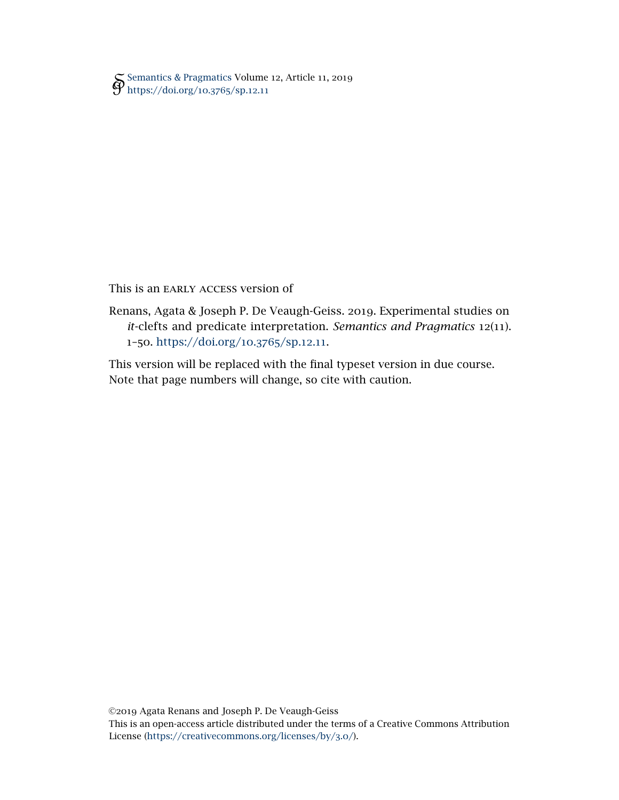[Semantics & Pragmatics](http://semprag.org/) Volume 12, Article 11, 2019 [https://doi.org/](https://doi.org/10.3765/sp.12.11)10.3765/sp.12.11

This is an EARLY ACCESS version of

Renans, Agata & Joseph P. De Veaugh-Geiss. 2019. Experimental studies on *it*-clefts and predicate interpretation. *Semantics and Pragmatics* 12(11). 1–50. [https://doi.org/](https://doi.org/10.3765/sp.12.11)10.3765/sp.12.11.

This version will be replaced with the final typeset version in due course. Note that page numbers will change, so cite with caution.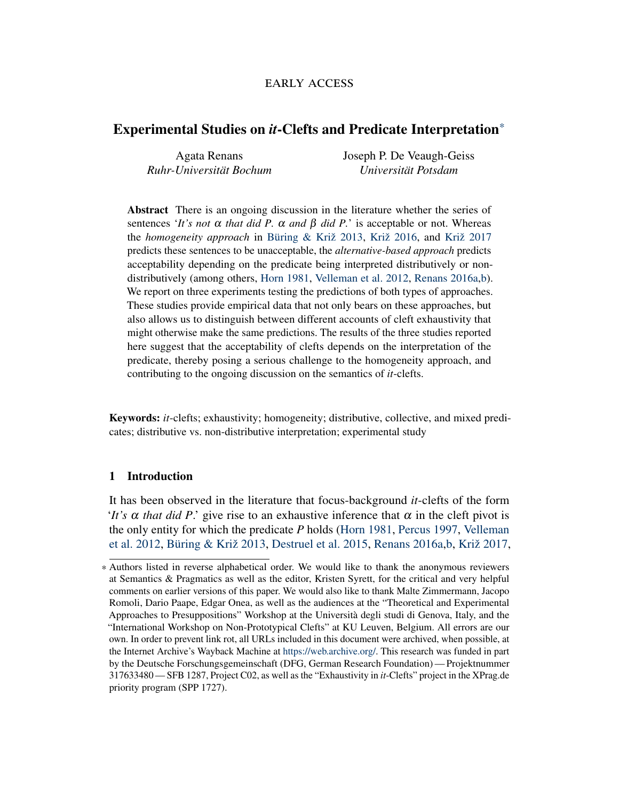# early access

# Experimental Studies on *it*-Clefts and Predicate Interpretation\*

Agata Renans *Ruhr-Universität Bochum* Joseph P. De Veaugh-Geiss *Universität Potsdam*

Abstract There is an ongoing discussion in the literature whether the series of sentences '*It's not* α *that did P.* α *and* β *did P.*' is acceptable or not. Whereas the *homogeneity approach* in [Büring & Križ](#page-34-0) [2013,](#page-34-0) [Križ](#page-35-0) [2016,](#page-35-0) and [Križ](#page-36-0) [2017](#page-36-0) predicts these sentences to be unacceptable, the *alternative-based approach* predicts acceptability depending on the predicate being interpreted distributively or nondistributively (among others, [Horn](#page-35-1) [1981,](#page-35-1) [Velleman et al.](#page-37-0) [2012,](#page-37-0) [Renans](#page-36-1) [2016a,](#page-36-1)[b\)](#page-36-2). We report on three experiments testing the predictions of both types of approaches. These studies provide empirical data that not only bears on these approaches, but also allows us to distinguish between different accounts of cleft exhaustivity that might otherwise make the same predictions. The results of the three studies reported here suggest that the acceptability of clefts depends on the interpretation of the predicate, thereby posing a serious challenge to the homogeneity approach, and contributing to the ongoing discussion on the semantics of *it*-clefts.

Keywords: *it*-clefts; exhaustivity; homogeneity; distributive, collective, and mixed predicates; distributive vs. non-distributive interpretation; experimental study

### 1 Introduction

It has been observed in the literature that focus-background *it*-clefts of the form '*It's*  $\alpha$  *that did P*.' give rise to an exhaustive inference that  $\alpha$  in the cleft pivot is the only entity for which the predicate *P* holds [\(Horn](#page-35-1) [1981,](#page-35-1) [Percus](#page-36-3) [1997,](#page-36-3) [Velleman](#page-37-0) [et al.](#page-37-0) [2012,](#page-37-0) [Büring & Križ](#page-34-0) [2013,](#page-34-0) [Destruel et al.](#page-34-1) [2015,](#page-34-1) [Renans](#page-36-1) [2016a](#page-36-1)[,b,](#page-36-2) [Križ](#page-36-0) [2017,](#page-36-0)

<sup>\*</sup> Authors listed in reverse alphabetical order. We would like to thank the anonymous reviewers at Semantics & Pragmatics as well as the editor, Kristen Syrett, for the critical and very helpful comments on earlier versions of this paper. We would also like to thank Malte Zimmermann, Jacopo Romoli, Dario Paape, Edgar Onea, as well as the audiences at the "Theoretical and Experimental Approaches to Presuppositions" Workshop at the Università degli studi di Genova, Italy, and the "International Workshop on Non-Prototypical Clefts" at KU Leuven, Belgium. All errors are our own. In order to prevent link rot, all URLs included in this document were archived, when possible, at the Internet Archive's Wayback Machine at [https://web.archive.org/.](https://web.archive.org/) This research was funded in part by the Deutsche Forschungsgemeinschaft (DFG, German Research Foundation)— Projektnummer 317633480 — SFB 1287, Project C02, as well as the "Exhaustivity in *it*-Clefts" project in the XPrag.de priority program (SPP 1727).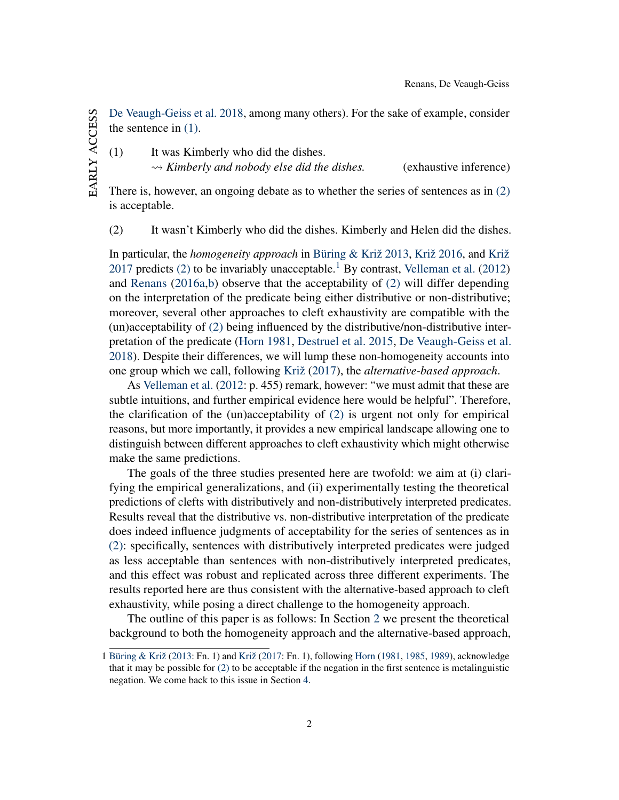[De Veaugh-Geiss et al.](#page-34-2) [2018,](#page-34-2) among many others). For the sake of example, consider the sentence in [\(1\).](#page-2-0)

<span id="page-2-0"></span>(1) It was Kimberly who did the dishes.

 $\rightsquigarrow$  *Kimberly and nobody else did the dishes.* (exhaustive inference)

There is, however, an ongoing debate as to whether the series of sentences as in [\(2\)](#page-2-1) is acceptable.

<span id="page-2-1"></span>(2) It wasn't Kimberly who did the dishes. Kimberly and Helen did the dishes.

In particular, the *homogeneity approach* in [Büring & Križ](#page-34-0) [2013,](#page-34-0) [Križ](#page-35-0) [2016,](#page-35-0) and [Križ](#page-36-0) [2017](#page-36-0) predicts [\(2\)](#page-2-1) to be invariably unacceptable.<sup>[1](#page-2-2)</sup> By contrast, [Velleman et al.](#page-37-0) [\(2012\)](#page-37-0) and [Renans](#page-36-1) [\(2016a,](#page-36-1)[b\)](#page-36-2) observe that the acceptability of [\(2\)](#page-2-1) will differ depending on the interpretation of the predicate being either distributive or non-distributive; moreover, several other approaches to cleft exhaustivity are compatible with the (un)acceptability of [\(2\)](#page-2-1) being influenced by the distributive/non-distributive interpretation of the predicate [\(Horn](#page-35-1) [1981,](#page-35-1) [Destruel et al.](#page-34-1) [2015,](#page-34-1) [De Veaugh-Geiss et al.](#page-34-2) [2018\)](#page-34-2). Despite their differences, we will lump these non-homogeneity accounts into one group which we call, following [Križ](#page-36-0) [\(2017\)](#page-36-0), the *alternative-based approach*.

As [Velleman et al.](#page-37-0) [\(2012:](#page-37-0) p. 455) remark, however: "we must admit that these are subtle intuitions, and further empirical evidence here would be helpful". Therefore, the clarification of the (un)acceptability of [\(2\)](#page-2-1) is urgent not only for empirical reasons, but more importantly, it provides a new empirical landscape allowing one to distinguish between different approaches to cleft exhaustivity which might otherwise make the same predictions.

The goals of the three studies presented here are twofold: we aim at (i) clarifying the empirical generalizations, and (ii) experimentally testing the theoretical predictions of clefts with distributively and non-distributively interpreted predicates. Results reveal that the distributive vs. non-distributive interpretation of the predicate does indeed influence judgments of acceptability for the series of sentences as in [\(2\):](#page-2-1) specifically, sentences with distributively interpreted predicates were judged as less acceptable than sentences with non-distributively interpreted predicates, and this effect was robust and replicated across three different experiments. The results reported here are thus consistent with the alternative-based approach to cleft exhaustivity, while posing a direct challenge to the homogeneity approach.

The outline of this paper is as follows: In Section [2](#page-3-0) we present the theoretical background to both the homogeneity approach and the alternative-based approach,

<span id="page-2-2"></span><sup>1</sup> [Büring & Križ](#page-34-0) [\(2013:](#page-34-0) Fn. 1) and [Križ](#page-36-0) [\(2017:](#page-36-0) Fn. 1), following [Horn](#page-35-1) [\(1981,](#page-35-1) [1985,](#page-35-2) [1989\)](#page-35-3), acknowledge that it may be possible for  $(2)$  to be acceptable if the negation in the first sentence is metalinguistic negation. We come back to this issue in Section [4.](#page-28-0)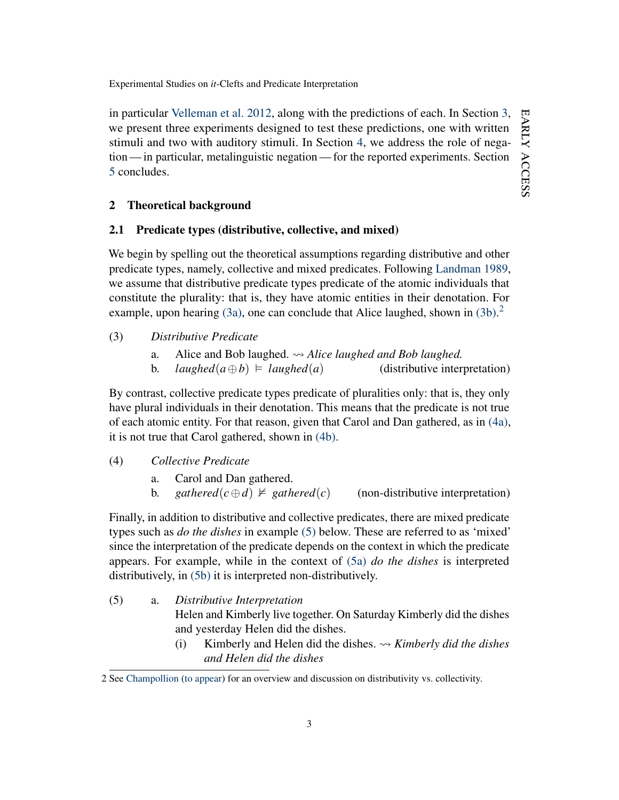in particular [Velleman et al.](#page-37-0) [2012,](#page-37-0) along with the predictions of each. In Section [3,](#page-13-0) we present three experiments designed to test these predictions, one with written stimuli and two with auditory stimuli. In Section [4,](#page-28-0) we address the role of negation — in particular, metalinguistic negation — for the reported experiments. Section [5](#page-33-0) concludes.

# <span id="page-3-0"></span>2 Theoretical background

# 2.1 Predicate types (distributive, collective, and mixed)

We begin by spelling out the theoretical assumptions regarding distributive and other predicate types, namely, collective and mixed predicates. Following [Landman](#page-36-4) [1989,](#page-36-4) we assume that distributive predicate types predicate of the atomic individuals that constitute the plurality: that is, they have atomic entities in their denotation. For example, upon hearing  $(3a)$ , one can conclude that Alice laughed, shown in  $(3b)$ .<sup>[2](#page-3-3)</sup>

### <span id="page-3-1"></span>(3) *Distributive Predicate*

- a. Alice and Bob laughed.  $\rightsquigarrow$  *Alice laughed and Bob laughed.*
- b. *laughed*( $a \oplus b$ )  $\models$  *laughed*( $a$ ) (distributive interpretation)

<span id="page-3-2"></span>By contrast, collective predicate types predicate of pluralities only: that is, they only have plural individuals in their denotation. This means that the predicate is not true of each atomic entity. For that reason, given that Carol and Dan gathered, as in [\(4a\),](#page-3-4) it is not true that Carol gathered, shown in [\(4b\).](#page-3-5)

<span id="page-3-4"></span>(4) *Collective Predicate*

- a. Carol and Dan gathered.
- b. *gathered*( $c \oplus d$ )  $\neq$  *gathered*( $c$ ) (non-distributive interpretation)

<span id="page-3-5"></span>Finally, in addition to distributive and collective predicates, there are mixed predicate types such as *do the dishes* in example [\(5\)](#page-3-6) below. These are referred to as 'mixed' since the interpretation of the predicate depends on the context in which the predicate appears. For example, while in the context of [\(5a\)](#page-3-7) *do the dishes* is interpreted distributively, in [\(5b\)](#page-4-0) it is interpreted non-distributively.

- <span id="page-3-7"></span><span id="page-3-6"></span>(5) a. *Distributive Interpretation* Helen and Kimberly live together. On Saturday Kimberly did the dishes and yesterday Helen did the dishes.
	- (i) Kimberly and Helen did the dishes.  $\rightsquigarrow$  *Kimberly did the dishes and Helen did the dishes*

<span id="page-3-3"></span><sup>2</sup> See [Champollion](#page-34-3) [\(to appear\)](#page-34-3) for an overview and discussion on distributivity vs. collectivity.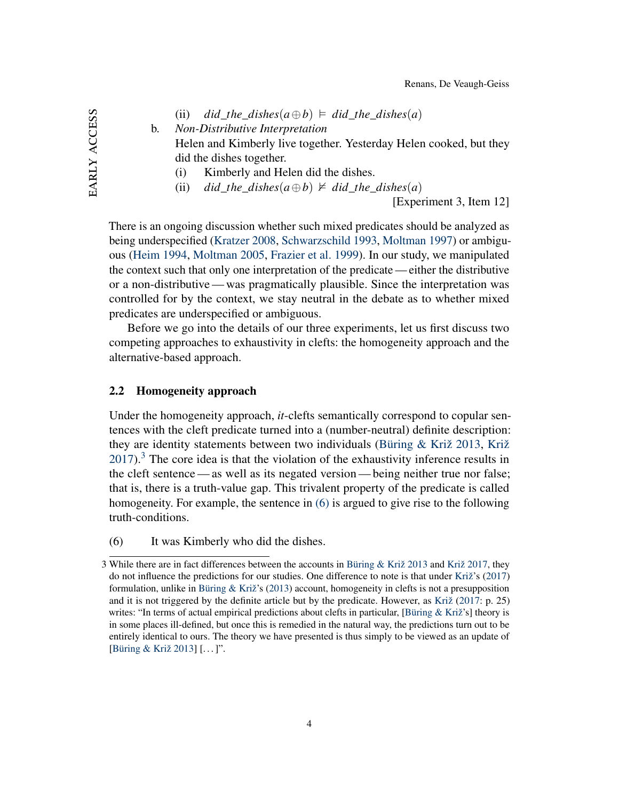(ii) 
$$
did\_the\_dishes(a \oplus b) \models did\_the\_dishes(a)
$$

<span id="page-4-0"></span>b. *Non-Distributive Interpretation*

Helen and Kimberly live together. Yesterday Helen cooked, but they did the dishes together.

- (i) Kimberly and Helen did the dishes.
- (ii) *did\_the\_dishes*( $a \oplus b$ )  $\neq$  *did\_the\_dishes*( $a$ )

[Experiment 3, Item 12]

There is an ongoing discussion whether such mixed predicates should be analyzed as being underspecified [\(Kratzer](#page-35-4) [2008,](#page-35-4) [Schwarzschild](#page-37-1) [1993,](#page-37-1) [Moltman](#page-36-5) [1997\)](#page-36-5) or ambiguous [\(Heim](#page-35-5) [1994,](#page-35-5) [Moltman](#page-36-6) [2005,](#page-36-6) [Frazier et al.](#page-35-6) [1999\)](#page-35-6). In our study, we manipulated the context such that only one interpretation of the predicate — either the distributive or a non-distributive— was pragmatically plausible. Since the interpretation was controlled for by the context, we stay neutral in the debate as to whether mixed predicates are underspecified or ambiguous.

Before we go into the details of our three experiments, let us first discuss two competing approaches to exhaustivity in clefts: the homogeneity approach and the alternative-based approach.

### <span id="page-4-3"></span>2.2 Homogeneity approach

Under the homogeneity approach, *it*-clefts semantically correspond to copular sentences with the cleft predicate turned into a (number-neutral) definite description: they are identity statements between two individuals [\(Büring & Križ](#page-34-0) [2013,](#page-34-0) [Križ](#page-36-0)  $2017$ ).<sup>[3](#page-4-1)</sup> The core idea is that the violation of the exhaustivity inference results in the cleft sentence— as well as its negated version— being neither true nor false; that is, there is a truth-value gap. This trivalent property of the predicate is called homogeneity. For example, the sentence in [\(6\)](#page-4-2) is argued to give rise to the following truth-conditions.

<span id="page-4-2"></span>(6) It was Kimberly who did the dishes.

<span id="page-4-1"></span><sup>3</sup> While there are in fact differences between the accounts in [Büring & Križ](#page-34-0) [2013](#page-34-0) and [Križ](#page-36-0) [2017,](#page-36-0) they do not influence the predictions for our studies. One difference to note is that under [Križ'](#page-36-0)s [\(2017\)](#page-36-0) formulation, unlike in Büring  $&$  Križ's [\(2013\)](#page-34-0) account, homogeneity in clefts is not a presupposition and it is not triggered by the definite article but by the predicate. However, as [Križ](#page-36-0) [\(2017:](#page-36-0) p. 25) writes: "In terms of actual empirical predictions about clefts in particular, [\[Büring & Križ'](#page-34-0)s] theory is in some places ill-defined, but once this is remedied in the natural way, the predictions turn out to be entirely identical to ours. The theory we have presented is thus simply to be viewed as an update of [\[Büring & Križ](#page-34-0) [2013\]](#page-34-0) [...]".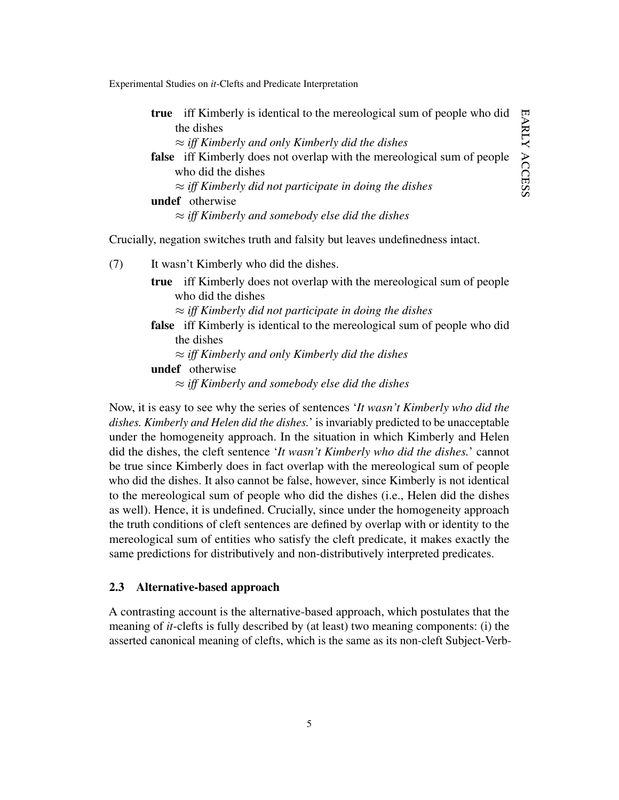early ARLY ACCESS access

Experimental Studies on *it*-Clefts and Predicate Interpretation

|                                                                | <b>true</b> iff Kimberly is identical to the mereological sum of people who did<br>्                   |
|----------------------------------------------------------------|--------------------------------------------------------------------------------------------------------|
| the dishes                                                     |                                                                                                        |
| $\approx$ iff Kimberly and only Kimberly did the dishes        |                                                                                                        |
|                                                                | $\ddot{\phantom{1}}$<br><b>false</b> iff Kimberly does not overlap with the mereological sum of people |
| who did the dishes                                             |                                                                                                        |
| $\approx$ iff Kimberly did not participate in doing the dishes |                                                                                                        |
| <b>undef</b> otherwise                                         |                                                                                                        |
| $\approx$ iff Kimberly and somebody else did the dishes        |                                                                                                        |

<span id="page-5-0"></span>Crucially, negation switches truth and falsity but leaves undefinedness intact.

(7) It wasn't Kimberly who did the dishes.

true iff Kimberly does not overlap with the mereological sum of people who did the dishes

- ≈ *iff Kimberly did not participate in doing the dishes*
- false iff Kimberly is identical to the mereological sum of people who did the dishes
	- ≈ *iff Kimberly and only Kimberly did the dishes*

undef otherwise

≈ *iff Kimberly and somebody else did the dishes*

Now, it is easy to see why the series of sentences '*It wasn't Kimberly who did the dishes. Kimberly and Helen did the dishes.*' is invariably predicted to be unacceptable under the homogeneity approach. In the situation in which Kimberly and Helen did the dishes, the cleft sentence '*It wasn't Kimberly who did the dishes.*' cannot be true since Kimberly does in fact overlap with the mereological sum of people who did the dishes. It also cannot be false, however, since Kimberly is not identical to the mereological sum of people who did the dishes (i.e., Helen did the dishes as well). Hence, it is undefined. Crucially, since under the homogeneity approach the truth conditions of cleft sentences are defined by overlap with or identity to the mereological sum of entities who satisfy the cleft predicate, it makes exactly the same predictions for distributively and non-distributively interpreted predicates.

#### <span id="page-5-1"></span>2.3 Alternative-based approach

A contrasting account is the alternative-based approach, which postulates that the meaning of *it*-clefts is fully described by (at least) two meaning components: (i) the asserted canonical meaning of clefts, which is the same as its non-cleft Subject-Verb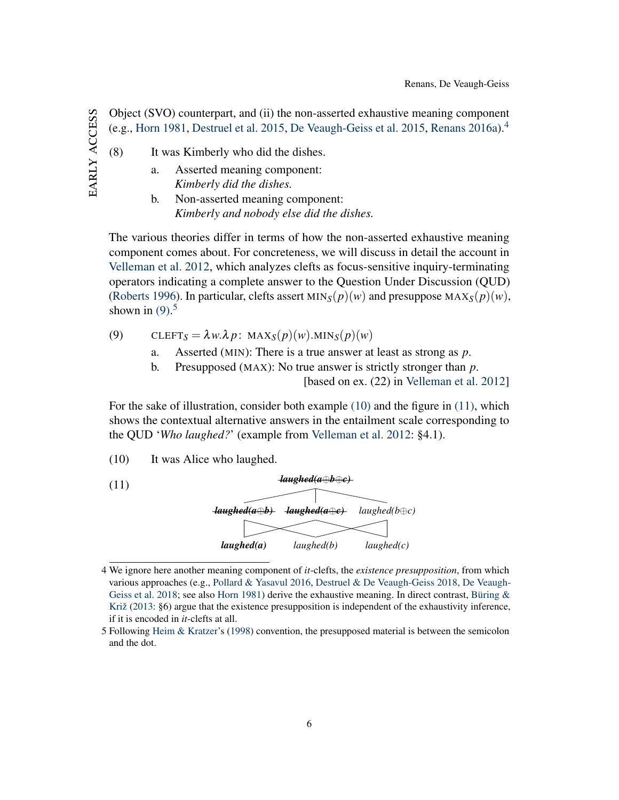EARLY ACCESS early access

(8) It was Kimberly who did the dishes.

- a. Asserted meaning component: *Kimberly did the dishes.*
	- b. Non-asserted meaning component: *Kimberly and nobody else did the dishes.*

The various theories differ in terms of how the non-asserted exhaustive meaning component comes about. For concreteness, we will discuss in detail the account in [Velleman et al.](#page-37-0) [2012,](#page-37-0) which analyzes clefts as focus-sensitive inquiry-terminating operators indicating a complete answer to the Question Under Discussion (QUD) [\(Roberts](#page-36-7) [1996\)](#page-36-7). In particular, clefts assert  $MIN_S(p)(w)$  and presuppose  $MAX_S(p)(w)$ , shown in  $(9)$ .<sup>[5](#page-6-2)</sup>

Object (SVO) counterpart, and (ii) the non-asserted exhaustive meaning component (e.g., [Horn](#page-35-1) [1981,](#page-35-1) [Destruel et al.](#page-34-1) [2015,](#page-34-1) [De Veaugh-Geiss et al.](#page-34-4) [2015,](#page-34-4) [Renans](#page-36-1) [2016a\)](#page-36-1).[4](#page-6-0)

<span id="page-6-1"></span>(9) 
$$
\text{CLEFT}_S = \lambda w \cdot \lambda p \colon \text{MAX}_S(p)(w) \cdot \text{MIN}_S(p)(w)
$$

- a. Asserted (MIN): There is a true answer at least as strong as *p*.
- b. Presupposed (MAX): No true answer is strictly stronger than *p*.

[based on ex. (22) in [Velleman et al.](#page-37-0) [2012\]](#page-37-0)

For the sake of illustration, consider both example [\(10\)](#page-6-3) and the figure in [\(11\),](#page-6-4) which shows the contextual alternative answers in the entailment scale corresponding to the QUD '*Who laughed?*' (example from [Velleman et al.](#page-37-0) [2012:](#page-37-0) §4.1).

<span id="page-6-4"></span><span id="page-6-3"></span>(10) It was Alice who laughed.



<span id="page-6-0"></span><sup>4</sup> We ignore here another meaning component of *it*-clefts, the *existence presupposition*, from which various approaches (e.g., [Pollard & Yasavul](#page-36-8) [2016,](#page-36-8) [Destruel & De Veaugh-Geiss](#page-34-5) [2018,](#page-34-5) [De Veaugh-](#page-34-2)[Geiss et al.](#page-34-2) [2018;](#page-34-2) see also [Horn](#page-35-1) [1981\)](#page-35-1) derive the exhaustive meaning. In direct contrast, Büring  $\&$ [Križ](#page-34-0) [\(2013:](#page-34-0) §6) argue that the existence presupposition is independent of the exhaustivity inference, if it is encoded in *it*-clefts at all.

<span id="page-6-2"></span><sup>5</sup> Following [Heim & Kratzer'](#page-35-7)s [\(1998\)](#page-35-7) convention, the presupposed material is between the semicolon and the dot.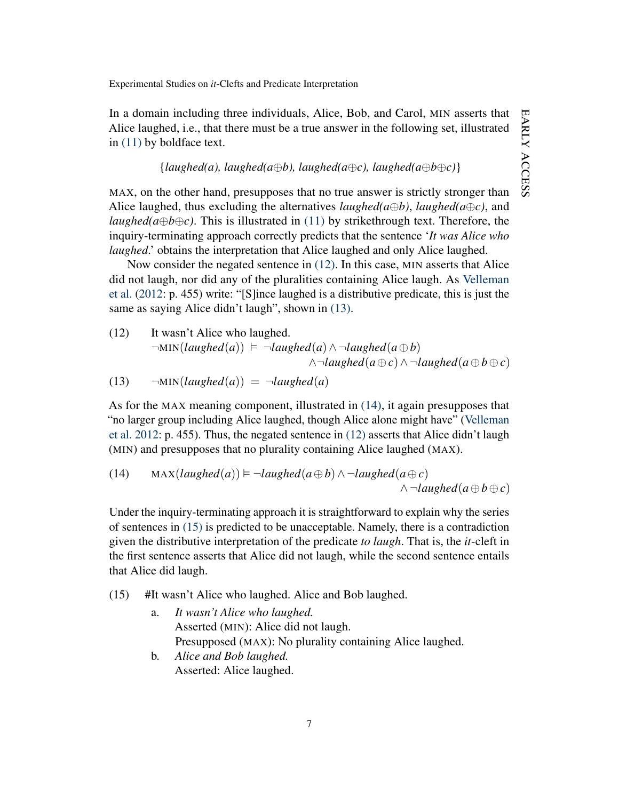In a domain including three individuals, Alice, Bob, and Carol, MIN asserts that Alice laughed, i.e., that there must be a true answer in the following set, illustrated in [\(11\)](#page-6-4) by boldface text.

### ${[language(a), \text{language(a} \oplus b), \text{language(a} \oplus c), \text{language(a} \oplus b \oplus c)]}$

MAX, on the other hand, presupposes that no true answer is strictly stronger than Alice laughed, thus excluding the alternatives *laughed*( $a \oplus b$ ), *laughed*( $a \oplus c$ ), and *laughed(a* $\oplus$ *b* $\oplus$ *c*). This is illustrated in [\(11\)](#page-6-4) by strikethrough text. Therefore, the inquiry-terminating approach correctly predicts that the sentence '*It was Alice who laughed*.' obtains the interpretation that Alice laughed and only Alice laughed.

Now consider the negated sentence in [\(12\).](#page-7-0) In this case, MIN asserts that Alice did not laugh, nor did any of the pluralities containing Alice laugh. As [Velleman](#page-37-0) [et al.](#page-37-0) [\(2012:](#page-37-0) p. 455) write: "[S]ince laughed is a distributive predicate, this is just the same as saying Alice didn't laugh", shown in  $(13)$ .

<span id="page-7-0"></span>(12) It wasn't Alice who laughed.  
\n¬MIN(*laughed*(a)) 
$$
\models \neg
$$
*laughed*(a) ∧ ¬*laughed*(a ⊕ b)  
\n∧¬*laughed*(a ⊕ c) ∧ ¬*laughed*(a ⊕ b ⊕ c)

<span id="page-7-1"></span>(13) 
$$
\neg MIN(laughed(a)) = \neg laughed(a)
$$

As for the MAX meaning component, illustrated in [\(14\),](#page-7-2) it again presupposes that "no larger group including Alice laughed, though Alice alone might have" [\(Velleman](#page-37-0) [et al.](#page-37-0) [2012:](#page-37-0) p. 455). Thus, the negated sentence in [\(12\)](#page-7-0) asserts that Alice didn't laugh (MIN) and presupposes that no plurality containing Alice laughed (MAX).

<span id="page-7-2"></span>(14) 
$$
MAX(laughed(a)) \models \neg \text{laughed}(a \oplus b) \land \neg \text{laughed}(a \oplus c)
$$
  
 $\land \neg \text{laughed}(a \oplus b \oplus c)$ 

Under the inquiry-terminating approach it is straightforward to explain why the series of sentences in [\(15\)](#page-7-3) is predicted to be unacceptable. Namely, there is a contradiction given the distributive interpretation of the predicate *to laugh*. That is, the *it*-cleft in the first sentence asserts that Alice did not laugh, while the second sentence entails that Alice did laugh.

- <span id="page-7-3"></span>(15) #It wasn't Alice who laughed. Alice and Bob laughed.
	- a. *It wasn't Alice who laughed.* Asserted (MIN): Alice did not laugh. Presupposed (MAX): No plurality containing Alice laughed.
	- b. *Alice and Bob laughed.* Asserted: Alice laughed.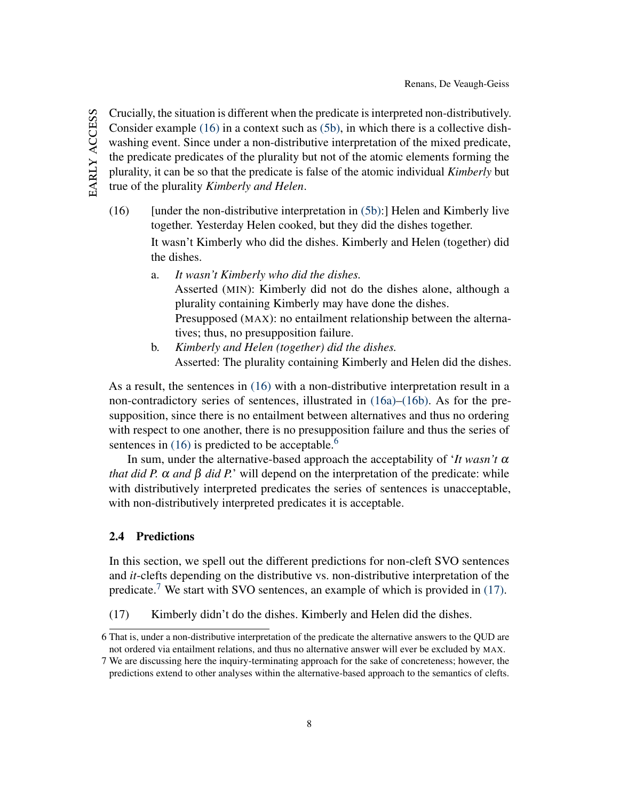Crucially, the situation is different when the predicate is interpreted non-distributively. Consider example [\(16\)](#page-8-0) in a context such as [\(5b\),](#page-4-0) in which there is a collective dishwashing event. Since under a non-distributive interpretation of the mixed predicate, the predicate predicates of the plurality but not of the atomic elements forming the plurality, it can be so that the predicate is false of the atomic individual *Kimberly* but true of the plurality *Kimberly and Helen*.

<span id="page-8-0"></span> $(16)$  [under the non-distributive interpretation in  $(5b)$ :] Helen and Kimberly live together. Yesterday Helen cooked, but they did the dishes together.

> It wasn't Kimberly who did the dishes. Kimberly and Helen (together) did the dishes.

- <span id="page-8-1"></span>a. *It wasn't Kimberly who did the dishes.* Asserted (MIN): Kimberly did not do the dishes alone, although a plurality containing Kimberly may have done the dishes. Presupposed (MAX): no entailment relationship between the alternatives; thus, no presupposition failure.
- <span id="page-8-2"></span>b. *Kimberly and Helen (together) did the dishes.* Asserted: The plurality containing Kimberly and Helen did the dishes.

As a result, the sentences in [\(16\)](#page-8-0) with a non-distributive interpretation result in a non-contradictory series of sentences, illustrated in [\(16a\)–](#page-8-1)[\(16b\).](#page-8-2) As for the presupposition, since there is no entailment between alternatives and thus no ordering with respect to one another, there is no presupposition failure and thus the series of sentences in  $(16)$  is predicted to be acceptable.<sup>[6](#page-8-3)</sup>

In sum, under the alternative-based approach the acceptability of '*It wasn't* α *that did P.*  $\alpha$  *and*  $\beta$  *did P.*' will depend on the interpretation of the predicate: while with distributively interpreted predicates the series of sentences is unacceptable, with non-distributively interpreted predicates it is acceptable.

## 2.4 Predictions

In this section, we spell out the different predictions for non-cleft SVO sentences and *it*-clefts depending on the distributive vs. non-distributive interpretation of the predicate.<sup>[7](#page-8-4)</sup> We start with SVO sentences, an example of which is provided in  $(17)$ .

<span id="page-8-5"></span>(17) Kimberly didn't do the dishes. Kimberly and Helen did the dishes.

EARLY ACCESS early access

<span id="page-8-3"></span><sup>6</sup> That is, under a non-distributive interpretation of the predicate the alternative answers to the QUD are not ordered via entailment relations, and thus no alternative answer will ever be excluded by MAX.

<span id="page-8-4"></span><sup>7</sup> We are discussing here the inquiry-terminating approach for the sake of concreteness; however, the predictions extend to other analyses within the alternative-based approach to the semantics of clefts.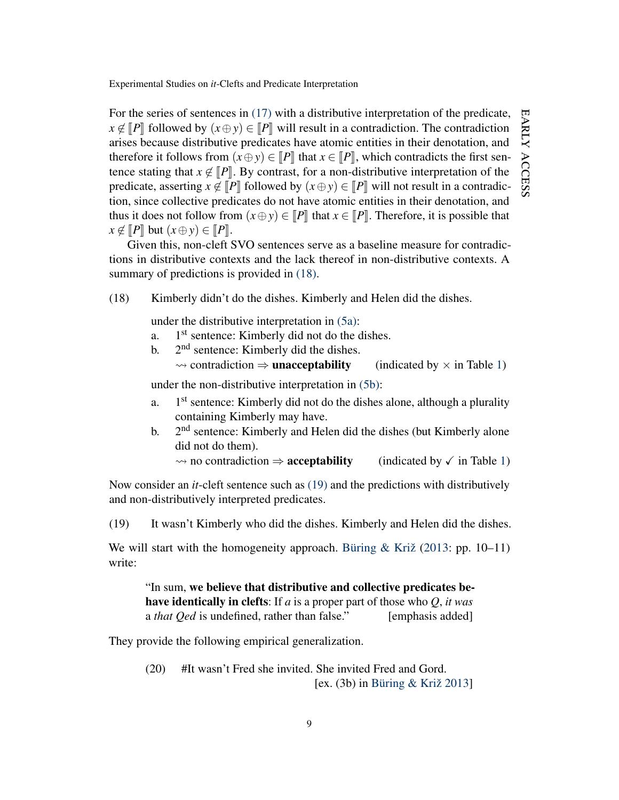For the series of sentences in [\(17\)](#page-8-5) with a distributive interpretation of the predicate,  $x \notin [P]$  followed by  $(x \oplus y) \in [P]$  will result in a contradiction. The contradiction arises because distributive predicates have atomic entities in their denotation, and therefore it follows from  $(x \oplus y) \in [P]$  that  $x \in [P]$ , which contradicts the first sentence stating that  $x \notin [P]$ . By contrast, for a non-distributive interpretation of the predicate, asserting  $x \notin [P]$  followed by  $(x \oplus y) \in [P]$  will not result in a contradiction, since collective predicates do not have atomic entities in their denotation, and thus it does not follow from  $(x \oplus y) \in [P]$  that  $x \in [P]$ . Therefore, it is possible that  $x \notin [P]$  but  $(x \oplus y) \in [P]$ .

Given this, non-cleft SVO sentences serve as a baseline measure for contradictions in distributive contexts and the lack thereof in non-distributive contexts. A summary of predictions is provided in  $(18)$ .

<span id="page-9-0"></span>(18) Kimberly didn't do the dishes. Kimberly and Helen did the dishes.

under the distributive interpretation in [\(5a\):](#page-3-7)

- $a<sub>1</sub>$ 1<sup>st</sup> sentence: Kimberly did not do the dishes.
- $h$ .  $2<sup>nd</sup>$  sentence: Kimberly did the dishes.

 $\rightsquigarrow$  contradiction  $\Rightarrow$  **unacceptability** (indicated by  $\times$  in Table [1\)](#page-12-0)

under the non-distributive interpretation in [\(5b\):](#page-4-0)

- a. 1<sup>st</sup> sentence: Kimberly did not do the dishes alone, although a plurality containing Kimberly may have.
- $\mathbf{b}$ . 2<sup>nd</sup> sentence: Kimberly and Helen did the dishes (but Kimberly alone did not do them).

 $\rightarrow$  no contradiction  $\Rightarrow$  **acceptability** (indicated by  $\checkmark$  in Table [1\)](#page-12-0)

Now consider an *it*-cleft sentence such as [\(19\)](#page-9-1) and the predictions with distributively and non-distributively interpreted predicates.

<span id="page-9-1"></span>(19) It wasn't Kimberly who did the dishes. Kimberly and Helen did the dishes.

We will start with the homogeneity approach. [Büring & Križ](#page-34-0) [\(2013:](#page-34-0) pp. 10–11) write:

"In sum, we believe that distributive and collective predicates behave identically in clefts: If *a* is a proper part of those who *Q*, *it was* a *that Qed* is undefined, rather than false." [emphasis added]

They provide the following empirical generalization.

(20) #It wasn't Fred she invited. She invited Fred and Gord. [ex. (3b) in [Büring & Križ](#page-34-0) [2013\]](#page-34-0)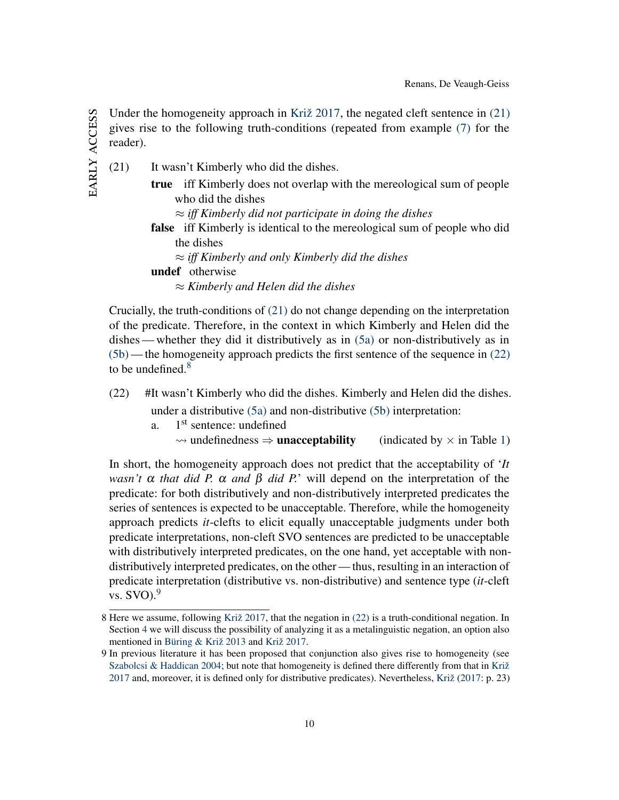Under the homogeneity approach in [Križ](#page-36-0) [2017,](#page-36-0) the negated cleft sentence in  $(21)$ gives rise to the following truth-conditions (repeated from example [\(7\)](#page-5-0) for the reader).

<span id="page-10-0"></span>(21) It wasn't Kimberly who did the dishes. true iff Kimberly does not overlap with the mereological sum of people who did the dishes ≈ *iff Kimberly did not participate in doing the dishes* false iff Kimberly is identical to the mereological sum of people who did the dishes ≈ *iff Kimberly and only Kimberly did the dishes* undef otherwise ≈ *Kimberly and Helen did the dishes*

Crucially, the truth-conditions of [\(21\)](#page-10-0) do not change depending on the interpretation of the predicate. Therefore, in the context in which Kimberly and Helen did the dishes— whether they did it distributively as in [\(5a\)](#page-3-7) or non-distributively as in [\(5b\)](#page-4-0) — the homogeneity approach predicts the first sentence of the sequence in [\(22\)](#page-10-1) to be undefined. $8$ 

- <span id="page-10-1"></span>(22) #It wasn't Kimberly who did the dishes. Kimberly and Helen did the dishes. under a distributive [\(5a\)](#page-3-7) and non-distributive [\(5b\)](#page-4-0) interpretation:
	- $a<sub>1</sub>$ 1<sup>st</sup> sentence: undefined
		- $\rightsquigarrow$  undefinedness  $\Rightarrow$  **unacceptability** (indicated by  $\times$  in Table [1\)](#page-12-0)

In short, the homogeneity approach does not predict that the acceptability of '*It wasn't* α *that did P.* α *and* β *did P.*' will depend on the interpretation of the predicate: for both distributively and non-distributively interpreted predicates the series of sentences is expected to be unacceptable. Therefore, while the homogeneity approach predicts *it*-clefts to elicit equally unacceptable judgments under both predicate interpretations, non-cleft SVO sentences are predicted to be unacceptable with distributively interpreted predicates, on the one hand, yet acceptable with nondistributively interpreted predicates, on the other — thus, resulting in an interaction of predicate interpretation (distributive vs. non-distributive) and sentence type (*it*-cleft vs.  $SVO$ .<sup>[9](#page-10-3)</sup>

<span id="page-10-2"></span><sup>8</sup> Here we assume, following [Križ](#page-36-0) [2017,](#page-36-0) that the negation in [\(22\)](#page-10-1) is a truth-conditional negation. In Section [4](#page-28-0) we will discuss the possibility of analyzing it as a metalinguistic negation, an option also mentioned in [Büring & Križ](#page-34-0) [2013](#page-34-0) and [Križ](#page-36-0) [2017.](#page-36-0)

<span id="page-10-3"></span><sup>9</sup> In previous literature it has been proposed that conjunction also gives rise to homogeneity (see [Szabolcsi & Haddican](#page-37-2) [2004;](#page-37-2) but note that homogeneity is defined there differently from that in [Križ](#page-36-0) [2017](#page-36-0) and, moreover, it is defined only for distributive predicates). Nevertheless, [Križ](#page-36-0) [\(2017:](#page-36-0) p. 23)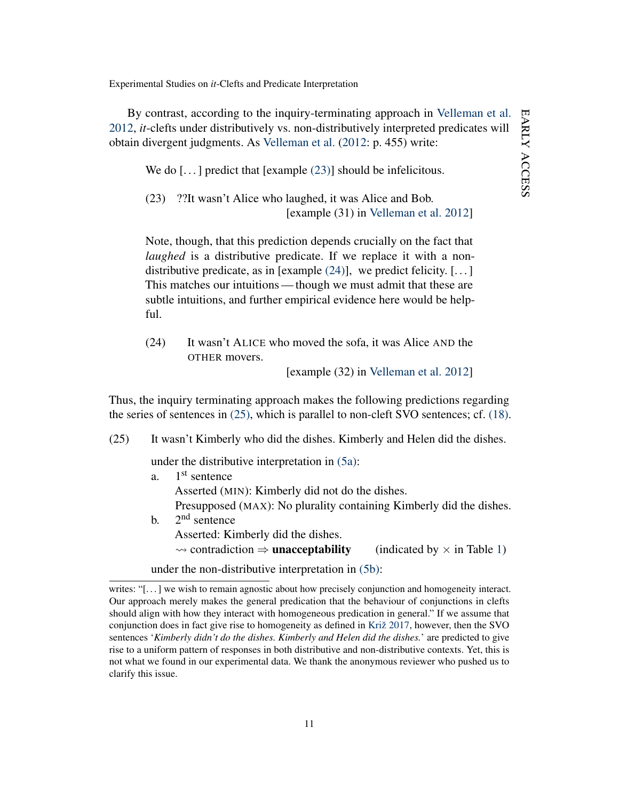EARLY ACCESS early access

Experimental Studies on *it*-Clefts and Predicate Interpretation

By contrast, according to the inquiry-terminating approach in [Velleman et al.](#page-37-0) [2012,](#page-37-0) *it*-clefts under distributively vs. non-distributively interpreted predicates will obtain divergent judgments. As [Velleman et al.](#page-37-0) [\(2012:](#page-37-0) p. 455) write:

<span id="page-11-0"></span>We do  $\left[\ldots\right]$  predict that  $\left[\text{example}\left(23\right)\right]$  should be infelicitous.

(23) ??It wasn't Alice who laughed, it was Alice and Bob. [example (31) in [Velleman et al.](#page-37-0) [2012\]](#page-37-0)

Note, though, that this prediction depends crucially on the fact that *laughed* is a distributive predicate. If we replace it with a nondistributive predicate, as in [example  $(24)$ ], we predict felicity. [...] This matches our intuitions— though we must admit that these are subtle intuitions, and further empirical evidence here would be helpful.

<span id="page-11-1"></span>(24) It wasn't ALICE who moved the sofa, it was Alice AND the OTHER movers.

[example (32) in [Velleman et al.](#page-37-0) [2012\]](#page-37-0)

Thus, the inquiry terminating approach makes the following predictions regarding the series of sentences in [\(25\),](#page-11-2) which is parallel to non-cleft SVO sentences; cf. [\(18\).](#page-9-0)

<span id="page-11-2"></span>(25) It wasn't Kimberly who did the dishes. Kimberly and Helen did the dishes.

under the distributive interpretation in [\(5a\):](#page-3-7)

- $a<sub>1</sub>$  $1<sup>st</sup>$  sentence Asserted (MIN): Kimberly did not do the dishes. Presupposed (MAX): No plurality containing Kimberly did the dishes.  $\mathbf{b}$ .  $2<sup>nd</sup>$  sentence
	- Asserted: Kimberly did the dishes.
		- $\rightsquigarrow$  contradiction  $\Rightarrow$  **unacceptability** (indicated by  $\times$  in Table [1\)](#page-12-0)

under the non-distributive interpretation in [\(5b\):](#page-4-0)

writes: "[...] we wish to remain agnostic about how precisely conjunction and homogeneity interact. Our approach merely makes the general predication that the behaviour of conjunctions in clefts should align with how they interact with homogeneous predication in general." If we assume that conjunction does in fact give rise to homogeneity as defined in [Križ](#page-36-0) [2017,](#page-36-0) however, then the SVO sentences '*Kimberly didn't do the dishes. Kimberly and Helen did the dishes.*' are predicted to give rise to a uniform pattern of responses in both distributive and non-distributive contexts. Yet, this is not what we found in our experimental data. We thank the anonymous reviewer who pushed us to clarify this issue.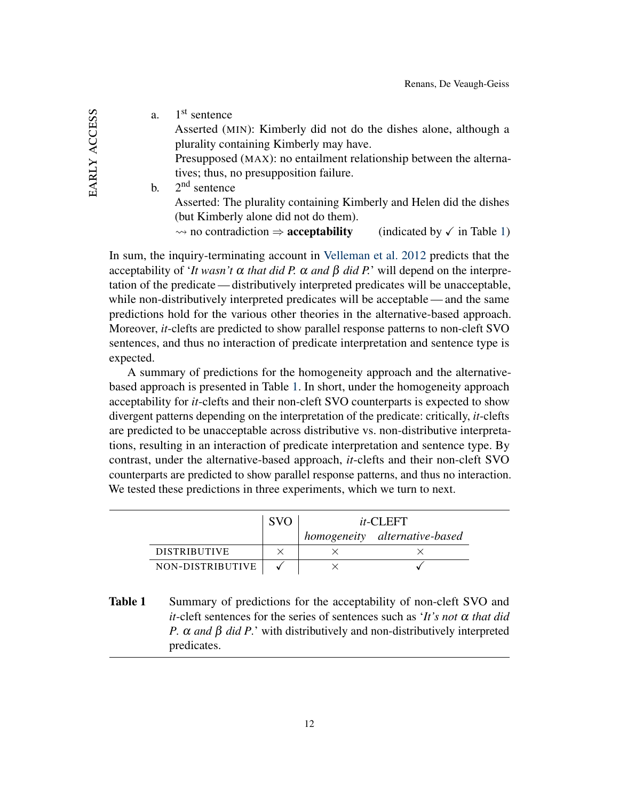EARLY ACCESS early access

| a. | 1 <sup>st</sup> sentence                                                                                         |
|----|------------------------------------------------------------------------------------------------------------------|
|    | Asserted (MIN): Kimberly did not do the dishes alone, although a                                                 |
|    | plurality containing Kimberly may have.                                                                          |
|    | Presupposed (MAX): no entailment relationship between the alterna-                                               |
|    | tives; thus, no presupposition failure.                                                                          |
| b. | $2nd$ sentence                                                                                                   |
|    | Asserted: The plurality containing Kimberly and Helen did the dishes                                             |
|    | (but Kimberly alone did not do them).                                                                            |
|    | $\rightsquigarrow$ no contradiction $\Rightarrow$ <b>acceptability</b><br>(indicated by $\checkmark$ in Table 1) |
|    |                                                                                                                  |

In sum, the inquiry-terminating account in [Velleman et al.](#page-37-0) [2012](#page-37-0) predicts that the acceptability of '*It wasn't*  $\alpha$  *that did P.*  $\alpha$  *and*  $\beta$  *did P.*' will depend on the interpretation of the predicate— distributively interpreted predicates will be unacceptable, while non-distributively interpreted predicates will be acceptable— and the same predictions hold for the various other theories in the alternative-based approach. Moreover, *it*-clefts are predicted to show parallel response patterns to non-cleft SVO sentences, and thus no interaction of predicate interpretation and sentence type is expected.

A summary of predictions for the homogeneity approach and the alternativebased approach is presented in Table [1.](#page-12-0) In short, under the homogeneity approach acceptability for *it*-clefts and their non-cleft SVO counterparts is expected to show divergent patterns depending on the interpretation of the predicate: critically, *it*-clefts are predicted to be unacceptable across distributive vs. non-distributive interpretations, resulting in an interaction of predicate interpretation and sentence type. By contrast, under the alternative-based approach, *it*-clefts and their non-cleft SVO counterparts are predicted to show parallel response patterns, and thus no interaction. We tested these predictions in three experiments, which we turn to next.

|                     | $it$ -CLEFT |                               |
|---------------------|-------------|-------------------------------|
|                     |             | homogeneity alternative-based |
| <b>DISTRIBUTIVE</b> |             |                               |
| NON-DISTRIBUTIVE    |             |                               |

<span id="page-12-0"></span>**Table 1** Summary of predictions for the acceptability of non-cleft SVO and *it*-cleft sentences for the series of sentences such as '*It's not* α *that did P.* α *and* β *did P.*' with distributively and non-distributively interpreted predicates.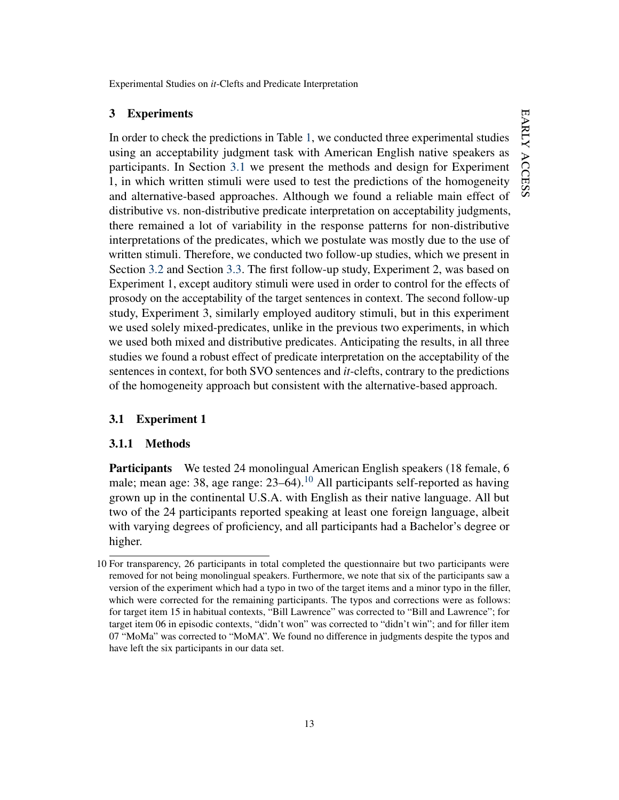## <span id="page-13-0"></span>3 Experiments

In order to check the predictions in Table [1,](#page-12-0) we conducted three experimental studies using an acceptability judgment task with American English native speakers as participants. In Section [3.1](#page-13-1) we present the methods and design for Experiment 1, in which written stimuli were used to test the predictions of the homogeneity and alternative-based approaches. Although we found a reliable main effect of distributive vs. non-distributive predicate interpretation on acceptability judgments, there remained a lot of variability in the response patterns for non-distributive interpretations of the predicates, which we postulate was mostly due to the use of written stimuli. Therefore, we conducted two follow-up studies, which we present in Section [3.2](#page-21-0) and Section [3.3.](#page-24-0) The first follow-up study, Experiment 2, was based on Experiment 1, except auditory stimuli were used in order to control for the effects of prosody on the acceptability of the target sentences in context. The second follow-up study, Experiment 3, similarly employed auditory stimuli, but in this experiment we used solely mixed-predicates, unlike in the previous two experiments, in which we used both mixed and distributive predicates. Anticipating the results, in all three studies we found a robust effect of predicate interpretation on the acceptability of the sentences in context, for both SVO sentences and *it*-clefts, contrary to the predictions of the homogeneity approach but consistent with the alternative-based approach.

# <span id="page-13-1"></span>3.1 Experiment 1

## <span id="page-13-3"></span>3.1.1 Methods

Participants We tested 24 monolingual American English speakers (18 female, 6 male; mean age: 38, age range:  $23-64$ ).<sup>[10](#page-13-2)</sup> All participants self-reported as having grown up in the continental U.S.A. with English as their native language. All but two of the 24 participants reported speaking at least one foreign language, albeit with varying degrees of proficiency, and all participants had a Bachelor's degree or higher.

<span id="page-13-2"></span><sup>10</sup> For transparency, 26 participants in total completed the questionnaire but two participants were removed for not being monolingual speakers. Furthermore, we note that six of the participants saw a version of the experiment which had a typo in two of the target items and a minor typo in the filler, which were corrected for the remaining participants. The typos and corrections were as follows: for target item 15 in habitual contexts, "Bill Lawrence" was corrected to "Bill and Lawrence"; for target item 06 in episodic contexts, "didn't won" was corrected to "didn't win"; and for filler item 07 "MoMa" was corrected to "MoMA". We found no difference in judgments despite the typos and have left the six participants in our data set.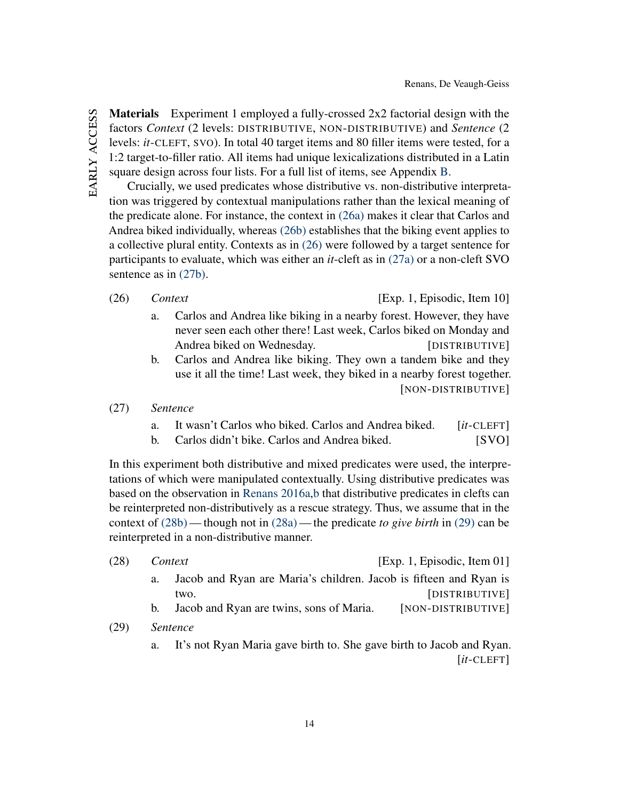Materials Experiment 1 employed a fully-crossed 2x2 factorial design with the factors *Context* (2 levels: DISTRIBUTIVE, NON-DISTRIBUTIVE) and *Sentence* (2 levels: *it*-CLEFT, SVO). In total 40 target items and 80 filler items were tested, for a 1:2 target-to-filler ratio. All items had unique lexicalizations distributed in a Latin square design across four lists. For a full list of items, see Appendix [B.](#page-38-0)

Crucially, we used predicates whose distributive vs. non-distributive interpretation was triggered by contextual manipulations rather than the lexical meaning of the predicate alone. For instance, the context in [\(26a\)](#page-14-0) makes it clear that Carlos and Andrea biked individually, whereas [\(26b\)](#page-14-1) establishes that the biking event applies to a collective plural entity. Contexts as in [\(26\)](#page-14-2) were followed by a target sentence for participants to evaluate, which was either an *it*-cleft as in [\(27a\)](#page-14-3) or a non-cleft SVO sentence as in [\(27b\).](#page-14-4)

<span id="page-14-0"></span>

- a. Carlos and Andrea like biking in a nearby forest. However, they have never seen each other there! Last week, Carlos biked on Monday and Andrea biked on Wednesday. [DISTRIBUTIVE]
- <span id="page-14-1"></span>b. Carlos and Andrea like biking. They own a tandem bike and they use it all the time! Last week, they biked in a nearby forest together. [NON-DISTRIBUTIVE]
- <span id="page-14-4"></span><span id="page-14-3"></span>(27) *Sentence*
	- a. It wasn't Carlos who biked. Carlos and Andrea biked. [*it*-CLEFT]
	- b. Carlos didn't bike. Carlos and Andrea biked. [SVO]

In this experiment both distributive and mixed predicates were used, the interpretations of which were manipulated contextually. Using distributive predicates was based on the observation in [Renans](#page-36-1) [2016a](#page-36-1)[,b](#page-36-2) that distributive predicates in clefts can be reinterpreted non-distributively as a rescue strategy. Thus, we assume that in the context of [\(28b\)](#page-14-5)— though not in [\(28a\)](#page-14-6)— the predicate *to give birth* in [\(29\)](#page-14-7) can be reinterpreted in a non-distributive manner.

- <span id="page-14-7"></span><span id="page-14-6"></span><span id="page-14-5"></span>(28) *Context* [Exp. 1, Episodic, Item 01] a. Jacob and Ryan are Maria's children. Jacob is fifteen and Ryan is two. [DISTRIBUTIVE] b. Jacob and Ryan are twins, sons of Maria. [NON-DISTRIBUTIVE] (29) *Sentence*
	- a. It's not Ryan Maria gave birth to. She gave birth to Jacob and Ryan. [*it*-CLEFT]

<span id="page-14-2"></span><sup>(26)</sup> *Context* [Exp. 1, Episodic, Item 10]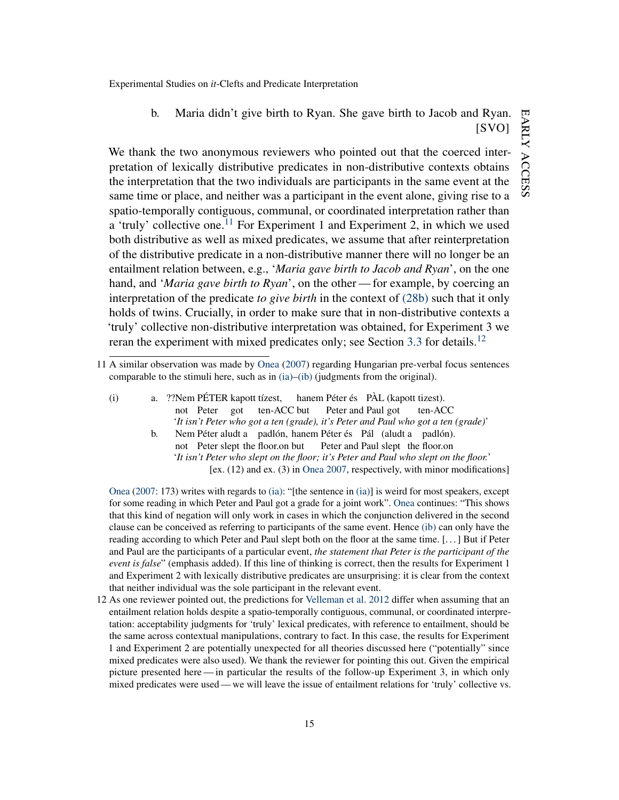b. Maria didn't give birth to Ryan. She gave birth to Jacob and Ryan. [SVO]

We thank the two anonymous reviewers who pointed out that the coerced interpretation of lexically distributive predicates in non-distributive contexts obtains the interpretation that the two individuals are participants in the same event at the same time or place, and neither was a participant in the event alone, giving rise to a spatio-temporally contiguous, communal, or coordinated interpretation rather than a 'truly' collective one.<sup>[11](#page-15-0)</sup> For Experiment 1 and Experiment 2, in which we used both distributive as well as mixed predicates, we assume that after reinterpretation of the distributive predicate in a non-distributive manner there will no longer be an entailment relation between, e.g., '*Maria gave birth to Jacob and Ryan*', on the one hand, and '*Maria gave birth to Ryan*', on the other— for example, by coercing an interpretation of the predicate *to give birth* in the context of [\(28b\)](#page-14-5) such that it only holds of twins. Crucially, in order to make sure that in non-distributive contexts a 'truly' collective non-distributive interpretation was obtained, for Experiment 3 we reran the experiment with mixed predicates only; see Section [3.3](#page-24-0) for details.<sup>[12](#page-15-1)</sup>

- <span id="page-15-3"></span><span id="page-15-2"></span>(i) a. ??Nem PÉTER kapott tízest, not Peter got ten-ACC but hanem Péter és PÀL (kapott tizest). Peter and Paul got ten-ACC '*It isn't Peter who got a ten (grade), it's Peter and Paul who got a ten (grade)*'
	- b. Nem Péter aludt a padlón, hanem Péter és Pál (aludt a padlón). not Peter slept the floor.on but Peter and Paul slept the floor.on '*It isn't Peter who slept on the floor; it's Peter and Paul who slept on the floor.*' [ex. (12) and ex. (3) in [Onea](#page-36-9) [2007,](#page-36-9) respectively, with minor modifications]

[Onea](#page-36-9) [\(2007:](#page-36-9) 173) writes with regards to [\(ia\):](#page-15-2) "[the sentence in [\(ia\)\]](#page-15-2) is weird for most speakers, except for some reading in which Peter and Paul got a grade for a joint work". [Onea](#page-36-9) continues: "This shows that this kind of negation will only work in cases in which the conjunction delivered in the second clause can be conceived as referring to participants of the same event. Hence [\(ib\)](#page-15-3) can only have the reading according to which Peter and Paul slept both on the floor at the same time. [. . . ] But if Peter and Paul are the participants of a particular event, *the statement that Peter is the participant of the event is false*" (emphasis added). If this line of thinking is correct, then the results for Experiment 1 and Experiment 2 with lexically distributive predicates are unsurprising: it is clear from the context that neither individual was the sole participant in the relevant event.

<span id="page-15-1"></span>12 As one reviewer pointed out, the predictions for [Velleman et al.](#page-37-0) [2012](#page-37-0) differ when assuming that an entailment relation holds despite a spatio-temporally contiguous, communal, or coordinated interpretation: acceptability judgments for 'truly' lexical predicates, with reference to entailment, should be the same across contextual manipulations, contrary to fact. In this case, the results for Experiment 1 and Experiment 2 are potentially unexpected for all theories discussed here ("potentially" since mixed predicates were also used). We thank the reviewer for pointing this out. Given the empirical picture presented here— in particular the results of the follow-up Experiment 3, in which only mixed predicates were used — we will leave the issue of entailment relations for 'truly' collective vs.

<span id="page-15-0"></span><sup>11</sup> A similar observation was made by [Onea](#page-36-9) [\(2007\)](#page-36-9) regarding Hungarian pre-verbal focus sentences comparable to the stimuli here, such as in [\(ia\)–](#page-15-2)[\(ib\)](#page-15-3) (judgments from the original).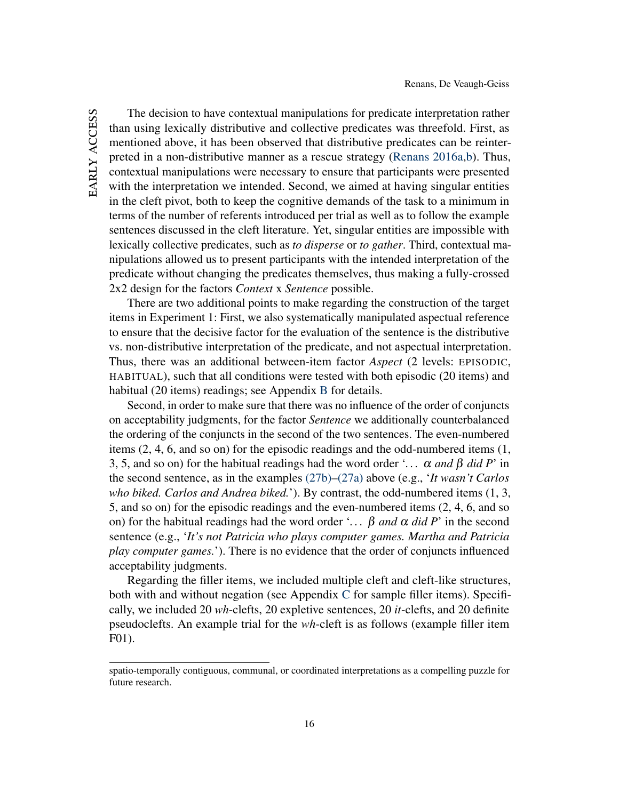EARLY ACCESS early access

The decision to have contextual manipulations for predicate interpretation rather than using lexically distributive and collective predicates was threefold. First, as mentioned above, it has been observed that distributive predicates can be reinterpreted in a non-distributive manner as a rescue strategy [\(Renans](#page-36-1) [2016a](#page-36-1)[,b\)](#page-36-2). Thus, contextual manipulations were necessary to ensure that participants were presented with the interpretation we intended. Second, we aimed at having singular entities in the cleft pivot, both to keep the cognitive demands of the task to a minimum in terms of the number of referents introduced per trial as well as to follow the example sentences discussed in the cleft literature. Yet, singular entities are impossible with lexically collective predicates, such as *to disperse* or *to gather*. Third, contextual manipulations allowed us to present participants with the intended interpretation of the predicate without changing the predicates themselves, thus making a fully-crossed 2x2 design for the factors *Context* x *Sentence* possible.

There are two additional points to make regarding the construction of the target items in Experiment 1: First, we also systematically manipulated aspectual reference to ensure that the decisive factor for the evaluation of the sentence is the distributive vs. non-distributive interpretation of the predicate, and not aspectual interpretation. Thus, there was an additional between-item factor *Aspect* (2 levels: EPISODIC, HABITUAL), such that all conditions were tested with both episodic (20 items) and habitual (20 items) readings; see Appendix [B](#page-38-0) for details.

Second, in order to make sure that there was no influence of the order of conjuncts on acceptability judgments, for the factor *Sentence* we additionally counterbalanced the ordering of the conjuncts in the second of the two sentences. The even-numbered items (2, 4, 6, and so on) for the episodic readings and the odd-numbered items (1, 3, 5, and so on) for the habitual readings had the word order '...  $\alpha$  *and*  $\beta$  *did*  $P'$  in the second sentence, as in the examples [\(27b\)](#page-14-4)[–\(27a\)](#page-14-3) above (e.g., '*It wasn't Carlos who biked. Carlos and Andrea biked.*'). By contrast, the odd-numbered items (1, 3, 5, and so on) for the episodic readings and the even-numbered items (2, 4, 6, and so on) for the habitual readings had the word order '*. . .* β *and* α *did P*' in the second sentence (e.g., '*It's not Patricia who plays computer games. Martha and Patricia play computer games.*'). There is no evidence that the order of conjuncts influenced acceptability judgments.

Regarding the filler items, we included multiple cleft and cleft-like structures, both with and without negation (see Appendix [C](#page-46-0) for sample filler items). Specifically, we included 20 *wh*-clefts, 20 expletive sentences, 20 *it*-clefts, and 20 definite pseudoclefts. An example trial for the *wh*-cleft is as follows (example filler item F01).

spatio-temporally contiguous, communal, or coordinated interpretations as a compelling puzzle for future research.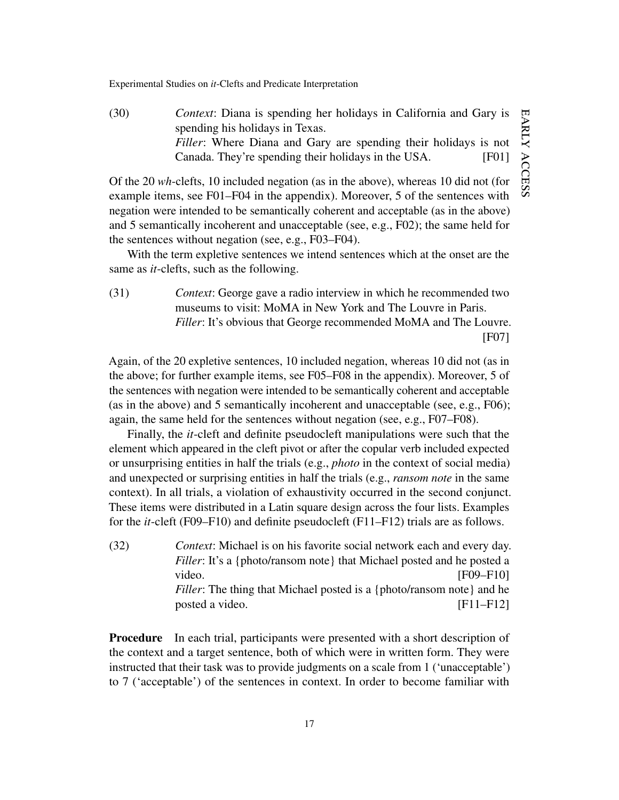(30) *Context*: Diana is spending her holidays in California and Gary is spending his holidays in Texas. *Filler*: Where Diana and Gary are spending their holidays is not Canada. They're spending their holidays in the USA. [F01]

Of the 20 *wh*-clefts, 10 included negation (as in the above), whereas 10 did not (for example items, see F01–F04 in the appendix). Moreover, 5 of the sentences with negation were intended to be semantically coherent and acceptable (as in the above) and 5 semantically incoherent and unacceptable (see, e.g., F02); the same held for the sentences without negation (see, e.g., F03–F04).

With the term expletive sentences we intend sentences which at the onset are the same as *it*-clefts, such as the following.

(31) *Context*: George gave a radio interview in which he recommended two museums to visit: MoMA in New York and The Louvre in Paris. *Filler*: It's obvious that George recommended MoMA and The Louvre. [F07]

Again, of the 20 expletive sentences, 10 included negation, whereas 10 did not (as in the above; for further example items, see F05–F08 in the appendix). Moreover, 5 of the sentences with negation were intended to be semantically coherent and acceptable (as in the above) and 5 semantically incoherent and unacceptable (see, e.g., F06); again, the same held for the sentences without negation (see, e.g., F07–F08).

Finally, the *it*-cleft and definite pseudocleft manipulations were such that the element which appeared in the cleft pivot or after the copular verb included expected or unsurprising entities in half the trials (e.g., *photo* in the context of social media) and unexpected or surprising entities in half the trials (e.g., *ransom note* in the same context). In all trials, a violation of exhaustivity occurred in the second conjunct. These items were distributed in a Latin square design across the four lists. Examples for the *it*-cleft (F09–F10) and definite pseudocleft (F11–F12) trials are as follows.

(32) *Context*: Michael is on his favorite social network each and every day. *Filler*: It's a {photo/ransom note} that Michael posted and he posted a video. [F09–F10] *Filler*: The thing that Michael posted is a {photo/ransom note} and he posted a video. [F11–F12]

**Procedure** In each trial, participants were presented with a short description of the context and a target sentence, both of which were in written form. They were instructed that their task was to provide judgments on a scale from 1 ('unacceptable') to 7 ('acceptable') of the sentences in context. In order to become familiar with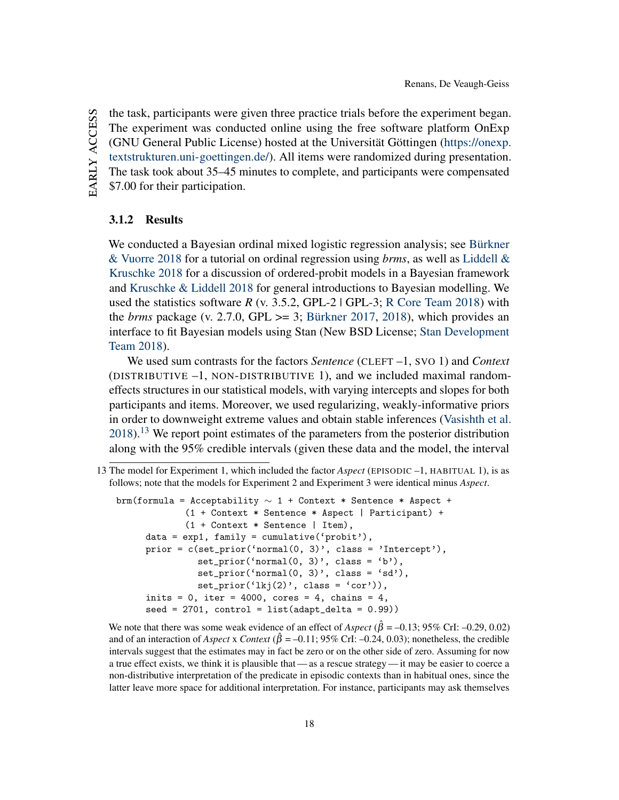the task, participants were given three practice trials before the experiment began. The experiment was conducted online using the free software platform OnExp (GNU General Public License) hosted at the Universität Göttingen [\(https://onexp.](https://onexp.textstrukturen.uni-goettingen.de/) [textstrukturen.uni-goettingen.de/\)](https://onexp.textstrukturen.uni-goettingen.de/). All items were randomized during presentation. The task took about 35–45 minutes to complete, and participants were compensated \$7.00 for their participation.

### 3.1.2 Results

We conducted a Bayesian ordinal mixed logistic regression analysis; see [Bürkner](#page-34-6) [& Vuorre](#page-34-6) [2018](#page-34-6) for a tutorial on ordinal regression using *brms*, as well as [Liddell &](#page-36-10) [Kruschke](#page-36-10) [2018](#page-36-10) for a discussion of ordered-probit models in a Bayesian framework and [Kruschke & Liddell](#page-36-11) [2018](#page-36-11) for general introductions to Bayesian modelling. We used the statistics software *R* (v. 3.5.2, GPL-2 | GPL-3; [R Core Team](#page-36-12) [2018\)](#page-36-12) with the *brms* package (v. 2.7.0, GPL  $>= 3$ ; [Bürkner](#page-34-7) [2017,](#page-34-7) [2018\)](#page-34-8), which provides an interface to fit Bayesian models using Stan (New BSD License; [Stan Development](#page-37-3) [Team](#page-37-3) [2018\)](#page-37-3).

We used sum contrasts for the factors *Sentence* (CLEFT –1, SVO 1) and *Context* (DISTRIBUTIVE –1, NON-DISTRIBUTIVE 1), and we included maximal randomeffects structures in our statistical models, with varying intercepts and slopes for both participants and items. Moreover, we used regularizing, weakly-informative priors in order to downweight extreme values and obtain stable inferences [\(Vasishth et al.](#page-37-4)  $2018$ ).<sup>[13](#page-18-0)</sup> We report point estimates of the parameters from the posterior distribution along with the 95% credible intervals (given these data and the model, the interval

```
brm(formula = Acceptability \sim 1 + Context * Sentence * Aspect +
        (1 + Context * Sentence * Aspect | Participant) +
        (1 + Context * Sentence | Item),
data = exp1, family = cumulative('probit'),prior = c(set_prior('normal(0, 3)', class = 'Intercept'),
          set_prior('normal(0, 3)', class = 'b'),
          set\_prior('normal(0, 3)', class = 'sd'),
          set\_prior('lkj(2)', class = 'cor')),
inits = 0, iter = 4000, cores = 4, chains = 4,
seed = 2701, control = list(adapt\_delta = 0.99)
```
We note that there was some weak evidence of an effect of  $Aspect (\hat{\beta} = -0.13; 95\% \text{ CrI: } -0.29, 0.02)$ and of an interaction of *Aspect* x *Context* ( $\hat{\beta} = -0.11$ ; 95% CrI:  $-0.24$ , 0.03); nonetheless, the credible intervals suggest that the estimates may in fact be zero or on the other side of zero. Assuming for now a true effect exists, we think it is plausible that — as a rescue strategy — it may be easier to coerce a non-distributive interpretation of the predicate in episodic contexts than in habitual ones, since the latter leave more space for additional interpretation. For instance, participants may ask themselves

EARLY ACCESS early access

<span id="page-18-0"></span><sup>13</sup> The model for Experiment 1, which included the factor *Aspect* (EPISODIC –1, HABITUAL 1), is as follows; note that the models for Experiment 2 and Experiment 3 were identical minus *Aspect*.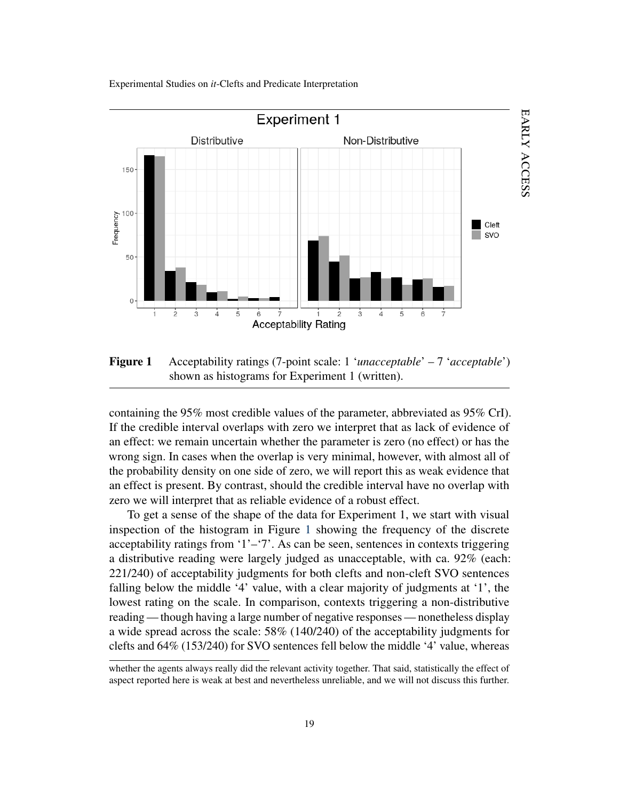

<span id="page-19-0"></span>Figure 1 Acceptability ratings (7-point scale: 1 '*unacceptable*' – 7 '*acceptable*') shown as histograms for Experiment 1 (written).

containing the 95% most credible values of the parameter, abbreviated as 95% CrI). If the credible interval overlaps with zero we interpret that as lack of evidence of an effect: we remain uncertain whether the parameter is zero (no effect) or has the wrong sign. In cases when the overlap is very minimal, however, with almost all of the probability density on one side of zero, we will report this as weak evidence that an effect is present. By contrast, should the credible interval have no overlap with zero we will interpret that as reliable evidence of a robust effect.

To get a sense of the shape of the data for Experiment 1, we start with visual inspection of the histogram in Figure [1](#page-19-0) showing the frequency of the discrete acceptability ratings from '1'–'7'. As can be seen, sentences in contexts triggering a distributive reading were largely judged as unacceptable, with ca. 92% (each: 221/240) of acceptability judgments for both clefts and non-cleft SVO sentences falling below the middle '4' value, with a clear majority of judgments at '1', the lowest rating on the scale. In comparison, contexts triggering a non-distributive reading — though having a large number of negative responses — nonetheless display a wide spread across the scale: 58% (140/240) of the acceptability judgments for clefts and 64% (153/240) for SVO sentences fell below the middle '4' value, whereas

whether the agents always really did the relevant activity together. That said, statistically the effect of aspect reported here is weak at best and nevertheless unreliable, and we will not discuss this further.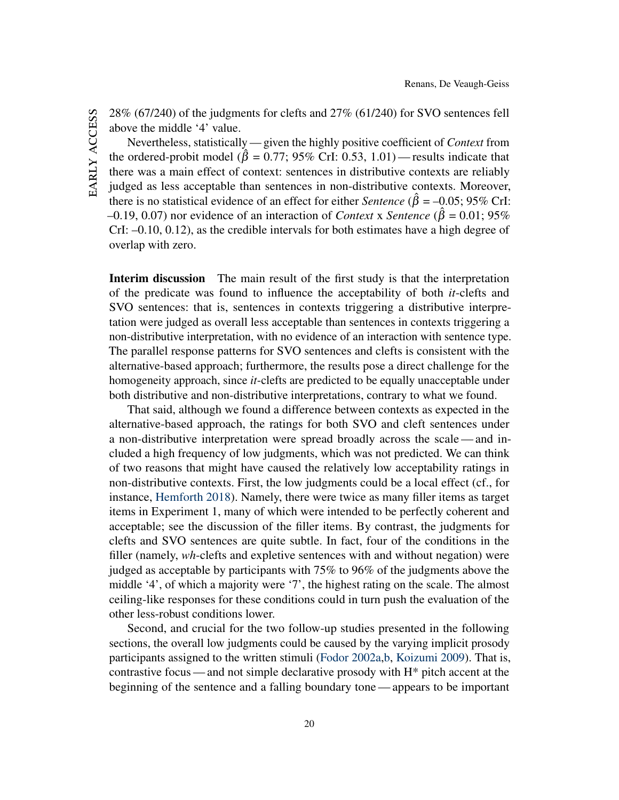28% (67/240) of the judgments for clefts and 27% (61/240) for SVO sentences fell above the middle '4' value.

Nevertheless, statistically — given the highly positive coefficient of *Context* from the ordered-probit model ( $\hat{\beta} = 0.77$ ; 95% CrI: 0.53, 1.01) — results indicate that there was a main effect of context: sentences in distributive contexts are reliably judged as less acceptable than sentences in non-distributive contexts. Moreover, there is no statistical evidence of an effect for either *Sentence* ( $\hat{\beta} = -0.05$ ; 95% CrI:  $-0.19, 0.07$ ) nor evidence of an interaction of *Context* x *Sentence* ( $\hat{\beta} = 0.01; 95\%$ CrI: –0.10, 0.12), as the credible intervals for both estimates have a high degree of overlap with zero.

Interim discussion The main result of the first study is that the interpretation of the predicate was found to influence the acceptability of both *it*-clefts and SVO sentences: that is, sentences in contexts triggering a distributive interpretation were judged as overall less acceptable than sentences in contexts triggering a non-distributive interpretation, with no evidence of an interaction with sentence type. The parallel response patterns for SVO sentences and clefts is consistent with the alternative-based approach; furthermore, the results pose a direct challenge for the homogeneity approach, since *it*-clefts are predicted to be equally unacceptable under both distributive and non-distributive interpretations, contrary to what we found.

That said, although we found a difference between contexts as expected in the alternative-based approach, the ratings for both SVO and cleft sentences under a non-distributive interpretation were spread broadly across the scale— and included a high frequency of low judgments, which was not predicted. We can think of two reasons that might have caused the relatively low acceptability ratings in non-distributive contexts. First, the low judgments could be a local effect (cf., for instance, [Hemforth](#page-35-8) [2018\)](#page-35-8). Namely, there were twice as many filler items as target items in Experiment 1, many of which were intended to be perfectly coherent and acceptable; see the discussion of the filler items. By contrast, the judgments for clefts and SVO sentences are quite subtle. In fact, four of the conditions in the filler (namely, *wh*-clefts and expletive sentences with and without negation) were judged as acceptable by participants with 75% to 96% of the judgments above the middle '4', of which a majority were '7', the highest rating on the scale. The almost ceiling-like responses for these conditions could in turn push the evaluation of the other less-robust conditions lower.

Second, and crucial for the two follow-up studies presented in the following sections, the overall low judgments could be caused by the varying implicit prosody participants assigned to the written stimuli [\(Fodor](#page-35-9) [2002a](#page-35-9)[,b,](#page-35-10) [Koizumi](#page-35-11) [2009\)](#page-35-11). That is, contrastive focus — and not simple declarative prosody with H\* pitch accent at the beginning of the sentence and a falling boundary tone— appears to be important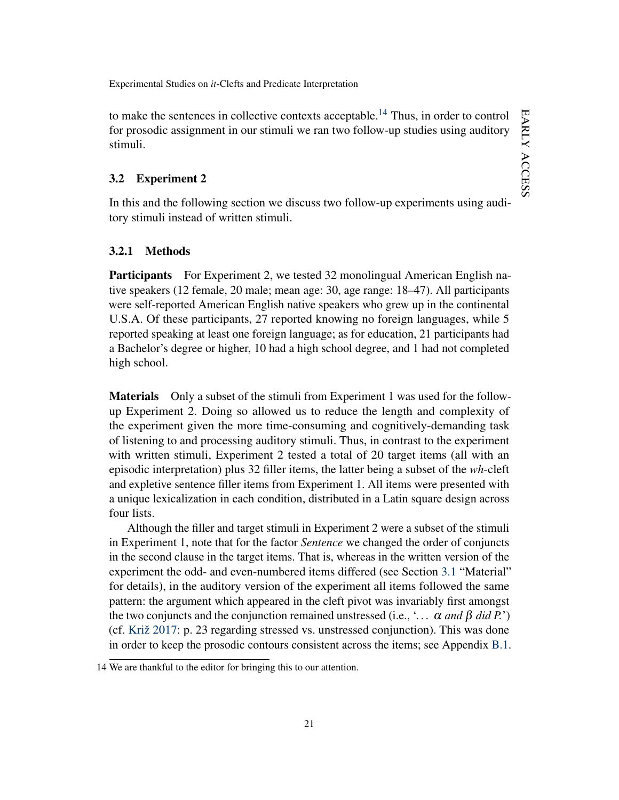EARLY ACCESS early access

Experimental Studies on *it*-Clefts and Predicate Interpretation

to make the sentences in collective contexts acceptable.<sup>[14](#page-21-1)</sup> Thus, in order to control for prosodic assignment in our stimuli we ran two follow-up studies using auditory stimuli.

## <span id="page-21-0"></span>3.2 Experiment 2

In this and the following section we discuss two follow-up experiments using auditory stimuli instead of written stimuli.

### <span id="page-21-2"></span>3.2.1 Methods

Participants For Experiment 2, we tested 32 monolingual American English native speakers (12 female, 20 male; mean age: 30, age range: 18–47). All participants were self-reported American English native speakers who grew up in the continental U.S.A. Of these participants, 27 reported knowing no foreign languages, while 5 reported speaking at least one foreign language; as for education, 21 participants had a Bachelor's degree or higher, 10 had a high school degree, and 1 had not completed high school.

Materials Only a subset of the stimuli from Experiment 1 was used for the followup Experiment 2. Doing so allowed us to reduce the length and complexity of the experiment given the more time-consuming and cognitively-demanding task of listening to and processing auditory stimuli. Thus, in contrast to the experiment with written stimuli, Experiment 2 tested a total of 20 target items (all with an episodic interpretation) plus 32 filler items, the latter being a subset of the *wh*-cleft and expletive sentence filler items from Experiment 1. All items were presented with a unique lexicalization in each condition, distributed in a Latin square design across four lists.

Although the filler and target stimuli in Experiment 2 were a subset of the stimuli in Experiment 1, note that for the factor *Sentence* we changed the order of conjuncts in the second clause in the target items. That is, whereas in the written version of the experiment the odd- and even-numbered items differed (see Section [3.1](#page-13-1) "Material" for details), in the auditory version of the experiment all items followed the same pattern: the argument which appeared in the cleft pivot was invariably first amongst the two conjuncts and the conjunction remained unstressed (i.e., '*. . .* α *and* β *did P.*') (cf. [Križ](#page-36-0) [2017:](#page-36-0) p. 23 regarding stressed vs. unstressed conjunction). This was done in order to keep the prosodic contours consistent across the items; see Appendix [B.1.](#page-38-1)

<span id="page-21-1"></span><sup>14</sup> We are thankful to the editor for bringing this to our attention.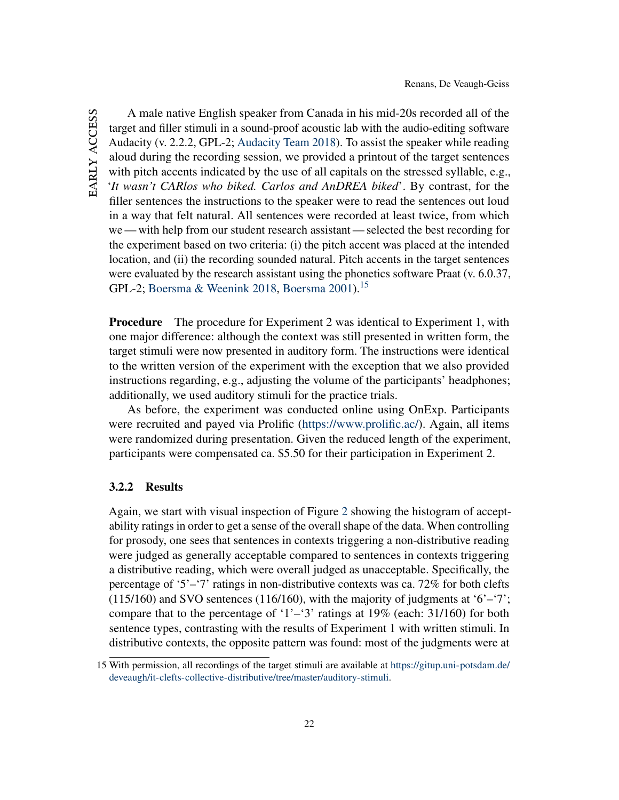A male native English speaker from Canada in his mid-20s recorded all of the target and filler stimuli in a sound-proof acoustic lab with the audio-editing software Audacity (v. 2.2.2, GPL-2; [Audacity Team](#page-33-1) [2018\)](#page-33-1). To assist the speaker while reading aloud during the recording session, we provided a printout of the target sentences with pitch accents indicated by the use of all capitals on the stressed syllable, e.g., '*It wasn't CARlos who biked. Carlos and AnDREA biked*'. By contrast, for the filler sentences the instructions to the speaker were to read the sentences out loud in a way that felt natural. All sentences were recorded at least twice, from which we — with help from our student research assistant — selected the best recording for the experiment based on two criteria: (i) the pitch accent was placed at the intended location, and (ii) the recording sounded natural. Pitch accents in the target sentences were evaluated by the research assistant using the phonetics software Praat (v. 6.0.37, GPL-2; [Boersma & Weenink](#page-34-9) [2018,](#page-34-9) [Boersma](#page-33-2) [2001\)](#page-33-2).[15](#page-22-0)

**Procedure** The procedure for Experiment 2 was identical to Experiment 1, with one major difference: although the context was still presented in written form, the target stimuli were now presented in auditory form. The instructions were identical to the written version of the experiment with the exception that we also provided instructions regarding, e.g., adjusting the volume of the participants' headphones; additionally, we used auditory stimuli for the practice trials.

As before, the experiment was conducted online using OnExp. Participants were recruited and payed via Prolific [\(https://www.prolific.ac/\)](https://www.prolific.ac/). Again, all items were randomized during presentation. Given the reduced length of the experiment, participants were compensated ca. \$5.50 for their participation in Experiment 2.

## 3.2.2 Results

Again, we start with visual inspection of Figure [2](#page-23-0) showing the histogram of acceptability ratings in order to get a sense of the overall shape of the data. When controlling for prosody, one sees that sentences in contexts triggering a non-distributive reading were judged as generally acceptable compared to sentences in contexts triggering a distributive reading, which were overall judged as unacceptable. Specifically, the percentage of '5'–'7' ratings in non-distributive contexts was ca. 72% for both clefts  $(115/160)$  and SVO sentences  $(116/160)$ , with the majority of judgments at '6'–'7'; compare that to the percentage of '1'–'3' ratings at  $19\%$  (each: 31/160) for both sentence types, contrasting with the results of Experiment 1 with written stimuli. In distributive contexts, the opposite pattern was found: most of the judgments were at

<span id="page-22-0"></span><sup>15</sup> With permission, all recordings of the target stimuli are available at [https://gitup.uni-potsdam.de/](https://gitup.uni-potsdam.de/deveaugh/it-clefts-collective-distributive/tree/master/auditory-stimuli) [deveaugh/it-clefts-collective-distributive/tree/master/auditory-stimuli.](https://gitup.uni-potsdam.de/deveaugh/it-clefts-collective-distributive/tree/master/auditory-stimuli)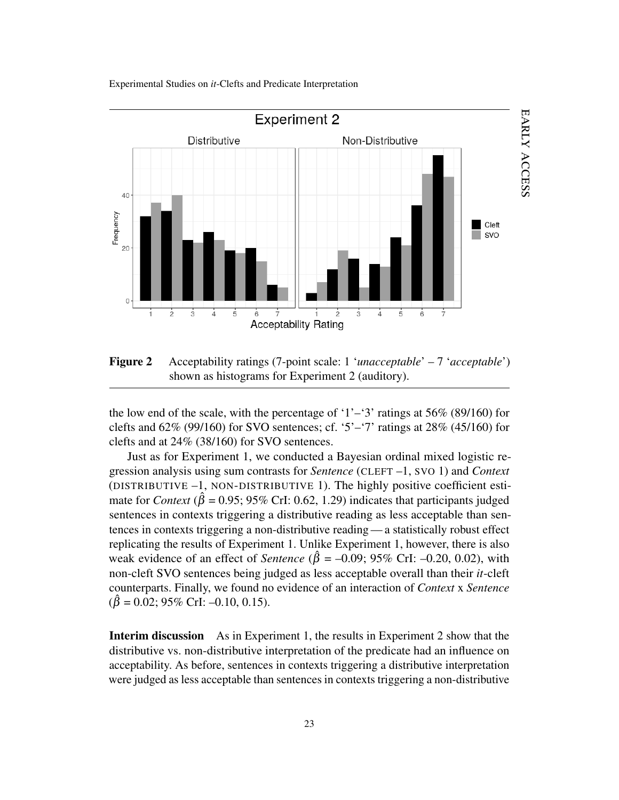

<span id="page-23-0"></span>Figure 2 Acceptability ratings (7-point scale: 1 '*unacceptable*' – 7 '*acceptable*') shown as histograms for Experiment 2 (auditory).

the low end of the scale, with the percentage of '1'–'3' ratings at  $56\%$  (89/160) for clefts and  $62\%$  (99/160) for SVO sentences; cf. '5'–'7' ratings at  $28\%$  (45/160) for clefts and at 24% (38/160) for SVO sentences.

Just as for Experiment 1, we conducted a Bayesian ordinal mixed logistic regression analysis using sum contrasts for *Sentence* (CLEFT –1, SVO 1) and *Context* (DISTRIBUTIVE –1, NON-DISTRIBUTIVE 1). The highly positive coefficient estimate for *Context* ( $\hat{\beta} = 0.95$ ; 95% CrI: 0.62, 1.29) indicates that participants judged sentences in contexts triggering a distributive reading as less acceptable than sentences in contexts triggering a non-distributive reading — a statistically robust effect replicating the results of Experiment 1. Unlike Experiment 1, however, there is also weak evidence of an effect of *Sentence* ( $\hat{\beta} = -0.09$ ; 95% CrI: -0.20, 0.02), with non-cleft SVO sentences being judged as less acceptable overall than their *it*-cleft counterparts. Finally, we found no evidence of an interaction of *Context* x *Sentence*  $(\hat{\beta} = 0.02; 95\% \text{ Crl: } -0.10, 0.15).$ 

Interim discussion As in Experiment 1, the results in Experiment 2 show that the distributive vs. non-distributive interpretation of the predicate had an influence on acceptability. As before, sentences in contexts triggering a distributive interpretation were judged as less acceptable than sentences in contexts triggering a non-distributive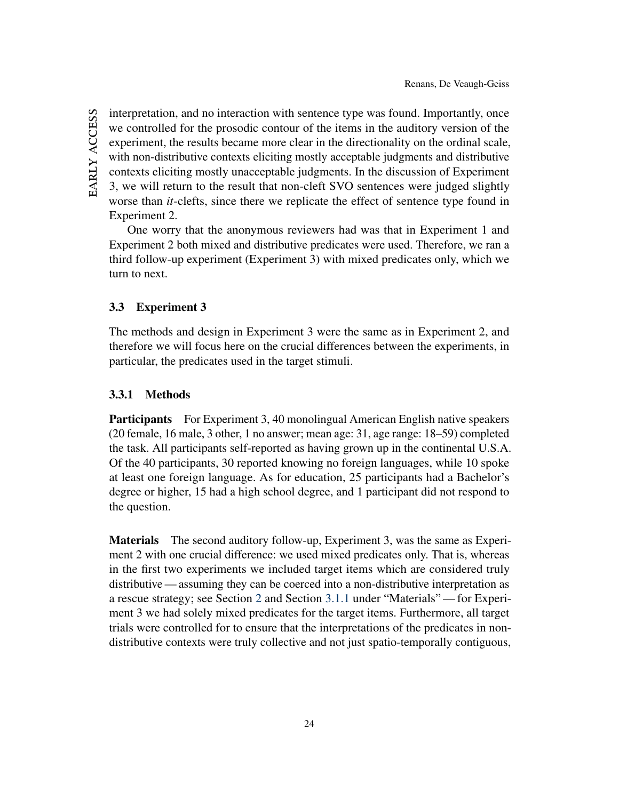interpretation, and no interaction with sentence type was found. Importantly, once we controlled for the prosodic contour of the items in the auditory version of the experiment, the results became more clear in the directionality on the ordinal scale, with non-distributive contexts eliciting mostly acceptable judgments and distributive contexts eliciting mostly unacceptable judgments. In the discussion of Experiment 3, we will return to the result that non-cleft SVO sentences were judged slightly worse than *it*-clefts, since there we replicate the effect of sentence type found in Experiment 2.

One worry that the anonymous reviewers had was that in Experiment 1 and Experiment 2 both mixed and distributive predicates were used. Therefore, we ran a third follow-up experiment (Experiment 3) with mixed predicates only, which we turn to next.

## <span id="page-24-0"></span>3.3 Experiment 3

The methods and design in Experiment 3 were the same as in Experiment 2, and therefore we will focus here on the crucial differences between the experiments, in particular, the predicates used in the target stimuli.

# 3.3.1 Methods

Participants For Experiment 3, 40 monolingual American English native speakers (20 female, 16 male, 3 other, 1 no answer; mean age: 31, age range: 18–59) completed the task. All participants self-reported as having grown up in the continental U.S.A. Of the 40 participants, 30 reported knowing no foreign languages, while 10 spoke at least one foreign language. As for education, 25 participants had a Bachelor's degree or higher, 15 had a high school degree, and 1 participant did not respond to the question.

Materials The second auditory follow-up, Experiment 3, was the same as Experiment 2 with one crucial difference: we used mixed predicates only. That is, whereas in the first two experiments we included target items which are considered truly distributive — assuming they can be coerced into a non-distributive interpretation as a rescue strategy; see Section [2](#page-3-0) and Section [3.1.1](#page-13-3) under "Materials"— for Experiment 3 we had solely mixed predicates for the target items. Furthermore, all target trials were controlled for to ensure that the interpretations of the predicates in nondistributive contexts were truly collective and not just spatio-temporally contiguous,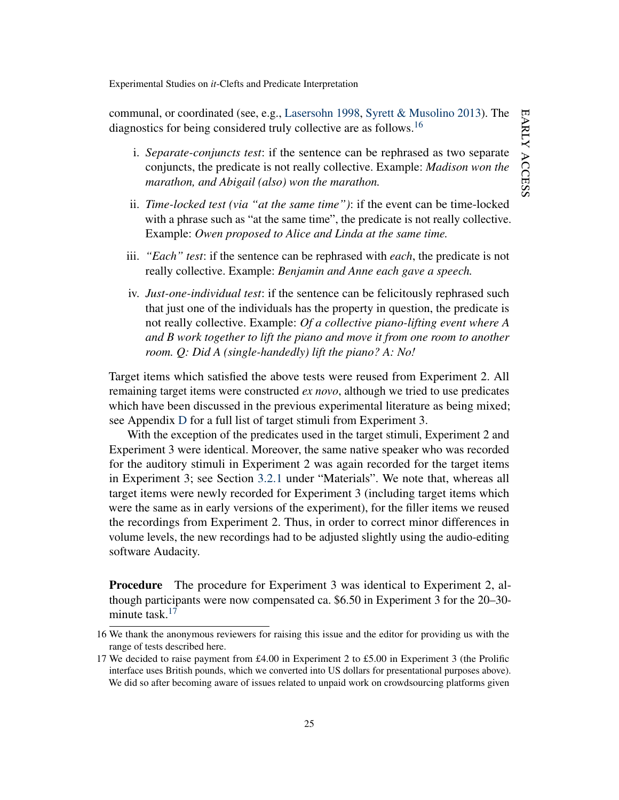communal, or coordinated (see, e.g., [Lasersohn](#page-36-13) [1998,](#page-36-13) [Syrett & Musolino](#page-37-5) [2013\)](#page-37-5). The diagnostics for being considered truly collective are as follows.<sup>[16](#page-25-0)</sup>

- i. *Separate-conjuncts test*: if the sentence can be rephrased as two separate conjuncts, the predicate is not really collective. Example: *Madison won the marathon, and Abigail (also) won the marathon.*
- ii. *Time-locked test (via "at the same time")*: if the event can be time-locked with a phrase such as "at the same time", the predicate is not really collective. Example: *Owen proposed to Alice and Linda at the same time.*
- iii. *"Each" test*: if the sentence can be rephrased with *each*, the predicate is not really collective. Example: *Benjamin and Anne each gave a speech.*
- iv. *Just-one-individual test*: if the sentence can be felicitously rephrased such that just one of the individuals has the property in question, the predicate is not really collective. Example: *Of a collective piano-lifting event where A and B work together to lift the piano and move it from one room to another room. Q: Did A (single-handedly) lift the piano? A: No!*

Target items which satisfied the above tests were reused from Experiment 2. All remaining target items were constructed *ex novo*, although we tried to use predicates which have been discussed in the previous experimental literature as being mixed; see Appendix [D](#page-47-0) for a full list of target stimuli from Experiment 3.

With the exception of the predicates used in the target stimuli, Experiment 2 and Experiment 3 were identical. Moreover, the same native speaker who was recorded for the auditory stimuli in Experiment 2 was again recorded for the target items in Experiment 3; see Section [3.2.1](#page-21-2) under "Materials". We note that, whereas all target items were newly recorded for Experiment 3 (including target items which were the same as in early versions of the experiment), for the filler items we reused the recordings from Experiment 2. Thus, in order to correct minor differences in volume levels, the new recordings had to be adjusted slightly using the audio-editing software Audacity.

Procedure The procedure for Experiment 3 was identical to Experiment 2, although participants were now compensated ca. \$6.50 in Experiment 3 for the 20–30- minute task.<sup>[17](#page-25-1)</sup>

<span id="page-25-0"></span><sup>16</sup> We thank the anonymous reviewers for raising this issue and the editor for providing us with the range of tests described here.

<span id="page-25-1"></span><sup>17</sup> We decided to raise payment from £4.00 in Experiment 2 to £5.00 in Experiment 3 (the Prolific interface uses British pounds, which we converted into US dollars for presentational purposes above). We did so after becoming aware of issues related to unpaid work on crowdsourcing platforms given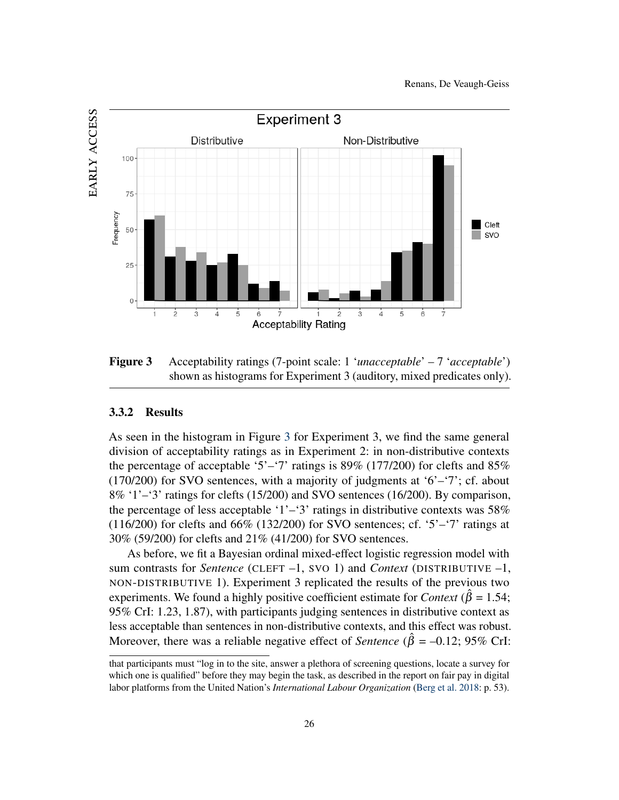

<span id="page-26-0"></span>Figure 3 Acceptability ratings (7-point scale: 1 '*unacceptable*' – 7 '*acceptable*') shown as histograms for Experiment 3 (auditory, mixed predicates only).

### 3.3.2 Results

As seen in the histogram in Figure [3](#page-26-0) for Experiment 3, we find the same general division of acceptability ratings as in Experiment 2: in non-distributive contexts the percentage of acceptable '5'–'7' ratings is  $89\%$  (177/200) for clefts and  $85\%$  $(170/200)$  for SVO sentences, with a majority of judgments at '6'–'7'; cf. about  $8\%$  '1'–'3' ratings for clefts (15/200) and SVO sentences (16/200). By comparison, the percentage of less acceptable '1'–'3' ratings in distributive contexts was  $58\%$  $(116/200)$  for clefts and 66%  $(132/200)$  for SVO sentences; cf. '5'–'7' ratings at 30% (59/200) for clefts and 21% (41/200) for SVO sentences.

As before, we fit a Bayesian ordinal mixed-effect logistic regression model with sum contrasts for *Sentence* (CLEFT –1, SVO 1) and *Context* (DISTRIBUTIVE –1, NON-DISTRIBUTIVE 1). Experiment 3 replicated the results of the previous two experiments. We found a highly positive coefficient estimate for *Context* ( $\hat{\beta} = 1.54$ ; 95% CrI: 1.23, 1.87), with participants judging sentences in distributive context as less acceptable than sentences in non-distributive contexts, and this effect was robust. Moreover, there was a reliable negative effect of *Sentence* ( $\hat{\beta} = -0.12$ ; 95% CrI:

that participants must "log in to the site, answer a plethora of screening questions, locate a survey for which one is qualified" before they may begin the task, as described in the report on fair pay in digital labor platforms from the United Nation's *International Labour Organization* [\(Berg et al.](#page-33-3) [2018:](#page-33-3) p. 53).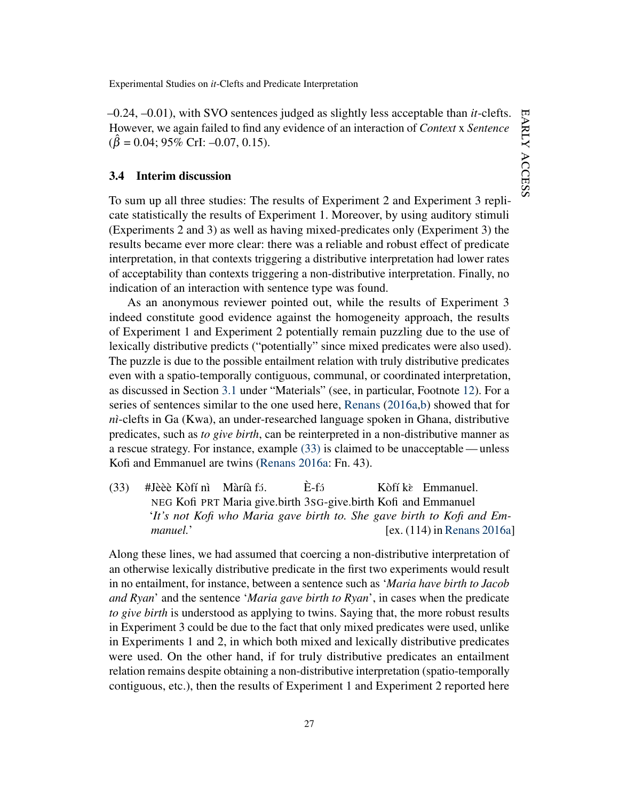–0.24, –0.01), with SVO sentences judged as slightly less acceptable than *it*-clefts. However, we again failed to find any evidence of an interaction of *Context* x *Sentence*  $(\hat{\beta} = 0.04; 95\% \text{ Crl: } -0.07, 0.15).$ 

### 3.4 Interim discussion

To sum up all three studies: The results of Experiment 2 and Experiment 3 replicate statistically the results of Experiment 1. Moreover, by using auditory stimuli (Experiments 2 and 3) as well as having mixed-predicates only (Experiment 3) the results became ever more clear: there was a reliable and robust effect of predicate interpretation, in that contexts triggering a distributive interpretation had lower rates of acceptability than contexts triggering a non-distributive interpretation. Finally, no indication of an interaction with sentence type was found.

As an anonymous reviewer pointed out, while the results of Experiment 3 indeed constitute good evidence against the homogeneity approach, the results of Experiment 1 and Experiment 2 potentially remain puzzling due to the use of lexically distributive predicts ("potentially" since mixed predicates were also used). The puzzle is due to the possible entailment relation with truly distributive predicates even with a spatio-temporally contiguous, communal, or coordinated interpretation, as discussed in Section [3.1](#page-13-1) under "Materials" (see, in particular, Footnote [12\)](#page-15-1). For a series of sentences similar to the one used here, [Renans](#page-36-1) [\(2016a](#page-36-1)[,b\)](#page-36-2) showed that for *nì*-clefts in Ga (Kwa), an under-researched language spoken in Ghana, distributive predicates, such as *to give birth*, can be reinterpreted in a non-distributive manner as a rescue strategy. For instance, example [\(33\)](#page-27-0) is claimed to be unacceptable — unless Kofi and Emmanuel are twins [\(Renans](#page-36-1) [2016a:](#page-36-1) Fn. 43).

<span id="page-27-0"></span>(33) #Jèèè Kòfí nì Màríà fá. NEG Kofi PRT Maria give.birth 3SG-give.birth Kofi and Emmanuel  $E-f<sub>2</sub>$ Kòfí kè Emmanuel. '*It's not Kofi who Maria gave birth to. She gave birth to Kofi and Emmanuel.*' [ex. (114) in [Renans](#page-36-1) [2016a\]](#page-36-1)

Along these lines, we had assumed that coercing a non-distributive interpretation of an otherwise lexically distributive predicate in the first two experiments would result in no entailment, for instance, between a sentence such as '*Maria have birth to Jacob and Ryan*' and the sentence '*Maria gave birth to Ryan*', in cases when the predicate *to give birth* is understood as applying to twins. Saying that, the more robust results in Experiment 3 could be due to the fact that only mixed predicates were used, unlike in Experiments 1 and 2, in which both mixed and lexically distributive predicates were used. On the other hand, if for truly distributive predicates an entailment relation remains despite obtaining a non-distributive interpretation (spatio-temporally contiguous, etc.), then the results of Experiment 1 and Experiment 2 reported here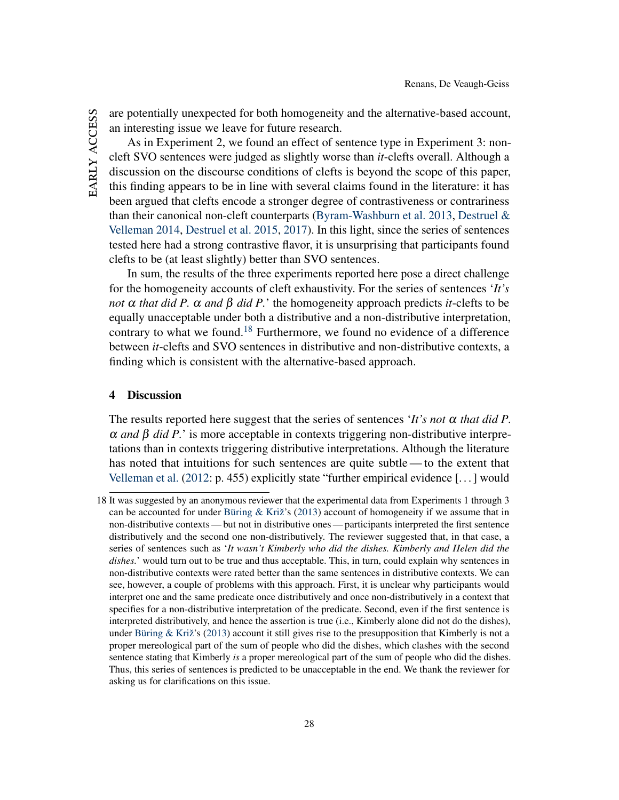are potentially unexpected for both homogeneity and the alternative-based account, an interesting issue we leave for future research.

As in Experiment 2, we found an effect of sentence type in Experiment 3: noncleft SVO sentences were judged as slightly worse than *it*-clefts overall. Although a discussion on the discourse conditions of clefts is beyond the scope of this paper, this finding appears to be in line with several claims found in the literature: it has been argued that clefts encode a stronger degree of contrastiveness or contrariness than their canonical non-cleft counterparts [\(Byram-Washburn et al.](#page-34-10) [2013,](#page-34-10) [Destruel &](#page-35-12) [Velleman](#page-35-12) [2014,](#page-35-12) [Destruel et al.](#page-34-1) [2015,](#page-34-1) [2017\)](#page-34-11). In this light, since the series of sentences tested here had a strong contrastive flavor, it is unsurprising that participants found clefts to be (at least slightly) better than SVO sentences.

In sum, the results of the three experiments reported here pose a direct challenge for the homogeneity accounts of cleft exhaustivity. For the series of sentences '*It's not*  $\alpha$  *that did P.*  $\alpha$  *and*  $\beta$  *did P.*' the homogeneity approach predicts *it*-clefts to be equally unacceptable under both a distributive and a non-distributive interpretation, contrary to what we found.[18](#page-28-1) Furthermore, we found no evidence of a difference between *it*-clefts and SVO sentences in distributive and non-distributive contexts, a finding which is consistent with the alternative-based approach.

### <span id="page-28-0"></span>4 Discussion

The results reported here suggest that the series of sentences '*It's not*  $\alpha$  *that did P*. α *and* β *did P.*' is more acceptable in contexts triggering non-distributive interpretations than in contexts triggering distributive interpretations. Although the literature has noted that intuitions for such sentences are quite subtle— to the extent that [Velleman et al.](#page-37-0) [\(2012:](#page-37-0) p. 455) explicitly state "further empirical evidence [. . . ] would

<span id="page-28-1"></span><sup>18</sup> It was suggested by an anonymous reviewer that the experimental data from Experiments 1 through 3 can be accounted for under [Büring & Križ'](#page-34-0)s [\(2013\)](#page-34-0) account of homogeneity if we assume that in non-distributive contexts— but not in distributive ones— participants interpreted the first sentence distributively and the second one non-distributively. The reviewer suggested that, in that case, a series of sentences such as '*It wasn't Kimberly who did the dishes. Kimberly and Helen did the dishes.*' would turn out to be true and thus acceptable. This, in turn, could explain why sentences in non-distributive contexts were rated better than the same sentences in distributive contexts. We can see, however, a couple of problems with this approach. First, it is unclear why participants would interpret one and the same predicate once distributively and once non-distributively in a context that specifies for a non-distributive interpretation of the predicate. Second, even if the first sentence is interpreted distributively, and hence the assertion is true (i.e., Kimberly alone did not do the dishes), under [Büring & Križ'](#page-34-0)s [\(2013\)](#page-34-0) account it still gives rise to the presupposition that Kimberly is not a proper mereological part of the sum of people who did the dishes, which clashes with the second sentence stating that Kimberly *is* a proper mereological part of the sum of people who did the dishes. Thus, this series of sentences is predicted to be unacceptable in the end. We thank the reviewer for asking us for clarifications on this issue.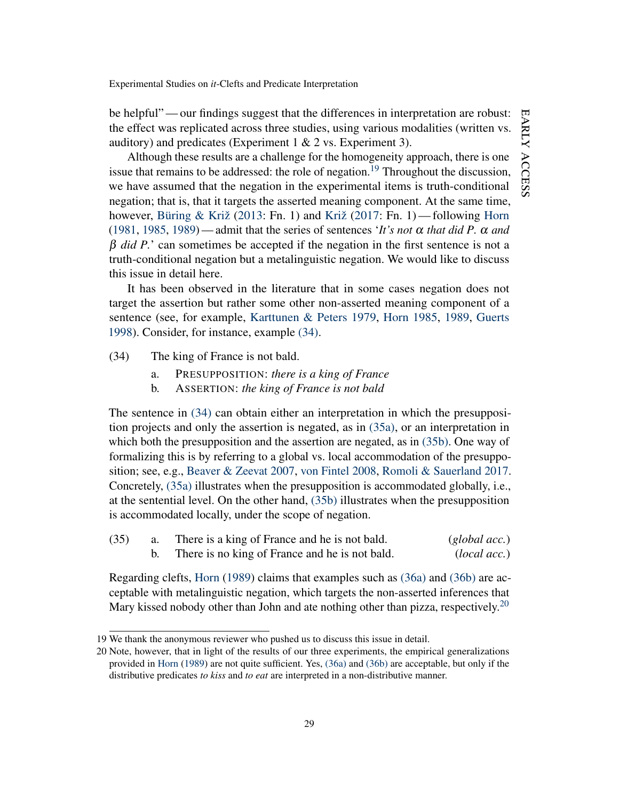be helpful"— our findings suggest that the differences in interpretation are robust: the effect was replicated across three studies, using various modalities (written vs. auditory) and predicates (Experiment  $1 \& 2$  vs. Experiment 3).

Although these results are a challenge for the homogeneity approach, there is one issue that remains to be addressed: the role of negation.[19](#page-29-0) Throughout the discussion, we have assumed that the negation in the experimental items is truth-conditional negation; that is, that it targets the asserted meaning component. At the same time, however, [Büring & Križ](#page-34-0) [\(2013:](#page-34-0) Fn. 1) and [Križ](#page-36-0) [\(2017:](#page-36-0) Fn. 1)— following [Horn](#page-35-1) [\(1981,](#page-35-1) [1985,](#page-35-2) [1989\)](#page-35-3) — admit that the series of sentences '*It's not*  $\alpha$  *that did P.*  $\alpha$  *and* β *did P.*' can sometimes be accepted if the negation in the first sentence is not a truth-conditional negation but a metalinguistic negation. We would like to discuss this issue in detail here.

It has been observed in the literature that in some cases negation does not target the assertion but rather some other non-asserted meaning component of a sentence (see, for example, [Karttunen & Peters](#page-35-13) [1979,](#page-35-13) [Horn](#page-35-2) [1985,](#page-35-2) [1989,](#page-35-3) [Guerts](#page-35-14) [1998\)](#page-35-14). Consider, for instance, example [\(34\).](#page-29-1)

- <span id="page-29-1"></span>(34) The king of France is not bald.
	- a. PRESUPPOSITION: *there is a king of France*
	- b. ASSERTION: *the king of France is not bald*

The sentence in [\(34\)](#page-29-1) can obtain either an interpretation in which the presupposition projects and only the assertion is negated, as in [\(35a\),](#page-29-2) or an interpretation in which both the presupposition and the assertion are negated, as in [\(35b\).](#page-29-3) One way of formalizing this is by referring to a global vs. local accommodation of the presupposition; see, e.g., [Beaver & Zeevat](#page-33-4) [2007,](#page-33-4) [von Fintel](#page-35-15) [2008,](#page-35-15) [Romoli & Sauerland](#page-36-14) [2017.](#page-36-14) Concretely, [\(35a\)](#page-29-2) illustrates when the presupposition is accommodated globally, i.e., at the sentential level. On the other hand, [\(35b\)](#page-29-3) illustrates when the presupposition is accommodated locally, under the scope of negation.

<span id="page-29-3"></span><span id="page-29-2"></span>

| (35) | There is a king of France and he is not bald.  | (global acc.) |
|------|------------------------------------------------|---------------|
|      | There is no king of France and he is not bald. | (local acc.)  |

Regarding clefts, [Horn](#page-35-3) [\(1989\)](#page-35-3) claims that examples such as [\(36a\)](#page-29-4) and [\(36b\)](#page-30-0) are acceptable with metalinguistic negation, which targets the non-asserted inferences that Mary kissed nobody other than John and ate nothing other than pizza, respectively.<sup>[20](#page-29-5)</sup>

<span id="page-29-4"></span><span id="page-29-0"></span><sup>19</sup> We thank the anonymous reviewer who pushed us to discuss this issue in detail.

<span id="page-29-5"></span><sup>20</sup> Note, however, that in light of the results of our three experiments, the empirical generalizations provided in [Horn](#page-35-3) [\(1989\)](#page-35-3) are not quite sufficient. Yes, [\(36a\)](#page-29-4) and [\(36b\)](#page-30-0) are acceptable, but only if the distributive predicates *to kiss* and *to eat* are interpreted in a non-distributive manner.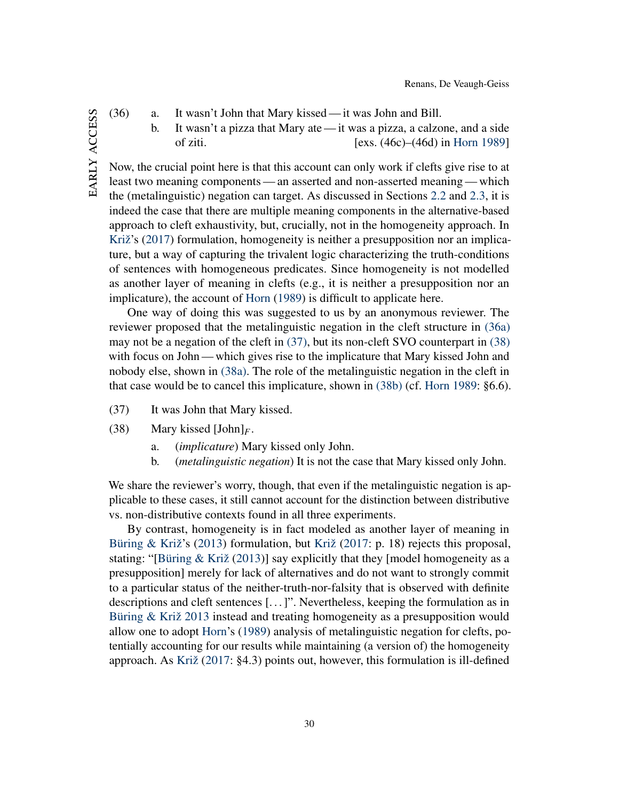- EARLY ACCESS early access
- <span id="page-30-0"></span>(36) a. It wasn't John that Mary kissed — it was John and Bill.
	- b. It wasn't a pizza that Mary ate— it was a pizza, a calzone, and a side of ziti. [exs. (46c)–(46d) in [Horn](#page-35-3) [1989\]](#page-35-3)

Now, the crucial point here is that this account can only work if clefts give rise to at least two meaning components— an asserted and non-asserted meaning— which the (metalinguistic) negation can target. As discussed in Sections [2.2](#page-4-3) and [2.3,](#page-5-1) it is indeed the case that there are multiple meaning components in the alternative-based approach to cleft exhaustivity, but, crucially, not in the homogeneity approach. In [Križ'](#page-36-0)s [\(2017\)](#page-36-0) formulation, homogeneity is neither a presupposition nor an implicature, but a way of capturing the trivalent logic characterizing the truth-conditions of sentences with homogeneous predicates. Since homogeneity is not modelled as another layer of meaning in clefts (e.g., it is neither a presupposition nor an implicature), the account of [Horn](#page-35-3) [\(1989\)](#page-35-3) is difficult to applicate here.

One way of doing this was suggested to us by an anonymous reviewer. The reviewer proposed that the metalinguistic negation in the cleft structure in [\(36a\)](#page-29-4) may not be a negation of the cleft in [\(37\),](#page-30-1) but its non-cleft SVO counterpart in [\(38\)](#page-30-2) with focus on John — which gives rise to the implicature that Mary kissed John and nobody else, shown in [\(38a\).](#page-30-3) The role of the metalinguistic negation in the cleft in that case would be to cancel this implicature, shown in [\(38b\)](#page-30-4) (cf. [Horn](#page-35-3) [1989:](#page-35-3) §6.6).

- <span id="page-30-2"></span><span id="page-30-1"></span>(37) It was John that Mary kissed.
- <span id="page-30-3"></span>(38) Mary kissed [John]*F*.
	- a. (*implicature*) Mary kissed only John.
	- b. (*metalinguistic negation*) It is not the case that Mary kissed only John.

<span id="page-30-4"></span>We share the reviewer's worry, though, that even if the metalinguistic negation is applicable to these cases, it still cannot account for the distinction between distributive vs. non-distributive contexts found in all three experiments.

By contrast, homogeneity is in fact modeled as another layer of meaning in [Büring & Križ'](#page-34-0)s [\(2013\)](#page-34-0) formulation, but [Križ](#page-36-0) [\(2017:](#page-36-0) p. 18) rejects this proposal, stating: "[\[Büring & Križ](#page-34-0) [\(2013\)](#page-34-0)] say explicitly that they [model homogeneity as a presupposition] merely for lack of alternatives and do not want to strongly commit to a particular status of the neither-truth-nor-falsity that is observed with definite descriptions and cleft sentences [. . . ]". Nevertheless, keeping the formulation as in [Büring & Križ](#page-34-0) [2013](#page-34-0) instead and treating homogeneity as a presupposition would allow one to adopt [Horn'](#page-35-3)s [\(1989\)](#page-35-3) analysis of metalinguistic negation for clefts, potentially accounting for our results while maintaining (a version of) the homogeneity approach. As [Križ](#page-36-0) [\(2017:](#page-36-0) §4.3) points out, however, this formulation is ill-defined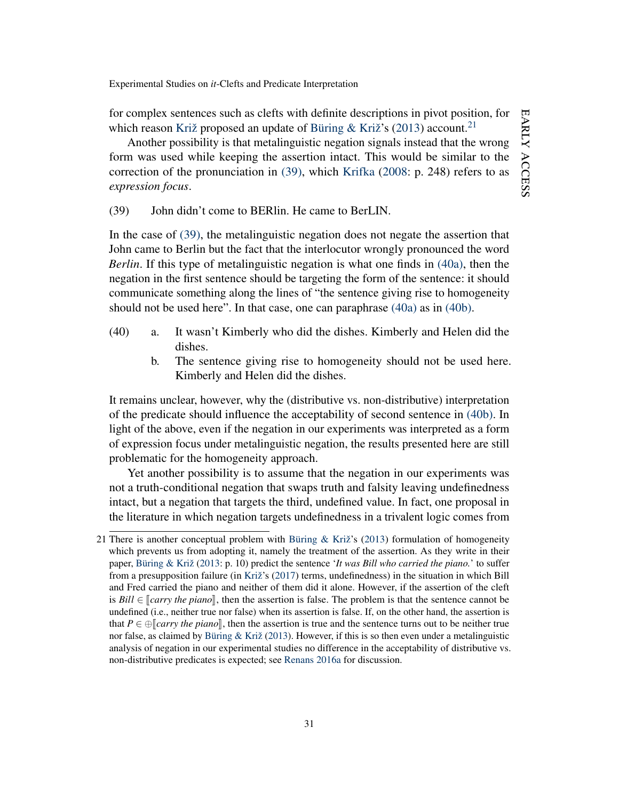for complex sentences such as clefts with definite descriptions in pivot position, for which reason [Križ](#page-36-0) proposed an update of [Büring & Križ'](#page-34-0)s [\(2013\)](#page-34-0) account.<sup>[21](#page-31-0)</sup>

Another possibility is that metalinguistic negation signals instead that the wrong form was used while keeping the assertion intact. This would be similar to the correction of the pronunciation in [\(39\),](#page-31-1) which [Krifka](#page-35-16) [\(2008:](#page-35-16) p. 248) refers to as *expression focus*.

<span id="page-31-1"></span>(39) John didn't come to BERlin. He came to BerLIN.

In the case of [\(39\),](#page-31-1) the metalinguistic negation does not negate the assertion that John came to Berlin but the fact that the interlocutor wrongly pronounced the word *Berlin*. If this type of metalinguistic negation is what one finds in [\(40a\),](#page-31-2) then the negation in the first sentence should be targeting the form of the sentence: it should communicate something along the lines of "the sentence giving rise to homogeneity should not be used here". In that case, one can paraphrase [\(40a\)](#page-31-2) as in [\(40b\).](#page-31-3)

- <span id="page-31-3"></span><span id="page-31-2"></span>(40) a. It wasn't Kimberly who did the dishes. Kimberly and Helen did the dishes.
	- b. The sentence giving rise to homogeneity should not be used here. Kimberly and Helen did the dishes.

It remains unclear, however, why the (distributive vs. non-distributive) interpretation of the predicate should influence the acceptability of second sentence in [\(40b\).](#page-31-3) In light of the above, even if the negation in our experiments was interpreted as a form of expression focus under metalinguistic negation, the results presented here are still problematic for the homogeneity approach.

Yet another possibility is to assume that the negation in our experiments was not a truth-conditional negation that swaps truth and falsity leaving undefinedness intact, but a negation that targets the third, undefined value. In fact, one proposal in the literature in which negation targets undefinedness in a trivalent logic comes from

<span id="page-31-0"></span><sup>21</sup> There is another conceptual problem with [Büring & Križ'](#page-34-0)s [\(2013\)](#page-34-0) formulation of homogeneity which prevents us from adopting it, namely the treatment of the assertion. As they write in their paper, [Büring & Križ](#page-34-0) [\(2013:](#page-34-0) p. 10) predict the sentence '*It was Bill who carried the piano.*' to suffer from a presupposition failure (in [Križ'](#page-36-0)s [\(2017\)](#page-36-0) terms, undefinedness) in the situation in which Bill and Fred carried the piano and neither of them did it alone. However, if the assertion of the cleft is  $Bill \in \llbracket carry the piano\rrbracket$ , then the assertion is false. The problem is that the sentence cannot be undefined (i.e., neither true nor false) when its assertion is false. If, on the other hand, the assertion is that  $P \in \bigoplus [carry the piano]$ , then the assertion is true and the sentence turns out to be neither true nor false, as claimed by [Büring & Križ](#page-34-0) [\(2013\)](#page-34-0). However, if this is so then even under a metalinguistic analysis of negation in our experimental studies no difference in the acceptability of distributive vs. non-distributive predicates is expected; see [Renans](#page-36-1) [2016a](#page-36-1) for discussion.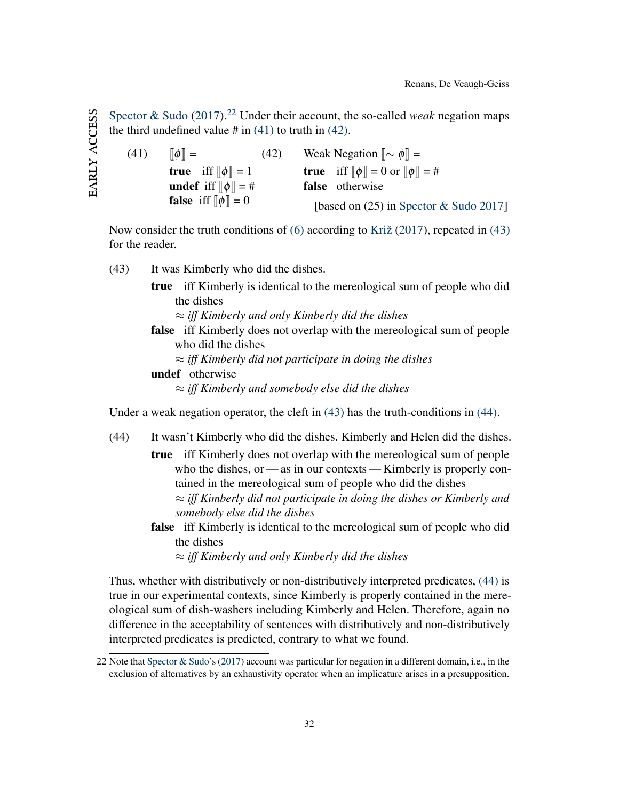[Spector & Sudo](#page-37-6)  $(2017).^{22}$  $(2017).^{22}$  $(2017).^{22}$  $(2017).^{22}$  Under their account, the so-called *weak* negation maps the third undefined value  $\#$  in [\(41\)](#page-32-1) to truth in [\(42\).](#page-32-2)

<span id="page-32-2"></span><span id="page-32-1"></span>(41)  $\llbracket \phi \rrbracket =$ **true** iff  $\llbracket \phi \rrbracket = 1$ undef iff  $\llbracket \phi \rrbracket = \#$ **false** iff  $\llbracket \phi \rrbracket = 0$ (42) Weak Negation  $\llbracket \sim \phi \rrbracket$  = **true** iff  $\llbracket \phi \rrbracket = 0$  or  $\llbracket \phi \rrbracket = \#$ false otherwise [based on (25) in [Spector & Sudo](#page-37-6) [2017\]](#page-37-6)

Now consider the truth conditions of [\(6\)](#page-4-2) according to [Križ](#page-36-0) [\(2017\)](#page-36-0), repeated in [\(43\)](#page-32-3) for the reader.

- <span id="page-32-3"></span>(43) It was Kimberly who did the dishes.
	- true iff Kimberly is identical to the mereological sum of people who did the dishes

≈ *iff Kimberly and only Kimberly did the dishes*

- false iff Kimberly does not overlap with the mereological sum of people who did the dishes
	- ≈ *iff Kimberly did not participate in doing the dishes*

undef otherwise

≈ *iff Kimberly and somebody else did the dishes*

<span id="page-32-4"></span>Under a weak negation operator, the cleft in [\(43\)](#page-32-3) has the truth-conditions in [\(44\).](#page-32-4)

- (44) It wasn't Kimberly who did the dishes. Kimberly and Helen did the dishes.
	- true iff Kimberly does not overlap with the mereological sum of people who the dishes, or — as in our contexts — Kimberly is properly contained in the mereological sum of people who did the dishes ≈ *iff Kimberly did not participate in doing the dishes or Kimberly and somebody else did the dishes*
		- false iff Kimberly is identical to the mereological sum of people who did the dishes

≈ *iff Kimberly and only Kimberly did the dishes*

Thus, whether with distributively or non-distributively interpreted predicates, [\(44\)](#page-32-4) is true in our experimental contexts, since Kimberly is properly contained in the mereological sum of dish-washers including Kimberly and Helen. Therefore, again no difference in the acceptability of sentences with distributively and non-distributively interpreted predicates is predicted, contrary to what we found.

<span id="page-32-0"></span><sup>22</sup> Note that [Spector & Sudo'](#page-37-6)s [\(2017\)](#page-37-6) account was particular for negation in a different domain, i.e., in the exclusion of alternatives by an exhaustivity operator when an implicature arises in a presupposition.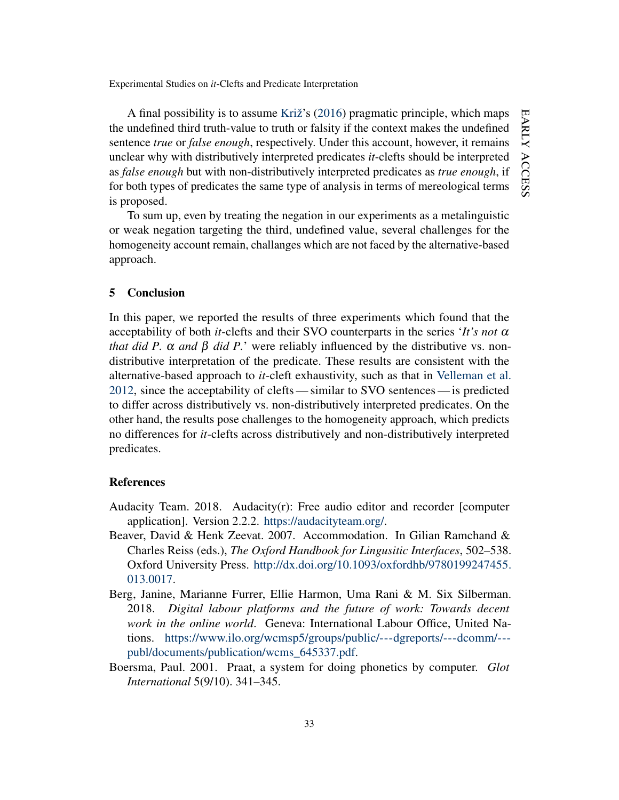A final possibility is to assume [Križ'](#page-35-0)s [\(2016\)](#page-35-0) pragmatic principle, which maps the undefined third truth-value to truth or falsity if the context makes the undefined sentence *true* or *false enough*, respectively. Under this account, however, it remains unclear why with distributively interpreted predicates *it*-clefts should be interpreted as *false enough* but with non-distributively interpreted predicates as *true enough*, if for both types of predicates the same type of analysis in terms of mereological terms is proposed.

To sum up, even by treating the negation in our experiments as a metalinguistic or weak negation targeting the third, undefined value, several challenges for the homogeneity account remain, challanges which are not faced by the alternative-based approach.

#### <span id="page-33-0"></span>5 Conclusion

In this paper, we reported the results of three experiments which found that the acceptability of both *it*-clefts and their SVO counterparts in the series '*It's not* α *that did P.*  $\alpha$  *and*  $\beta$  *did P.*' were reliably influenced by the distributive vs. nondistributive interpretation of the predicate. These results are consistent with the alternative-based approach to *it*-cleft exhaustivity, such as that in [Velleman et al.](#page-37-0) [2012,](#page-37-0) since the acceptability of clefts— similar to SVO sentences— is predicted to differ across distributively vs. non-distributively interpreted predicates. On the other hand, the results pose challenges to the homogeneity approach, which predicts no differences for *it*-clefts across distributively and non-distributively interpreted predicates.

### References

- <span id="page-33-1"></span>Audacity Team. 2018. Audacity(r): Free audio editor and recorder [computer application]. Version 2.2.2. [https://audacityteam.org/.](https://audacityteam.org/)
- <span id="page-33-4"></span>Beaver, David & Henk Zeevat. 2007. Accommodation. In Gilian Ramchand & Charles Reiss (eds.), *The Oxford Handbook for Lingusitic Interfaces*, 502–538. Oxford University Press. [http://dx.doi.org/10.1093/oxfordhb/9780199247455.](http://dx.doi.org/10.1093/oxfordhb/9780199247455.013.0017) [013.0017.](http://dx.doi.org/10.1093/oxfordhb/9780199247455.013.0017)
- <span id="page-33-3"></span>Berg, Janine, Marianne Furrer, Ellie Harmon, Uma Rani & M. Six Silberman. 2018. *Digital labour platforms and the future of work: Towards decent work in the online world*. Geneva: International Labour Office, United Nations. [https://www.ilo.org/wcmsp5/groups/public/---dgreports/---dcomm/--](https://www.ilo.org/wcmsp5/groups/public/---dgreports/---dcomm/---publ/documents/publication/wcms_645337.pdf) [publ/documents/publication/wcms\\_645337.pdf.](https://www.ilo.org/wcmsp5/groups/public/---dgreports/---dcomm/---publ/documents/publication/wcms_645337.pdf)
- <span id="page-33-2"></span>Boersma, Paul. 2001. Praat, a system for doing phonetics by computer. *Glot International* 5(9/10). 341–345.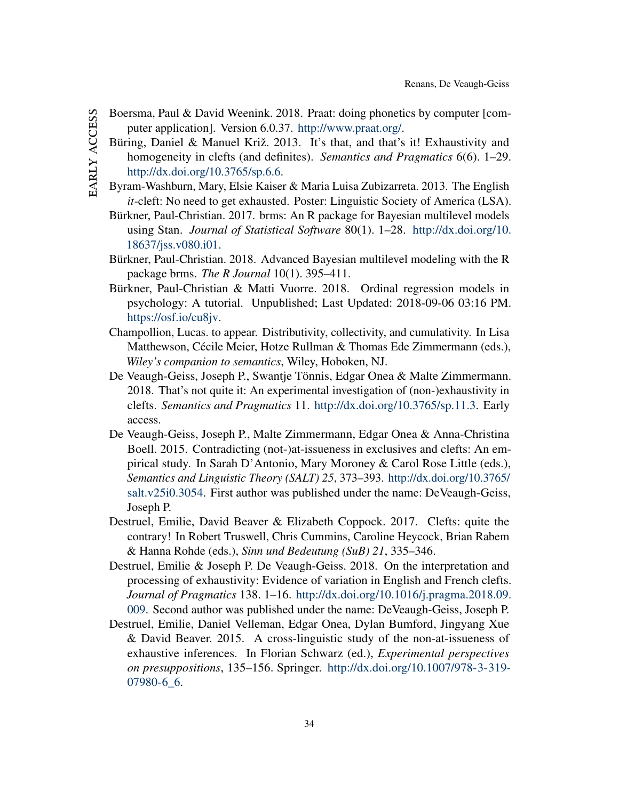- <span id="page-34-11"></span><span id="page-34-10"></span><span id="page-34-9"></span><span id="page-34-8"></span><span id="page-34-7"></span><span id="page-34-6"></span><span id="page-34-5"></span><span id="page-34-4"></span><span id="page-34-3"></span><span id="page-34-2"></span><span id="page-34-1"></span><span id="page-34-0"></span>Boersma, Paul & David Weenink. 2018. Praat: doing phonetics by computer [computer application]. Version 6.0.37. [http://www.praat.org/.](http://www.praat.org/)
	- Büring, Daniel & Manuel Križ. 2013. It's that, and that's it! Exhaustivity and homogeneity in clefts (and definites). *Semantics and Pragmatics* 6(6). 1–29. [http://dx.doi.org/10.3765/sp.6.6.](http://dx.doi.org/10.3765/sp.6.6)
	- Byram-Washburn, Mary, Elsie Kaiser & Maria Luisa Zubizarreta. 2013. The English *it*-cleft: No need to get exhausted. Poster: Linguistic Society of America (LSA).
	- Bürkner, Paul-Christian. 2017. brms: An R package for Bayesian multilevel models using Stan. *Journal of Statistical Software* 80(1). 1–28. [http://dx.doi.org/10.](http://dx.doi.org/10.18637/jss.v080.i01) [18637/jss.v080.i01.](http://dx.doi.org/10.18637/jss.v080.i01)
	- Bürkner, Paul-Christian. 2018. Advanced Bayesian multilevel modeling with the R package brms. *The R Journal* 10(1). 395–411.
	- Bürkner, Paul-Christian & Matti Vuorre. 2018. Ordinal regression models in psychology: A tutorial. Unpublished; Last Updated: 2018-09-06 03:16 PM. [https://osf.io/cu8jv.](https://osf.io/cu8jv)
	- Champollion, Lucas. to appear. Distributivity, collectivity, and cumulativity. In Lisa Matthewson, Cécile Meier, Hotze Rullman & Thomas Ede Zimmermann (eds.), *Wiley's companion to semantics*, Wiley, Hoboken, NJ.
	- De Veaugh-Geiss, Joseph P., Swantje Tönnis, Edgar Onea & Malte Zimmermann. 2018. That's not quite it: An experimental investigation of (non-)exhaustivity in clefts. *Semantics and Pragmatics* 11. [http://dx.doi.org/10.3765/sp.11.3.](http://dx.doi.org/10.3765/sp.11.3) Early access.
	- De Veaugh-Geiss, Joseph P., Malte Zimmermann, Edgar Onea & Anna-Christina Boell. 2015. Contradicting (not-)at-issueness in exclusives and clefts: An empirical study. In Sarah D'Antonio, Mary Moroney & Carol Rose Little (eds.), *Semantics and Linguistic Theory (SALT) 25*, 373–393. [http://dx.doi.org/10.3765/](http://dx.doi.org/10.3765/salt.v25i0.3054) [salt.v25i0.3054.](http://dx.doi.org/10.3765/salt.v25i0.3054) First author was published under the name: DeVeaugh-Geiss, Joseph P.
	- Destruel, Emilie, David Beaver & Elizabeth Coppock. 2017. Clefts: quite the contrary! In Robert Truswell, Chris Cummins, Caroline Heycock, Brian Rabem & Hanna Rohde (eds.), *Sinn und Bedeutung (SuB) 21*, 335–346.
	- Destruel, Emilie & Joseph P. De Veaugh-Geiss. 2018. On the interpretation and processing of exhaustivity: Evidence of variation in English and French clefts. *Journal of Pragmatics* 138. 1–16. [http://dx.doi.org/10.1016/j.pragma.2018.09.](http://dx.doi.org/10.1016/j.pragma.2018.09.009) [009.](http://dx.doi.org/10.1016/j.pragma.2018.09.009) Second author was published under the name: DeVeaugh-Geiss, Joseph P.
	- Destruel, Emilie, Daniel Velleman, Edgar Onea, Dylan Bumford, Jingyang Xue & David Beaver. 2015. A cross-linguistic study of the non-at-issueness of exhaustive inferences. In Florian Schwarz (ed.), *Experimental perspectives on presuppositions*, 135–156. Springer. [http://dx.doi.org/10.1007/978-3-319-](http://dx.doi.org/10.1007/978-3-319-07980-6_6) 07980-6 6.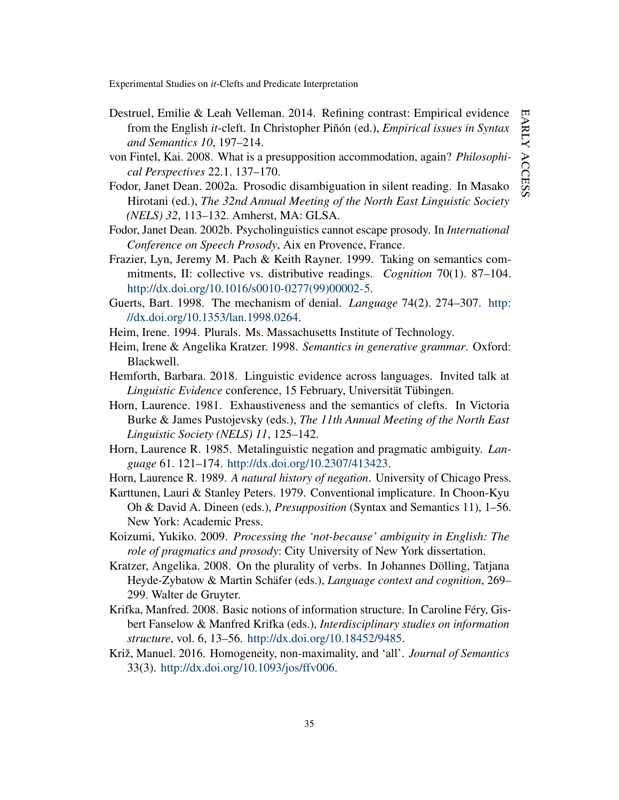- <span id="page-35-12"></span>Destruel, Emilie & Leah Velleman. 2014. Refining contrast: Empirical evidence from the English *it*-cleft. In Christopher Piñón (ed.), *Empirical issues in Syntax and Semantics 10*, 197–214.
- <span id="page-35-15"></span>von Fintel, Kai. 2008. What is a presupposition accommodation, again? *Philosophical Perspectives* 22.1. 137–170.
- <span id="page-35-9"></span>Fodor, Janet Dean. 2002a. Prosodic disambiguation in silent reading. In Masako Hirotani (ed.), *The 32nd Annual Meeting of the North East Linguistic Society (NELS) 32*, 113–132. Amherst, MA: GLSA.
- <span id="page-35-10"></span>Fodor, Janet Dean. 2002b. Psycholinguistics cannot escape prosody. In *International Conference on Speech Prosody*, Aix en Provence, France.
- <span id="page-35-6"></span>Frazier, Lyn, Jeremy M. Pach & Keith Rayner. 1999. Taking on semantics commitments, II: collective vs. distributive readings. *Cognition* 70(1). 87–104. [http://dx.doi.org/10.1016/s0010-0277\(99\)00002-5.](http://dx.doi.org/10.1016/s0010-0277(99)00002-5)
- <span id="page-35-14"></span>Guerts, Bart. 1998. The mechanism of denial. *Language* 74(2). 274–307. [http:](http://dx.doi.org/10.1353/lan.1998.0264) [//dx.doi.org/10.1353/lan.1998.0264.](http://dx.doi.org/10.1353/lan.1998.0264)
- <span id="page-35-5"></span>Heim, Irene. 1994. Plurals. Ms. Massachusetts Institute of Technology.
- <span id="page-35-7"></span>Heim, Irene & Angelika Kratzer. 1998. *Semantics in generative grammar*. Oxford: Blackwell.
- <span id="page-35-8"></span>Hemforth, Barbara. 2018. Linguistic evidence across languages. Invited talk at *Linguistic Evidence* conference, 15 February, Universität Tübingen.
- <span id="page-35-1"></span>Horn, Laurence. 1981. Exhaustiveness and the semantics of clefts. In Victoria Burke & James Pustojevsky (eds.), *The 11th Annual Meeting of the North East Linguistic Society (NELS) 11*, 125–142.
- <span id="page-35-2"></span>Horn, Laurence R. 1985. Metalinguistic negation and pragmatic ambiguity. *Language* 61. 121–174. [http://dx.doi.org/10.2307/413423.](http://dx.doi.org/10.2307/413423)
- <span id="page-35-13"></span><span id="page-35-3"></span>Horn, Laurence R. 1989. *A natural history of negation*. University of Chicago Press.
- Karttunen, Lauri & Stanley Peters. 1979. Conventional implicature. In Choon-Kyu Oh & David A. Dineen (eds.), *Presupposition* (Syntax and Semantics 11), 1–56. New York: Academic Press.
- <span id="page-35-11"></span>Koizumi, Yukiko. 2009. *Processing the 'not-because' ambiguity in English: The role of pragmatics and prosody*: City University of New York dissertation.
- <span id="page-35-4"></span>Kratzer, Angelika. 2008. On the plurality of verbs. In Johannes Dölling, Tatjana Heyde-Zybatow & Martin Schäfer (eds.), *Language context and cognition*, 269– 299. Walter de Gruyter.
- <span id="page-35-16"></span>Krifka, Manfred. 2008. Basic notions of information structure. In Caroline Féry, Gisbert Fanselow & Manfred Krifka (eds.), *Interdisciplinary studies on information structure*, vol. 6, 13–56. [http://dx.doi.org/10.18452/9485.](http://dx.doi.org/10.18452/9485)
- <span id="page-35-0"></span>Križ, Manuel. 2016. Homogeneity, non-maximality, and 'all'. *Journal of Semantics* 33(3). [http://dx.doi.org/10.1093/jos/ffv006.](http://dx.doi.org/10.1093/jos/ffv006)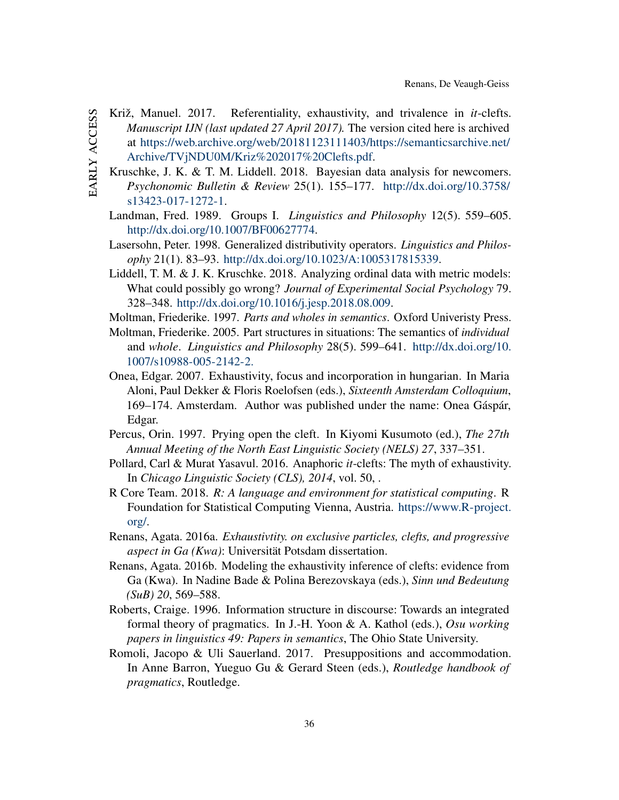- <span id="page-36-14"></span><span id="page-36-13"></span><span id="page-36-12"></span><span id="page-36-11"></span><span id="page-36-10"></span><span id="page-36-9"></span><span id="page-36-8"></span><span id="page-36-7"></span><span id="page-36-6"></span><span id="page-36-5"></span><span id="page-36-4"></span><span id="page-36-3"></span><span id="page-36-2"></span><span id="page-36-1"></span><span id="page-36-0"></span>Križ, Manuel. 2017. Referentiality, exhaustivity, and trivalence in *it*-clefts. *Manuscript IJN (last updated 27 April 2017).* The version cited here is archived at [https://web.archive.org/web/20181123111403/https://semanticsarchive.net/](https://web.archive.org/web/20181123111403/https://semanticsarchive.net/Archive/TVjNDU0M/Kriz%202017%20Clefts.pdf) [Archive/TVjNDU0M/Kriz%202017%20Clefts.pdf.](https://web.archive.org/web/20181123111403/https://semanticsarchive.net/Archive/TVjNDU0M/Kriz%202017%20Clefts.pdf)
	- Kruschke, J. K. & T. M. Liddell. 2018. Bayesian data analysis for newcomers. *Psychonomic Bulletin & Review* 25(1). 155–177. [http://dx.doi.org/10.3758/](http://dx.doi.org/10.3758/s13423-017-1272-1) [s13423-017-1272-1.](http://dx.doi.org/10.3758/s13423-017-1272-1)
		- Landman, Fred. 1989. Groups I. *Linguistics and Philosophy* 12(5). 559–605. [http://dx.doi.org/10.1007/BF00627774.](http://dx.doi.org/10.1007/BF00627774)
		- Lasersohn, Peter. 1998. Generalized distributivity operators. *Linguistics and Philosophy* 21(1). 83–93. [http://dx.doi.org/10.1023/A:1005317815339.](http://dx.doi.org/10.1023/A:1005317815339)
		- Liddell, T. M. & J. K. Kruschke. 2018. Analyzing ordinal data with metric models: What could possibly go wrong? *Journal of Experimental Social Psychology* 79. 328–348. [http://dx.doi.org/10.1016/j.jesp.2018.08.009.](http://dx.doi.org/10.1016/j.jesp.2018.08.009)
		- Moltman, Friederike. 1997. *Parts and wholes in semantics*. Oxford Univeristy Press.
		- Moltman, Friederike. 2005. Part structures in situations: The semantics of *individual* and *whole*. *Linguistics and Philosophy* 28(5). 599–641. [http://dx.doi.org/10.](http://dx.doi.org/10.1007/s10988-005-2142-2.) [1007/s10988-005-2142-2.](http://dx.doi.org/10.1007/s10988-005-2142-2.)
		- Onea, Edgar. 2007. Exhaustivity, focus and incorporation in hungarian. In Maria Aloni, Paul Dekker & Floris Roelofsen (eds.), *Sixteenth Amsterdam Colloquium*, 169–174. Amsterdam. Author was published under the name: Onea Gáspár, Edgar.
		- Percus, Orin. 1997. Prying open the cleft. In Kiyomi Kusumoto (ed.), *The 27th Annual Meeting of the North East Linguistic Society (NELS) 27*, 337–351.
		- Pollard, Carl & Murat Yasavul. 2016. Anaphoric *it*-clefts: The myth of exhaustivity. In *Chicago Linguistic Society (CLS), 2014*, vol. 50, .
		- R Core Team. 2018. *R: A language and environment for statistical computing*. R Foundation for Statistical Computing Vienna, Austria. [https://www.R-project.](https://www.R-project.org/) [org/.](https://www.R-project.org/)
		- Renans, Agata. 2016a. *Exhaustivtity. on exclusive particles, clefts, and progressive aspect in Ga (Kwa)*: Universität Potsdam dissertation.
		- Renans, Agata. 2016b. Modeling the exhaustivity inference of clefts: evidence from Ga (Kwa). In Nadine Bade & Polina Berezovskaya (eds.), *Sinn und Bedeutung (SuB) 20*, 569–588.
		- Roberts, Craige. 1996. Information structure in discourse: Towards an integrated formal theory of pragmatics. In J.-H. Yoon & A. Kathol (eds.), *Osu working papers in linguistics 49: Papers in semantics*, The Ohio State University.
		- Romoli, Jacopo & Uli Sauerland. 2017. Presuppositions and accommodation. In Anne Barron, Yueguo Gu & Gerard Steen (eds.), *Routledge handbook of pragmatics*, Routledge.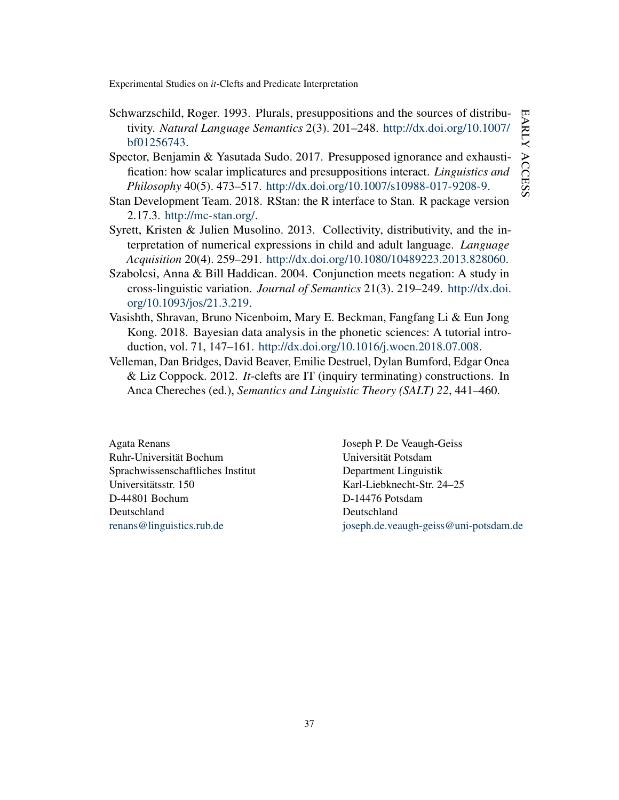EARLY ACCESS early access

Experimental Studies on *it*-Clefts and Predicate Interpretation

- <span id="page-37-1"></span>Schwarzschild, Roger. 1993. Plurals, presuppositions and the sources of distributivity. *Natural Language Semantics* 2(3). 201–248. [http://dx.doi.org/10.1007/](http://dx.doi.org/10.1007/bf01256743) [bf01256743.](http://dx.doi.org/10.1007/bf01256743)
- <span id="page-37-6"></span>Spector, Benjamin & Yasutada Sudo. 2017. Presupposed ignorance and exhaustification: how scalar implicatures and presuppositions interact. *Linguistics and Philosophy* 40(5). 473–517. [http://dx.doi.org/10.1007/s10988-017-9208-9.](http://dx.doi.org/10.1007/s10988-017-9208-9)
- <span id="page-37-3"></span>Stan Development Team. 2018. RStan: the R interface to Stan. R package version 2.17.3. [http://mc-stan.org/.](http://mc-stan.org/)
- <span id="page-37-5"></span>Syrett, Kristen & Julien Musolino. 2013. Collectivity, distributivity, and the interpretation of numerical expressions in child and adult language. *Language Acquisition* 20(4). 259–291. [http://dx.doi.org/10.1080/10489223.2013.828060.](http://dx.doi.org/10.1080/10489223.2013.828060)
- <span id="page-37-2"></span>Szabolcsi, Anna & Bill Haddican. 2004. Conjunction meets negation: A study in cross-linguistic variation. *Journal of Semantics* 21(3). 219–249. [http://dx.doi.](http://dx.doi.org/10.1093/jos/21.3.219) [org/10.1093/jos/21.3.219.](http://dx.doi.org/10.1093/jos/21.3.219)
- <span id="page-37-4"></span>Vasishth, Shravan, Bruno Nicenboim, Mary E. Beckman, Fangfang Li & Eun Jong Kong. 2018. Bayesian data analysis in the phonetic sciences: A tutorial introduction, vol. 71, 147–161. [http://dx.doi.org/10.1016/j.wocn.2018.07.008.](http://dx.doi.org/10.1016/j.wocn.2018.07.008)
- <span id="page-37-0"></span>Velleman, Dan Bridges, David Beaver, Emilie Destruel, Dylan Bumford, Edgar Onea & Liz Coppock. 2012. *It*-clefts are IT (inquiry terminating) constructions. In Anca Chereches (ed.), *Semantics and Linguistic Theory (SALT) 22*, 441–460.

Agata Renans Ruhr-Universität Bochum Sprachwissenschaftliches Institut Universitätsstr. 150 D-44801 Bochum Deutschland [renans@linguistics.rub.de](mailto:renans@linguistics.rub.de)

Joseph P. De Veaugh-Geiss Universität Potsdam Department Linguistik Karl-Liebknecht-Str. 24–25 D-14476 Potsdam Deutschland [joseph.de.veaugh-geiss@uni-potsdam.de](mailto:joseph.de.veaugh-geiss@uni-potsdam.de)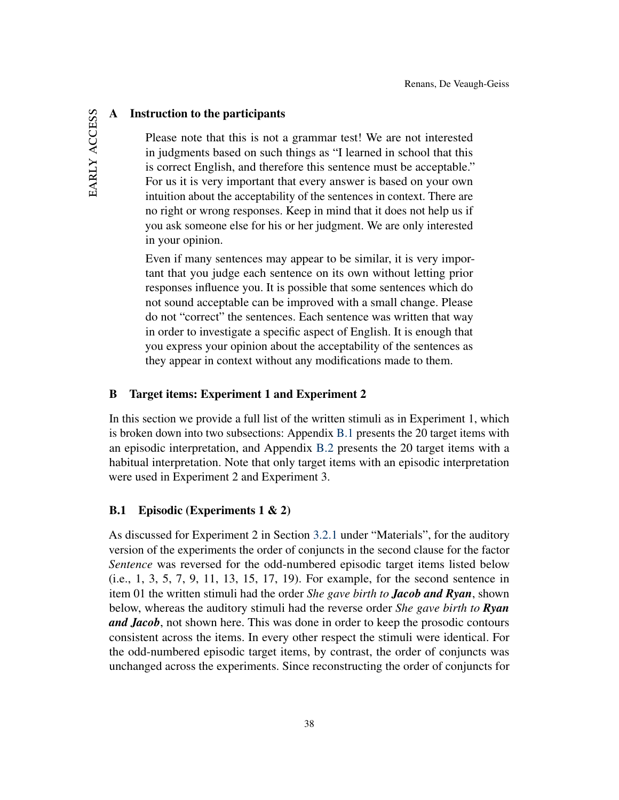### A Instruction to the participants

Please note that this is not a grammar test! We are not interested in judgments based on such things as "I learned in school that this is correct English, and therefore this sentence must be acceptable." For us it is very important that every answer is based on your own intuition about the acceptability of the sentences in context. There are no right or wrong responses. Keep in mind that it does not help us if you ask someone else for his or her judgment. We are only interested in your opinion.

Even if many sentences may appear to be similar, it is very important that you judge each sentence on its own without letting prior responses influence you. It is possible that some sentences which do not sound acceptable can be improved with a small change. Please do not "correct" the sentences. Each sentence was written that way in order to investigate a specific aspect of English. It is enough that you express your opinion about the acceptability of the sentences as they appear in context without any modifications made to them.

### <span id="page-38-0"></span>B Target items: Experiment 1 and Experiment 2

In this section we provide a full list of the written stimuli as in Experiment 1, which is broken down into two subsections: Appendix [B.1](#page-38-1) presents the 20 target items with an episodic interpretation, and Appendix [B.2](#page-42-0) presents the 20 target items with a habitual interpretation. Note that only target items with an episodic interpretation were used in Experiment 2 and Experiment 3.

## <span id="page-38-1"></span>B.1 Episodic (Experiments 1 & 2)

As discussed for Experiment 2 in Section [3.2.1](#page-21-2) under "Materials", for the auditory version of the experiments the order of conjuncts in the second clause for the factor *Sentence* was reversed for the odd-numbered episodic target items listed below (i.e., 1, 3, 5, 7, 9, 11, 13, 15, 17, 19). For example, for the second sentence in item 01 the written stimuli had the order *She gave birth to Jacob and Ryan*, shown below, whereas the auditory stimuli had the reverse order *She gave birth to Ryan and Jacob*, not shown here. This was done in order to keep the prosodic contours consistent across the items. In every other respect the stimuli were identical. For the odd-numbered episodic target items, by contrast, the order of conjuncts was unchanged across the experiments. Since reconstructing the order of conjuncts for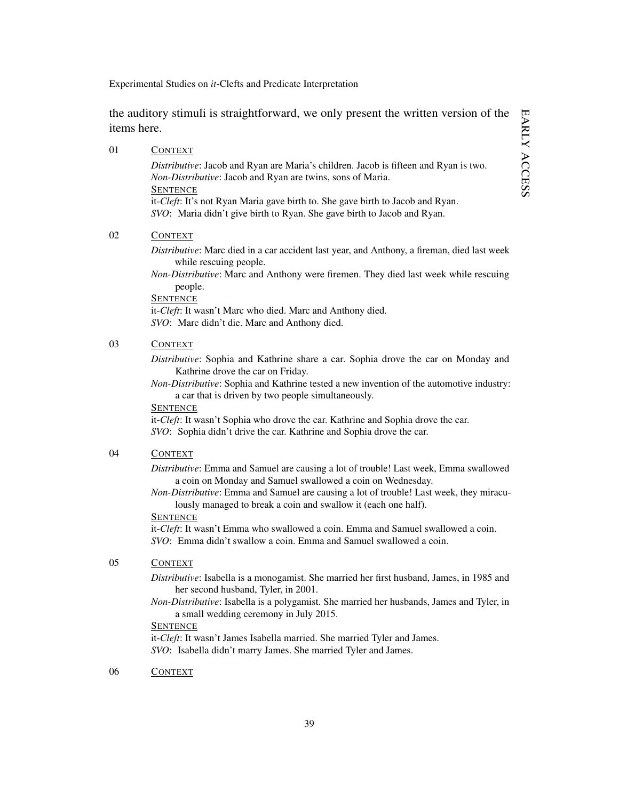the auditory stimuli is straightforward, we only present the written version of the items here.

|    | <i>Distributive:</i> Jacob and Ryan are Maria's children. Jacob is fifteen and Ryan is two.                                                           |
|----|-------------------------------------------------------------------------------------------------------------------------------------------------------|
|    | <i>Non-Distributive:</i> Jacob and Ryan are twins, sons of Maria.                                                                                     |
|    | <b>SENTENCE</b>                                                                                                                                       |
|    | it-Cleft: It's not Ryan Maria gave birth to. She gave birth to Jacob and Ryan.                                                                        |
|    | SVO: Maria didn't give birth to Ryan. She gave birth to Jacob and Ryan.                                                                               |
| 02 | <b>CONTEXT</b>                                                                                                                                        |
|    | Distributive: Marc died in a car accident last year, and Anthony, a fireman, died last week<br>while rescuing people.                                 |
|    | <i>Non-Distributive:</i> Marc and Anthony were firemen. They died last week while rescuing<br>people.                                                 |
|    | <b>SENTENCE</b>                                                                                                                                       |
|    | it- <i>Cleft</i> : It wasn't Marc who died. Marc and Anthony died.                                                                                    |
|    | <i>SVO</i> : Marc didn't die. Marc and Anthony died.                                                                                                  |
| 03 | <b>CONTEXT</b>                                                                                                                                        |
|    | Distributive: Sophia and Kathrine share a car. Sophia drove the car on Monday and<br>Kathrine drove the car on Friday.                                |
|    | <i>Non-Distributive:</i> Sophia and Kathrine tested a new invention of the automotive industry:<br>a car that is driven by two people simultaneously. |
|    |                                                                                                                                                       |

**SENTENCE** 

it-*Cleft*: It wasn't Sophia who drove the car. Kathrine and Sophia drove the car. *SVO*: Sophia didn't drive the car. Kathrine and Sophia drove the car.

### 04 CONTEXT

01 CONTEXT

*Distributive*: Emma and Samuel are causing a lot of trouble! Last week, Emma swallowed a coin on Monday and Samuel swallowed a coin on Wednesday.

*Non-Distributive*: Emma and Samuel are causing a lot of trouble! Last week, they miraculously managed to break a coin and swallow it (each one half).

#### **SENTENCE**

it-*Cleft*: It wasn't Emma who swallowed a coin. Emma and Samuel swallowed a coin. *SVO*: Emma didn't swallow a coin. Emma and Samuel swallowed a coin.

## 05 CONTEXT

*Distributive*: Isabella is a monogamist. She married her first husband, James, in 1985 and her second husband, Tyler, in 2001.

*Non-Distributive*: Isabella is a polygamist. She married her husbands, James and Tyler, in a small wedding ceremony in July 2015.

### **SENTENCE**

it-*Cleft*: It wasn't James Isabella married. She married Tyler and James. *SVO*: Isabella didn't marry James. She married Tyler and James.

06 CONTEXT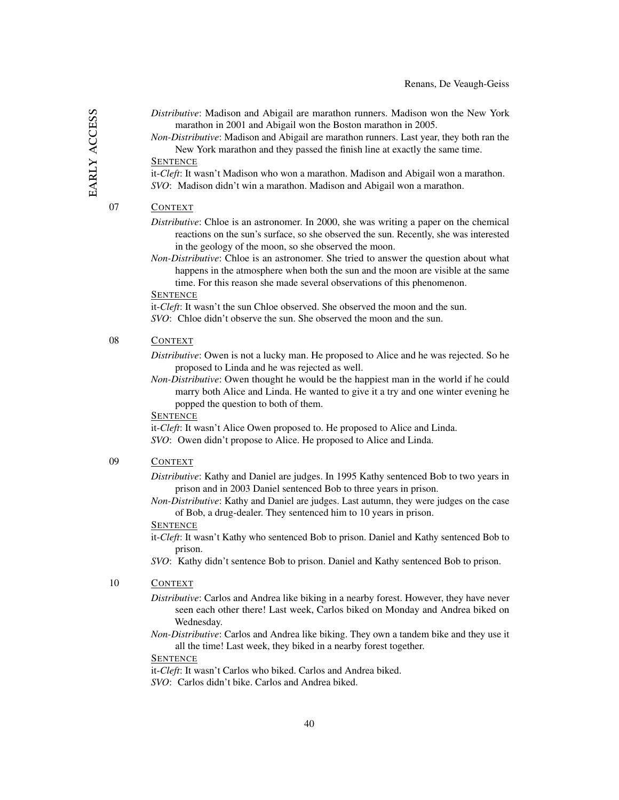- *Distributive*: Madison and Abigail are marathon runners. Madison won the New York marathon in 2001 and Abigail won the Boston marathon in 2005.
- *Non-Distributive*: Madison and Abigail are marathon runners. Last year, they both ran the New York marathon and they passed the finish line at exactly the same time.

### **SENTENCE**

it-*Cleft*: It wasn't Madison who won a marathon. Madison and Abigail won a marathon. *SVO*: Madison didn't win a marathon. Madison and Abigail won a marathon.

### 07 CONTEXT

- *Distributive*: Chloe is an astronomer. In 2000, she was writing a paper on the chemical reactions on the sun's surface, so she observed the sun. Recently, she was interested in the geology of the moon, so she observed the moon.
- *Non-Distributive*: Chloe is an astronomer. She tried to answer the question about what happens in the atmosphere when both the sun and the moon are visible at the same time. For this reason she made several observations of this phenomenon.

#### **SENTENCE**

it-*Cleft*: It wasn't the sun Chloe observed. She observed the moon and the sun. *SVO*: Chloe didn't observe the sun. She observed the moon and the sun.

# 08 CONTEXT

*Distributive*: Owen is not a lucky man. He proposed to Alice and he was rejected. So he proposed to Linda and he was rejected as well.

*Non-Distributive*: Owen thought he would be the happiest man in the world if he could marry both Alice and Linda. He wanted to give it a try and one winter evening he popped the question to both of them.

#### **SENTENCE**

it-*Cleft*: It wasn't Alice Owen proposed to. He proposed to Alice and Linda. *SVO*: Owen didn't propose to Alice. He proposed to Alice and Linda.

### 09 CONTEXT

*Distributive*: Kathy and Daniel are judges. In 1995 Kathy sentenced Bob to two years in prison and in 2003 Daniel sentenced Bob to three years in prison.

*Non-Distributive*: Kathy and Daniel are judges. Last autumn, they were judges on the case of Bob, a drug-dealer. They sentenced him to 10 years in prison.

#### **SENTENCE**

it-*Cleft*: It wasn't Kathy who sentenced Bob to prison. Daniel and Kathy sentenced Bob to prison.

*SVO*: Kathy didn't sentence Bob to prison. Daniel and Kathy sentenced Bob to prison.

### 10 CONTEXT

- *Distributive*: Carlos and Andrea like biking in a nearby forest. However, they have never seen each other there! Last week, Carlos biked on Monday and Andrea biked on Wednesday.
- *Non-Distributive*: Carlos and Andrea like biking. They own a tandem bike and they use it all the time! Last week, they biked in a nearby forest together.

#### **SENTENCE**

it-*Cleft*: It wasn't Carlos who biked. Carlos and Andrea biked.

*SVO*: Carlos didn't bike. Carlos and Andrea biked.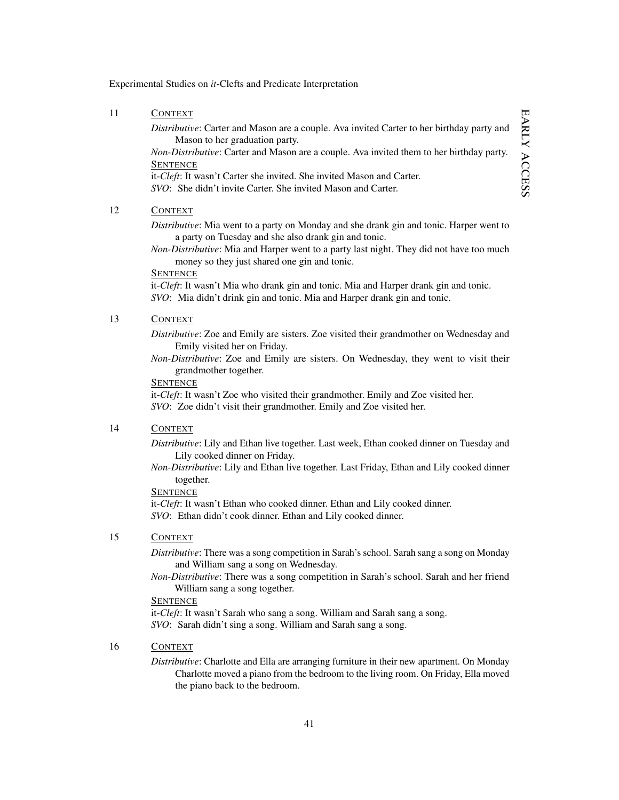### 11 CONTEXT

*Distributive*: Carter and Mason are a couple. Ava invited Carter to her birthday party and Mason to her graduation party.

*Non-Distributive*: Carter and Mason are a couple. Ava invited them to her birthday party. **SENTENCE** 

it-*Cleft*: It wasn't Carter she invited. She invited Mason and Carter.

*SVO*: She didn't invite Carter. She invited Mason and Carter.

## 12 CONTEXT

*Distributive*: Mia went to a party on Monday and she drank gin and tonic. Harper went to a party on Tuesday and she also drank gin and tonic.

*Non-Distributive*: Mia and Harper went to a party last night. They did not have too much money so they just shared one gin and tonic.

#### **SENTENCE**

it-*Cleft*: It wasn't Mia who drank gin and tonic. Mia and Harper drank gin and tonic. *SVO*: Mia didn't drink gin and tonic. Mia and Harper drank gin and tonic.

### 13 CONTEXT

*Distributive*: Zoe and Emily are sisters. Zoe visited their grandmother on Wednesday and Emily visited her on Friday.

*Non-Distributive*: Zoe and Emily are sisters. On Wednesday, they went to visit their grandmother together.

#### **SENTENCE**

it-*Cleft*: It wasn't Zoe who visited their grandmother. Emily and Zoe visited her. *SVO*: Zoe didn't visit their grandmother. Emily and Zoe visited her.

### 14 CONTEXT

*Distributive*: Lily and Ethan live together. Last week, Ethan cooked dinner on Tuesday and Lily cooked dinner on Friday.

*Non-Distributive*: Lily and Ethan live together. Last Friday, Ethan and Lily cooked dinner together.

### **SENTENCE**

it-*Cleft*: It wasn't Ethan who cooked dinner. Ethan and Lily cooked dinner. *SVO*: Ethan didn't cook dinner. Ethan and Lily cooked dinner.

#### 15 CONTEXT

*Distributive*: There was a song competition in Sarah's school. Sarah sang a song on Monday and William sang a song on Wednesday.

*Non-Distributive*: There was a song competition in Sarah's school. Sarah and her friend William sang a song together.

### **SENTENCE**

it-*Cleft*: It wasn't Sarah who sang a song. William and Sarah sang a song. *SVO*: Sarah didn't sing a song. William and Sarah sang a song.

### 16 CONTEXT

*Distributive*: Charlotte and Ella are arranging furniture in their new apartment. On Monday Charlotte moved a piano from the bedroom to the living room. On Friday, Ella moved the piano back to the bedroom.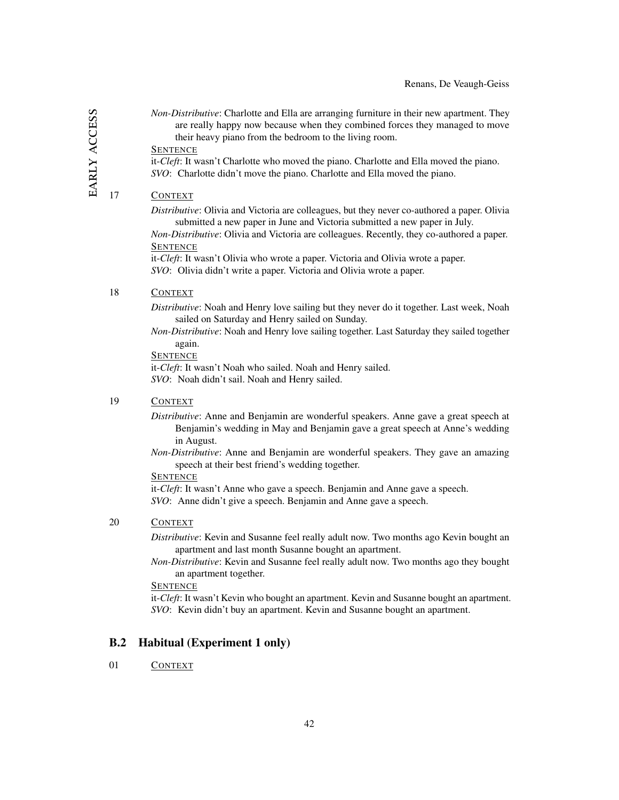*Non-Distributive*: Charlotte and Ella are arranging furniture in their new apartment. They are really happy now because when they combined forces they managed to move their heavy piano from the bedroom to the living room.

**SENTENCE** 

it-*Cleft*: It wasn't Charlotte who moved the piano. Charlotte and Ella moved the piano. *SVO*: Charlotte didn't move the piano. Charlotte and Ella moved the piano.

### 17 CONTEXT

*Distributive*: Olivia and Victoria are colleagues, but they never co-authored a paper. Olivia submitted a new paper in June and Victoria submitted a new paper in July.

*Non-Distributive*: Olivia and Victoria are colleagues. Recently, they co-authored a paper. **SENTENCE** 

it-*Cleft*: It wasn't Olivia who wrote a paper. Victoria and Olivia wrote a paper. *SVO*: Olivia didn't write a paper. Victoria and Olivia wrote a paper.

#### 18 CONTEXT

*Distributive*: Noah and Henry love sailing but they never do it together. Last week, Noah sailed on Saturday and Henry sailed on Sunday.

*Non-Distributive*: Noah and Henry love sailing together. Last Saturday they sailed together again.

**SENTENCE** 

it-*Cleft*: It wasn't Noah who sailed. Noah and Henry sailed. *SVO*: Noah didn't sail. Noah and Henry sailed.

### 19 CONTEXT

*Distributive*: Anne and Benjamin are wonderful speakers. Anne gave a great speech at Benjamin's wedding in May and Benjamin gave a great speech at Anne's wedding in August.

*Non-Distributive*: Anne and Benjamin are wonderful speakers. They gave an amazing speech at their best friend's wedding together.

## **SENTENCE**

it-*Cleft*: It wasn't Anne who gave a speech. Benjamin and Anne gave a speech. *SVO*: Anne didn't give a speech. Benjamin and Anne gave a speech.

#### 20 CONTEXT

*Distributive*: Kevin and Susanne feel really adult now. Two months ago Kevin bought an apartment and last month Susanne bought an apartment.

*Non-Distributive*: Kevin and Susanne feel really adult now. Two months ago they bought an apartment together.

#### **SENTENCE**

it-*Cleft*: It wasn't Kevin who bought an apartment. Kevin and Susanne bought an apartment. *SVO*: Kevin didn't buy an apartment. Kevin and Susanne bought an apartment.

### <span id="page-42-0"></span>B.2 Habitual (Experiment 1 only)

### 01 CONTEXT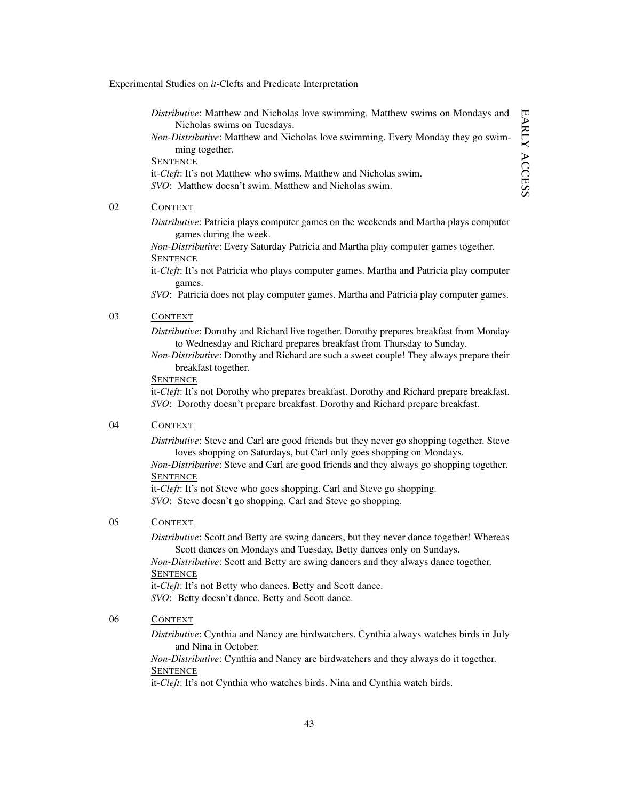*Distributive*: Matthew and Nicholas love swimming. Matthew swims on Mondays and Nicholas swims on Tuesdays.

*Non-Distributive*: Matthew and Nicholas love swimming. Every Monday they go swimming together.

**SENTENCE** 

it-*Cleft*: It's not Matthew who swims. Matthew and Nicholas swim. *SVO*: Matthew doesn't swim. Matthew and Nicholas swim.

### 02 CONTEXT

*Distributive*: Patricia plays computer games on the weekends and Martha plays computer games during the week.

*Non-Distributive*: Every Saturday Patricia and Martha play computer games together. **SENTENCE** 

it-*Cleft*: It's not Patricia who plays computer games. Martha and Patricia play computer games.

*SVO*: Patricia does not play computer games. Martha and Patricia play computer games.

## 03 CONTEXT

*Distributive*: Dorothy and Richard live together. Dorothy prepares breakfast from Monday to Wednesday and Richard prepares breakfast from Thursday to Sunday.

*Non-Distributive*: Dorothy and Richard are such a sweet couple! They always prepare their breakfast together.

#### **SENTENCE**

it-*Cleft*: It's not Dorothy who prepares breakfast. Dorothy and Richard prepare breakfast. *SVO*: Dorothy doesn't prepare breakfast. Dorothy and Richard prepare breakfast.

### 04 CONTEXT

*Distributive*: Steve and Carl are good friends but they never go shopping together. Steve loves shopping on Saturdays, but Carl only goes shopping on Mondays.

*Non-Distributive*: Steve and Carl are good friends and they always go shopping together. **SENTENCE** 

it-*Cleft*: It's not Steve who goes shopping. Carl and Steve go shopping. *SVO*: Steve doesn't go shopping. Carl and Steve go shopping.

# 05 CONTEXT

*Distributive*: Scott and Betty are swing dancers, but they never dance together! Whereas Scott dances on Mondays and Tuesday, Betty dances only on Sundays.

*Non-Distributive*: Scott and Betty are swing dancers and they always dance together. **SENTENCE** 

it-*Cleft*: It's not Betty who dances. Betty and Scott dance. *SVO*: Betty doesn't dance. Betty and Scott dance.

### 06 CONTEXT

*Distributive*: Cynthia and Nancy are birdwatchers. Cynthia always watches birds in July and Nina in October.

*Non-Distributive*: Cynthia and Nancy are birdwatchers and they always do it together. **SENTENCE** 

it-*Cleft*: It's not Cynthia who watches birds. Nina and Cynthia watch birds.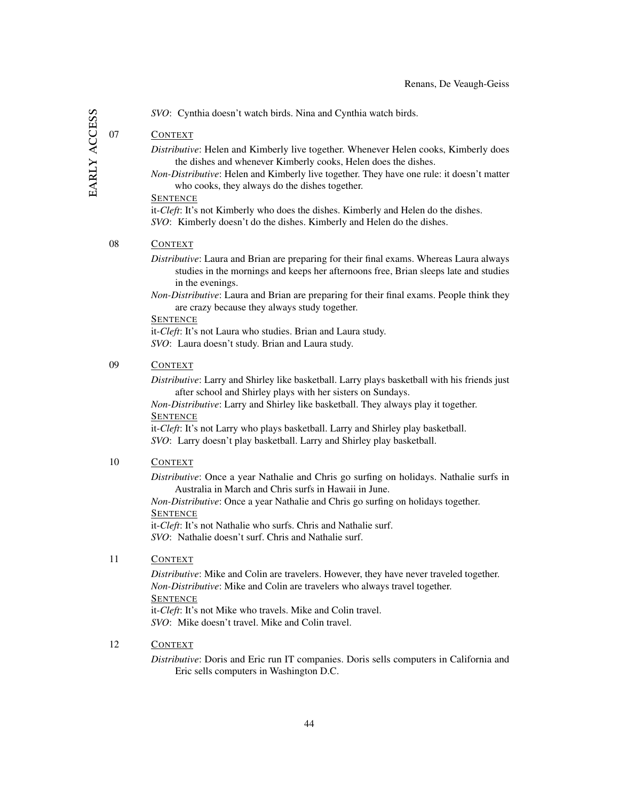EARLY ACCESS early access *SVO*: Cynthia doesn't watch birds. Nina and Cynthia watch birds.

# 07 CONTEXT

*Distributive*: Helen and Kimberly live together. Whenever Helen cooks, Kimberly does the dishes and whenever Kimberly cooks, Helen does the dishes.

*Non-Distributive*: Helen and Kimberly live together. They have one rule: it doesn't matter who cooks, they always do the dishes together.

### **SENTENCE**

it-*Cleft*: It's not Kimberly who does the dishes. Kimberly and Helen do the dishes. *SVO*: Kimberly doesn't do the dishes. Kimberly and Helen do the dishes.

### 08 CONTEXT

*Distributive*: Laura and Brian are preparing for their final exams. Whereas Laura always studies in the mornings and keeps her afternoons free, Brian sleeps late and studies in the evenings.

*Non-Distributive*: Laura and Brian are preparing for their final exams. People think they are crazy because they always study together.

#### **SENTENCE**

it-*Cleft*: It's not Laura who studies. Brian and Laura study. *SVO*: Laura doesn't study. Brian and Laura study.

### 09 CONTEXT

*Distributive*: Larry and Shirley like basketball. Larry plays basketball with his friends just after school and Shirley plays with her sisters on Sundays.

*Non-Distributive*: Larry and Shirley like basketball. They always play it together. **SENTENCE** 

it-*Cleft*: It's not Larry who plays basketball. Larry and Shirley play basketball. *SVO*: Larry doesn't play basketball. Larry and Shirley play basketball.

### 10 CONTEXT

*Distributive*: Once a year Nathalie and Chris go surfing on holidays. Nathalie surfs in Australia in March and Chris surfs in Hawaii in June.

*Non-Distributive*: Once a year Nathalie and Chris go surfing on holidays together. **SENTENCE** 

it-*Cleft*: It's not Nathalie who surfs. Chris and Nathalie surf. *SVO*: Nathalie doesn't surf. Chris and Nathalie surf.

## 11 CONTEXT

*Distributive*: Mike and Colin are travelers. However, they have never traveled together. *Non-Distributive*: Mike and Colin are travelers who always travel together. **SENTENCE** it-*Cleft*: It's not Mike who travels. Mike and Colin travel. *SVO*: Mike doesn't travel. Mike and Colin travel.

### 12 CONTEXT

*Distributive*: Doris and Eric run IT companies. Doris sells computers in California and Eric sells computers in Washington D.C.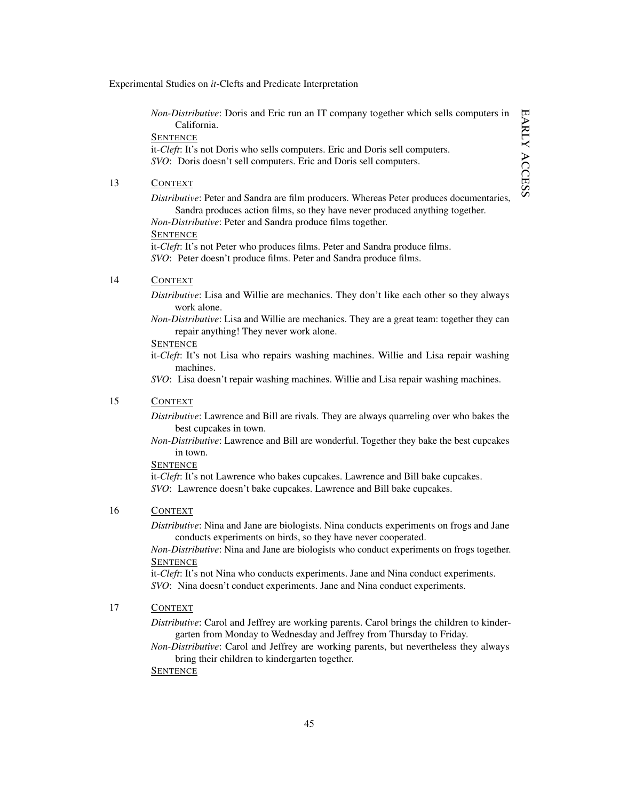*Non-Distributive*: Doris and Eric run an IT company together which sells computers in California. **SENTENCE** 

it-*Cleft*: It's not Doris who sells computers. Eric and Doris sell computers. *SVO*: Doris doesn't sell computers. Eric and Doris sell computers.

## 13 CONTEXT

*Distributive*: Peter and Sandra are film producers. Whereas Peter produces documentaries, Sandra produces action films, so they have never produced anything together.

*Non-Distributive*: Peter and Sandra produce films together.

**SENTENCE** 

it-*Cleft*: It's not Peter who produces films. Peter and Sandra produce films. *SVO*: Peter doesn't produce films. Peter and Sandra produce films.

### 14 CONTEXT

*Distributive*: Lisa and Willie are mechanics. They don't like each other so they always work alone.

*Non-Distributive*: Lisa and Willie are mechanics. They are a great team: together they can repair anything! They never work alone.

### **SENTENCE**

it-*Cleft*: It's not Lisa who repairs washing machines. Willie and Lisa repair washing machines.

*SVO*: Lisa doesn't repair washing machines. Willie and Lisa repair washing machines.

### 15 CONTEXT

*Distributive*: Lawrence and Bill are rivals. They are always quarreling over who bakes the best cupcakes in town.

*Non-Distributive*: Lawrence and Bill are wonderful. Together they bake the best cupcakes in town.

### **SENTENCE**

it-*Cleft*: It's not Lawrence who bakes cupcakes. Lawrence and Bill bake cupcakes. *SVO*: Lawrence doesn't bake cupcakes. Lawrence and Bill bake cupcakes.

### 16 CONTEXT

*Distributive*: Nina and Jane are biologists. Nina conducts experiments on frogs and Jane conducts experiments on birds, so they have never cooperated.

*Non-Distributive*: Nina and Jane are biologists who conduct experiments on frogs together. **SENTENCE** 

it-*Cleft*: It's not Nina who conducts experiments. Jane and Nina conduct experiments. *SVO*: Nina doesn't conduct experiments. Jane and Nina conduct experiments.

### 17 CONTEXT

*Distributive*: Carol and Jeffrey are working parents. Carol brings the children to kindergarten from Monday to Wednesday and Jeffrey from Thursday to Friday.

*Non-Distributive*: Carol and Jeffrey are working parents, but nevertheless they always bring their children to kindergarten together.

**SENTENCE**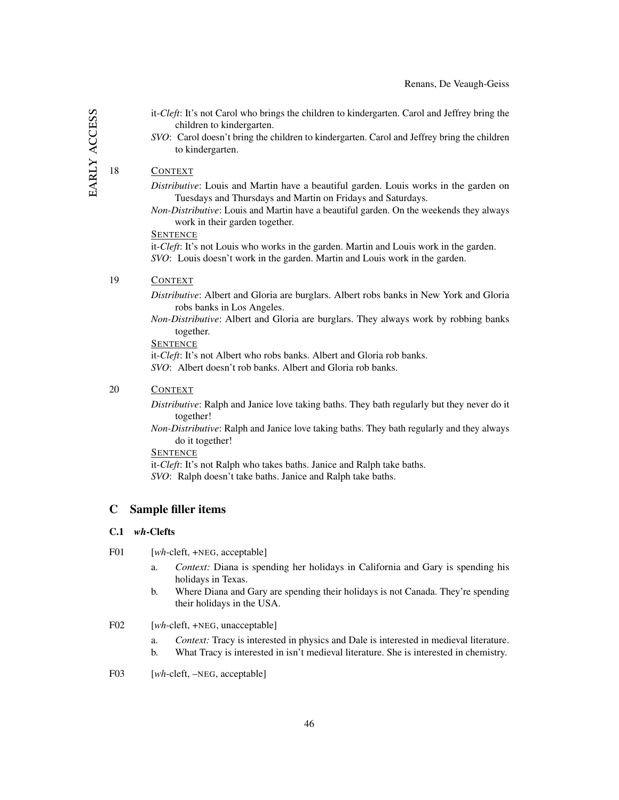- it-*Cleft*: It's not Carol who brings the children to kindergarten. Carol and Jeffrey bring the children to kindergarten.
- *SVO*: Carol doesn't bring the children to kindergarten. Carol and Jeffrey bring the children to kindergarten.

#### 18 CONTEXT

*Distributive*: Louis and Martin have a beautiful garden. Louis works in the garden on Tuesdays and Thursdays and Martin on Fridays and Saturdays.

*Non-Distributive*: Louis and Martin have a beautiful garden. On the weekends they always work in their garden together.

#### **SENTENCE**

it-*Cleft*: It's not Louis who works in the garden. Martin and Louis work in the garden. *SVO*: Louis doesn't work in the garden. Martin and Louis work in the garden.

### 19 CONTEXT

*Distributive*: Albert and Gloria are burglars. Albert robs banks in New York and Gloria robs banks in Los Angeles.

*Non-Distributive*: Albert and Gloria are burglars. They always work by robbing banks together.

**SENTENCE** 

it-*Cleft*: It's not Albert who robs banks. Albert and Gloria rob banks. *SVO*: Albert doesn't rob banks. Albert and Gloria rob banks.

### 20 CONTEXT

*Distributive*: Ralph and Janice love taking baths. They bath regularly but they never do it together!

*Non-Distributive*: Ralph and Janice love taking baths. They bath regularly and they always do it together!

**SENTENCE** 

it-*Cleft*: It's not Ralph who takes baths. Janice and Ralph take baths. *SVO*: Ralph doesn't take baths. Janice and Ralph take baths.

#### <span id="page-46-0"></span>C Sample filler items

### C.1 *wh*-Clefts

F01 [*wh*-cleft, +NEG, acceptable]

- a. *Context:* Diana is spending her holidays in California and Gary is spending his holidays in Texas.
- b. Where Diana and Gary are spending their holidays is not Canada. They're spending their holidays in the USA.

F02 [*wh*-cleft, +NEG, unacceptable]

- a. *Context:* Tracy is interested in physics and Dale is interested in medieval literature.
- b. What Tracy is interested in isn't medieval literature. She is interested in chemistry.
- F03 [*wh*-cleft, –NEG, acceptable]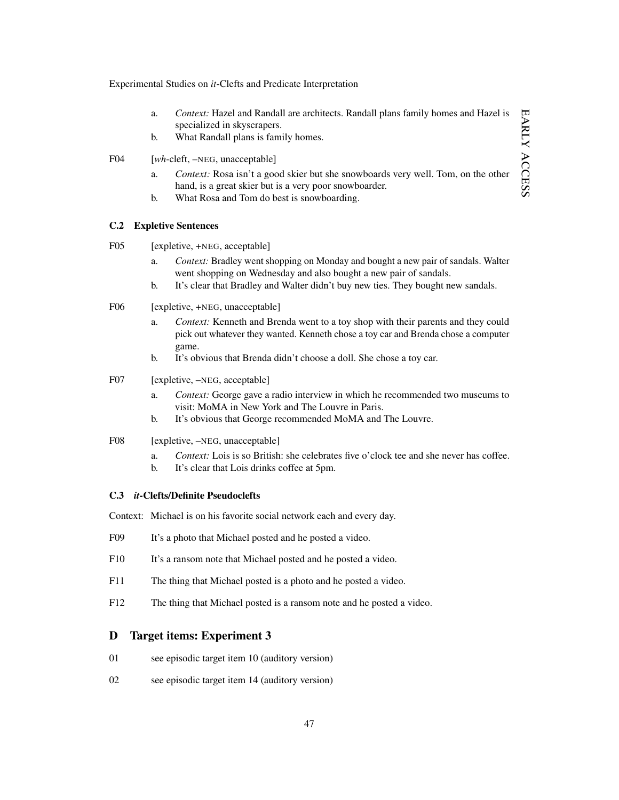- a. *Context:* Hazel and Randall are architects. Randall plans family homes and Hazel is specialized in skyscrapers.
- b. What Randall plans is family homes.
- F04 [*wh*-cleft, –NEG, unacceptable]
	- a. *Context:* Rosa isn't a good skier but she snowboards very well. Tom, on the other hand, is a great skier but is a very poor snowboarder.
	- b. What Rosa and Tom do best is snowboarding.

#### C.2 Expletive Sentences

- F05 [expletive, +NEG, acceptable]
	- a. *Context:* Bradley went shopping on Monday and bought a new pair of sandals. Walter went shopping on Wednesday and also bought a new pair of sandals.
	- b. It's clear that Bradley and Walter didn't buy new ties. They bought new sandals.

#### F06 [expletive, +NEG, unacceptable]

- a. *Context:* Kenneth and Brenda went to a toy shop with their parents and they could pick out whatever they wanted. Kenneth chose a toy car and Brenda chose a computer game.
- b. It's obvious that Brenda didn't choose a doll. She chose a toy car.

#### F07 [expletive, –NEG, acceptable]

- a. *Context:* George gave a radio interview in which he recommended two museums to visit: MoMA in New York and The Louvre in Paris.
- b. It's obvious that George recommended MoMA and The Louvre.

#### F08 [expletive, –NEG, unacceptable]

- a. *Context:* Lois is so British: she celebrates five o'clock tee and she never has coffee.
- b. It's clear that Lois drinks coffee at 5pm.

#### C.3 *it*-Clefts/Definite Pseudoclefts

Context: Michael is on his favorite social network each and every day.

- F09 It's a photo that Michael posted and he posted a video.
- F10 It's a ransom note that Michael posted and he posted a video.
- F11 The thing that Michael posted is a photo and he posted a video.
- F12 The thing that Michael posted is a ransom note and he posted a video.

#### <span id="page-47-0"></span>D Target items: Experiment 3

- 01 see episodic target item 10 (auditory version)
- 02 see episodic target item 14 (auditory version)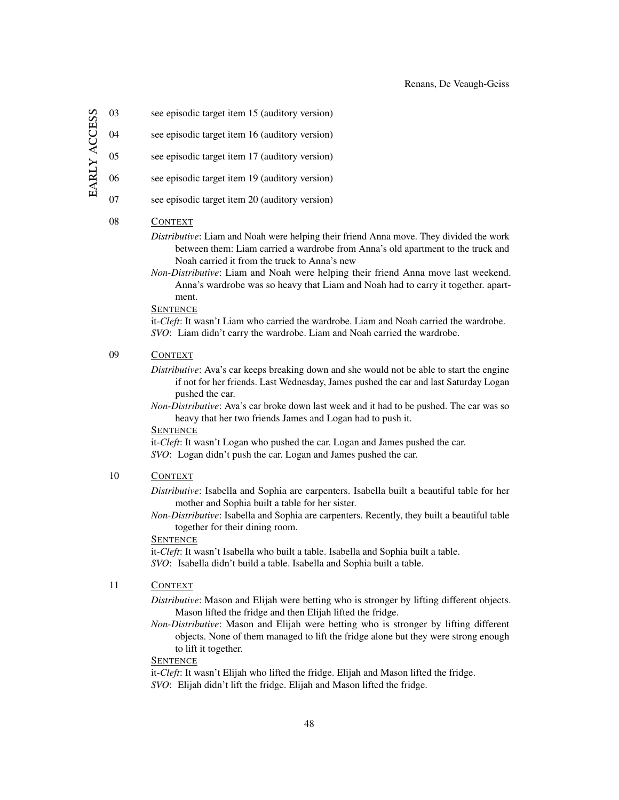EARLY ACCESS early access

03 see episodic target item 15 (auditory version)

04 see episodic target item 16 (auditory version)

05 see episodic target item 17 (auditory version)

06 see episodic target item 19 (auditory version)

07 see episodic target item 20 (auditory version)

## 08 CONTEXT

*Distributive*: Liam and Noah were helping their friend Anna move. They divided the work between them: Liam carried a wardrobe from Anna's old apartment to the truck and Noah carried it from the truck to Anna's new

*Non-Distributive*: Liam and Noah were helping their friend Anna move last weekend. Anna's wardrobe was so heavy that Liam and Noah had to carry it together. apartment.

#### **SENTENCE**

it-*Cleft*: It wasn't Liam who carried the wardrobe. Liam and Noah carried the wardrobe. *SVO*: Liam didn't carry the wardrobe. Liam and Noah carried the wardrobe.

### 09 CONTEXT

*Distributive*: Ava's car keeps breaking down and she would not be able to start the engine if not for her friends. Last Wednesday, James pushed the car and last Saturday Logan pushed the car.

*Non-Distributive*: Ava's car broke down last week and it had to be pushed. The car was so heavy that her two friends James and Logan had to push it.

#### **SENTENCE**

it-*Cleft*: It wasn't Logan who pushed the car. Logan and James pushed the car. *SVO*: Logan didn't push the car. Logan and James pushed the car.

#### 10 CONTEXT

*Distributive*: Isabella and Sophia are carpenters. Isabella built a beautiful table for her mother and Sophia built a table for her sister.

*Non-Distributive*: Isabella and Sophia are carpenters. Recently, they built a beautiful table together for their dining room.

# **SENTENCE**

it-*Cleft*: It wasn't Isabella who built a table. Isabella and Sophia built a table. *SVO*: Isabella didn't build a table. Isabella and Sophia built a table.

## 11 CONTEXT

*Distributive*: Mason and Elijah were betting who is stronger by lifting different objects. Mason lifted the fridge and then Elijah lifted the fridge.

*Non-Distributive*: Mason and Elijah were betting who is stronger by lifting different objects. None of them managed to lift the fridge alone but they were strong enough to lift it together.

#### **SENTENCE**

it-*Cleft*: It wasn't Elijah who lifted the fridge. Elijah and Mason lifted the fridge. *SVO*: Elijah didn't lift the fridge. Elijah and Mason lifted the fridge.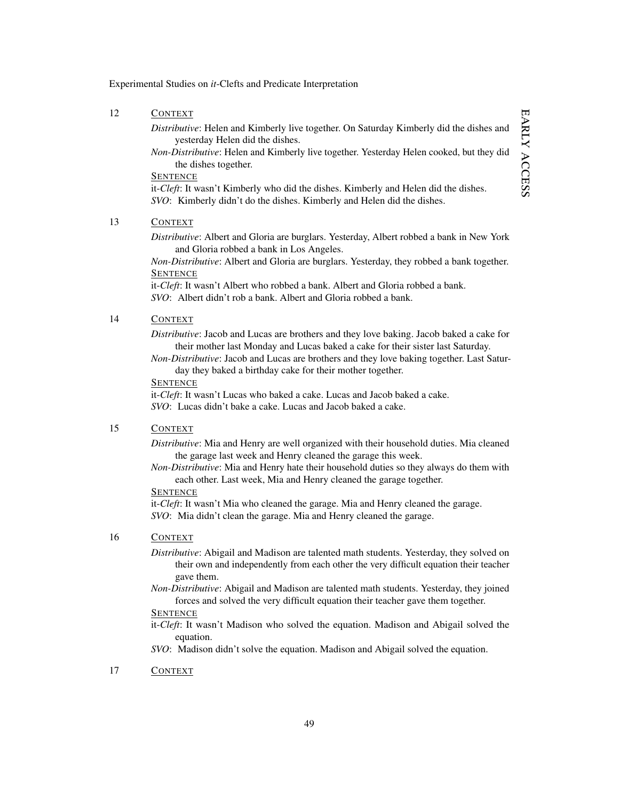#### 12 CONTEXT

*Distributive*: Helen and Kimberly live together. On Saturday Kimberly did the dishes and yesterday Helen did the dishes.

*Non-Distributive*: Helen and Kimberly live together. Yesterday Helen cooked, but they did the dishes together.

#### **SENTENCE**

it-*Cleft*: It wasn't Kimberly who did the dishes. Kimberly and Helen did the dishes. *SVO*: Kimberly didn't do the dishes. Kimberly and Helen did the dishes.

### 13 CONTEXT

*Distributive*: Albert and Gloria are burglars. Yesterday, Albert robbed a bank in New York and Gloria robbed a bank in Los Angeles.

*Non-Distributive*: Albert and Gloria are burglars. Yesterday, they robbed a bank together. **SENTENCE** 

it-*Cleft*: It wasn't Albert who robbed a bank. Albert and Gloria robbed a bank. *SVO*: Albert didn't rob a bank. Albert and Gloria robbed a bank.

### 14 CONTEXT

*Distributive*: Jacob and Lucas are brothers and they love baking. Jacob baked a cake for their mother last Monday and Lucas baked a cake for their sister last Saturday.

*Non-Distributive*: Jacob and Lucas are brothers and they love baking together. Last Saturday they baked a birthday cake for their mother together.

#### **SENTENCE**

it-*Cleft*: It wasn't Lucas who baked a cake. Lucas and Jacob baked a cake. *SVO*: Lucas didn't bake a cake. Lucas and Jacob baked a cake.

### 15 CONTEXT

*Distributive*: Mia and Henry are well organized with their household duties. Mia cleaned the garage last week and Henry cleaned the garage this week.

*Non-Distributive*: Mia and Henry hate their household duties so they always do them with each other. Last week, Mia and Henry cleaned the garage together.

#### **SENTENCE**

it-*Cleft*: It wasn't Mia who cleaned the garage. Mia and Henry cleaned the garage. *SVO*: Mia didn't clean the garage. Mia and Henry cleaned the garage.

#### 16 CONTEXT

*Distributive*: Abigail and Madison are talented math students. Yesterday, they solved on their own and independently from each other the very difficult equation their teacher gave them.

*Non-Distributive*: Abigail and Madison are talented math students. Yesterday, they joined forces and solved the very difficult equation their teacher gave them together.

## **SENTENCE**

it-*Cleft*: It wasn't Madison who solved the equation. Madison and Abigail solved the equation.

*SVO*: Madison didn't solve the equation. Madison and Abigail solved the equation.

#### 17 CONTEXT